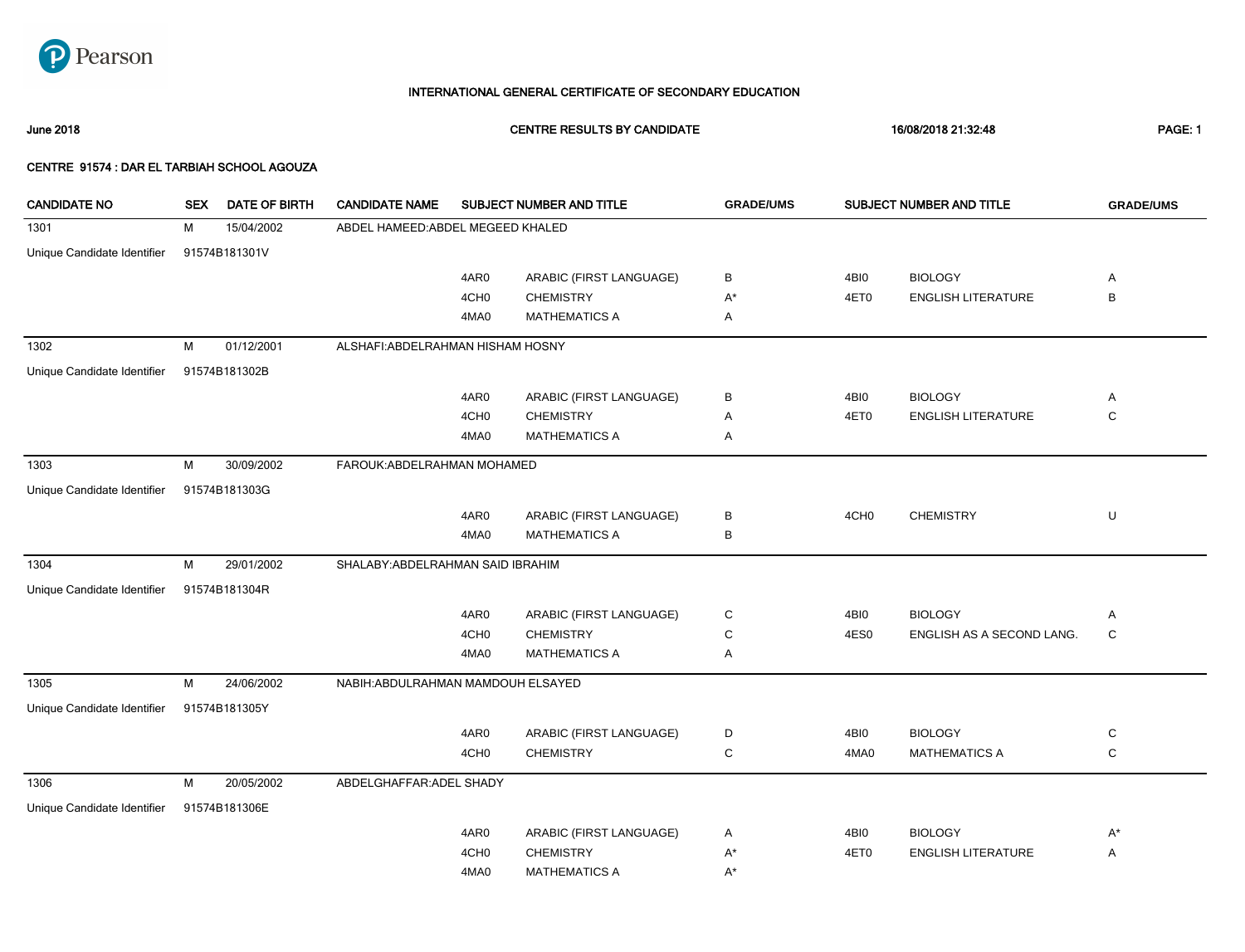

June 2018 CENTRE RESULTS BY CANDIDATE 16/08/2018 21:32:48 PAGE: 1

| <b>CANDIDATE NO</b>         | <b>SEX</b> | <b>DATE OF BIRTH</b> | <b>CANDIDATE NAME</b>              |                  | SUBJECT NUMBER AND TITLE | <b>GRADE/UMS</b> |                  | <b>SUBJECT NUMBER AND TITLE</b> | <b>GRADE/UMS</b> |
|-----------------------------|------------|----------------------|------------------------------------|------------------|--------------------------|------------------|------------------|---------------------------------|------------------|
| 1301                        | M          | 15/04/2002           | ABDEL HAMEED: ABDEL MEGEED KHALED  |                  |                          |                  |                  |                                 |                  |
| Unique Candidate Identifier |            | 91574B181301V        |                                    |                  |                          |                  |                  |                                 |                  |
|                             |            |                      |                                    | 4AR0             | ARABIC (FIRST LANGUAGE)  | В                | 4BI0             | <b>BIOLOGY</b>                  | Α                |
|                             |            |                      |                                    | 4CH <sub>0</sub> | <b>CHEMISTRY</b>         | $A^*$            | 4ET0             | <b>ENGLISH LITERATURE</b>       | B                |
|                             |            |                      |                                    | 4MA0             | <b>MATHEMATICS A</b>     | Α                |                  |                                 |                  |
| 1302                        | M          | 01/12/2001           | ALSHAFI: ABDELRAHMAN HISHAM HOSNY  |                  |                          |                  |                  |                                 |                  |
| Unique Candidate Identifier |            | 91574B181302B        |                                    |                  |                          |                  |                  |                                 |                  |
|                             |            |                      |                                    | 4AR0             | ARABIC (FIRST LANGUAGE)  | в                | 4BI0             | <b>BIOLOGY</b>                  | Α                |
|                             |            |                      |                                    | 4CH <sub>0</sub> | <b>CHEMISTRY</b>         | Α                | 4ET0             | <b>ENGLISH LITERATURE</b>       | $\mathsf{C}$     |
|                             |            |                      |                                    | 4MA0             | <b>MATHEMATICS A</b>     | Α                |                  |                                 |                  |
| 1303                        | M          | 30/09/2002           | FAROUK: ABDELRAHMAN MOHAMED        |                  |                          |                  |                  |                                 |                  |
| Unique Candidate Identifier |            | 91574B181303G        |                                    |                  |                          |                  |                  |                                 |                  |
|                             |            |                      |                                    | 4AR0             | ARABIC (FIRST LANGUAGE)  | в                | 4CH <sub>0</sub> | <b>CHEMISTRY</b>                | U                |
|                             |            |                      |                                    | 4MA0             | <b>MATHEMATICS A</b>     | В                |                  |                                 |                  |
| 1304                        | M          | 29/01/2002           | SHALABY: ABDELRAHMAN SAID IBRAHIM  |                  |                          |                  |                  |                                 |                  |
| Unique Candidate Identifier |            | 91574B181304R        |                                    |                  |                          |                  |                  |                                 |                  |
|                             |            |                      |                                    | 4AR0             | ARABIC (FIRST LANGUAGE)  | C                | 4BI0             | <b>BIOLOGY</b>                  | Α                |
|                             |            |                      |                                    | 4CH <sub>0</sub> | <b>CHEMISTRY</b>         | C                | 4ES0             | ENGLISH AS A SECOND LANG.       | $\mathsf C$      |
|                             |            |                      |                                    | 4MA0             | <b>MATHEMATICS A</b>     | Α                |                  |                                 |                  |
| 1305                        | M          | 24/06/2002           | NABIH: ABDULRAHMAN MAMDOUH ELSAYED |                  |                          |                  |                  |                                 |                  |
| Unique Candidate Identifier |            | 91574B181305Y        |                                    |                  |                          |                  |                  |                                 |                  |
|                             |            |                      |                                    | 4AR0             | ARABIC (FIRST LANGUAGE)  | D                | 4BI0             | <b>BIOLOGY</b>                  | C                |
|                             |            |                      |                                    | 4CH <sub>0</sub> | <b>CHEMISTRY</b>         | C                | 4MA0             | <b>MATHEMATICS A</b>            | $\mathbf C$      |
| 1306                        | M          | 20/05/2002           | ABDELGHAFFAR: ADEL SHADY           |                  |                          |                  |                  |                                 |                  |
| Unique Candidate Identifier |            | 91574B181306E        |                                    |                  |                          |                  |                  |                                 |                  |
|                             |            |                      |                                    | 4AR0             | ARABIC (FIRST LANGUAGE)  | Α                | 4BI0             | <b>BIOLOGY</b>                  | $A^*$            |
|                             |            |                      |                                    | 4CH <sub>0</sub> | <b>CHEMISTRY</b>         | $A^*$            | 4ET0             | <b>ENGLISH LITERATURE</b>       | Α                |
|                             |            |                      |                                    | 4MA0             | <b>MATHEMATICS A</b>     | $A^*$            |                  |                                 |                  |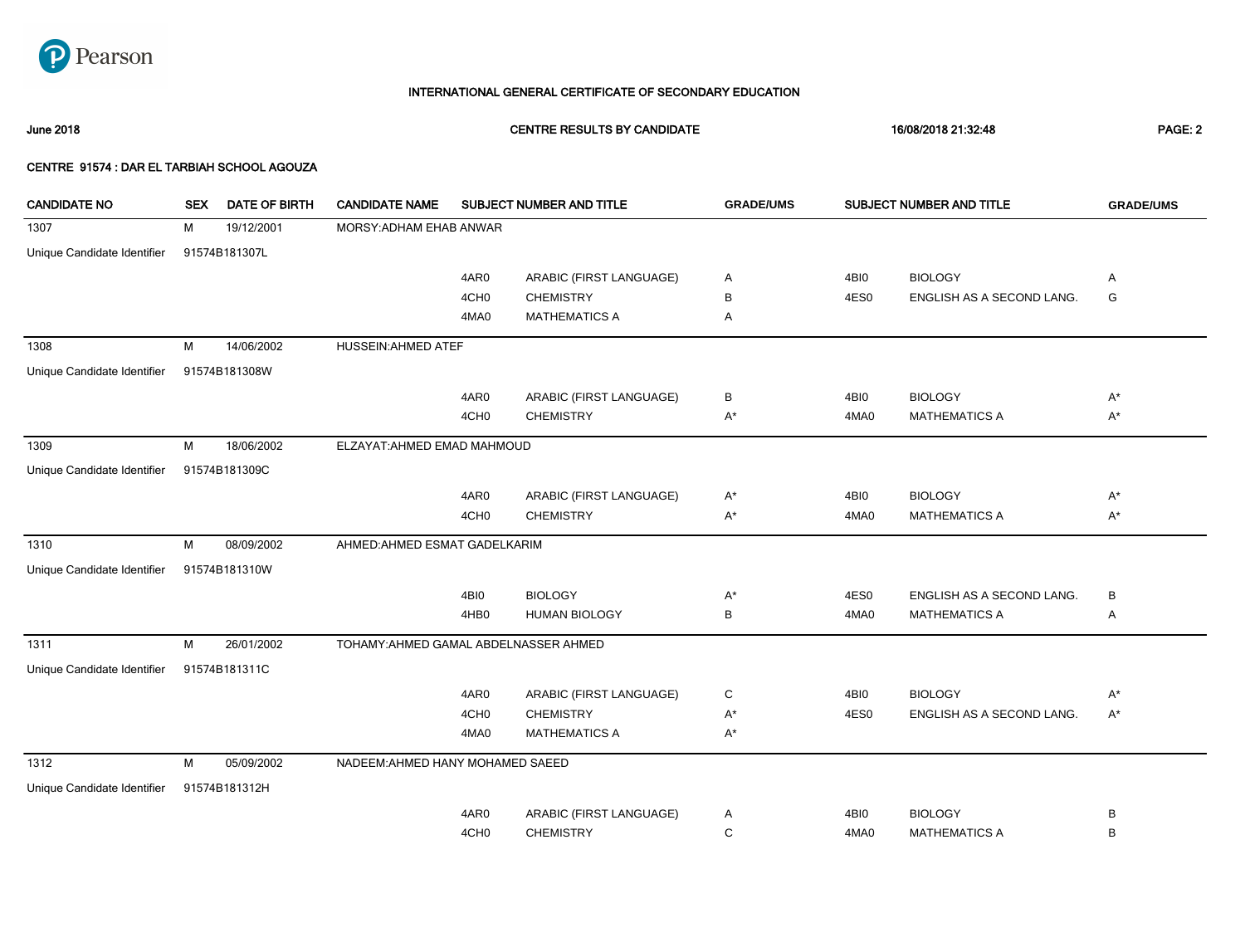

June 2018 CENTRE RESULTS BY CANDIDATE 16/08/2018 21:32:48 PAGE: 2

| <b>CANDIDATE NO</b>         | <b>SEX</b> | DATE OF BIRTH | <b>CANDIDATE NAME</b>                 |                  | SUBJECT NUMBER AND TITLE | <b>GRADE/UMS</b>   |      | SUBJECT NUMBER AND TITLE  | <b>GRADE/UMS</b> |
|-----------------------------|------------|---------------|---------------------------------------|------------------|--------------------------|--------------------|------|---------------------------|------------------|
| 1307                        | M          | 19/12/2001    | MORSY: ADHAM EHAB ANWAR               |                  |                          |                    |      |                           |                  |
| Unique Candidate Identifier |            | 91574B181307L |                                       |                  |                          |                    |      |                           |                  |
|                             |            |               |                                       | 4AR0             | ARABIC (FIRST LANGUAGE)  | Α                  | 4BI0 | <b>BIOLOGY</b>            | Α                |
|                             |            |               |                                       | 4CH <sub>0</sub> | <b>CHEMISTRY</b>         | В                  | 4ES0 | ENGLISH AS A SECOND LANG. | G                |
|                             |            |               |                                       | 4MA0             | <b>MATHEMATICS A</b>     | Α                  |      |                           |                  |
| 1308                        | M          | 14/06/2002    | <b>HUSSEIN:AHMED ATEF</b>             |                  |                          |                    |      |                           |                  |
| Unique Candidate Identifier |            | 91574B181308W |                                       |                  |                          |                    |      |                           |                  |
|                             |            |               |                                       | 4AR0             | ARABIC (FIRST LANGUAGE)  | В                  | 4BI0 | <b>BIOLOGY</b>            | $A^*$            |
|                             |            |               |                                       | 4CH <sub>0</sub> | <b>CHEMISTRY</b>         | A*                 | 4MA0 | <b>MATHEMATICS A</b>      | $A^*$            |
| 1309                        | M          | 18/06/2002    | ELZAYAT: AHMED EMAD MAHMOUD           |                  |                          |                    |      |                           |                  |
| Unique Candidate Identifier |            | 91574B181309C |                                       |                  |                          |                    |      |                           |                  |
|                             |            |               |                                       | 4AR0             | ARABIC (FIRST LANGUAGE)  | $A^*$              | 4BI0 | <b>BIOLOGY</b>            | $A^*$            |
|                             |            |               |                                       | 4CH <sub>0</sub> | <b>CHEMISTRY</b>         | $\mathsf{A}^\star$ | 4MA0 | <b>MATHEMATICS A</b>      | $A^*$            |
| 1310                        | M          | 08/09/2002    | AHMED: AHMED ESMAT GADELKARIM         |                  |                          |                    |      |                           |                  |
| Unique Candidate Identifier |            | 91574B181310W |                                       |                  |                          |                    |      |                           |                  |
|                             |            |               |                                       | 4BI0             | <b>BIOLOGY</b>           | $A^*$              | 4ES0 | ENGLISH AS A SECOND LANG. | B                |
|                             |            |               |                                       | 4HB0             | <b>HUMAN BIOLOGY</b>     | В                  | 4MA0 | <b>MATHEMATICS A</b>      | Α                |
| 1311                        | M          | 26/01/2002    | TOHAMY: AHMED GAMAL ABDELNASSER AHMED |                  |                          |                    |      |                           |                  |
| Unique Candidate Identifier |            | 91574B181311C |                                       |                  |                          |                    |      |                           |                  |
|                             |            |               |                                       | 4AR0             | ARABIC (FIRST LANGUAGE)  | C                  | 4BI0 | <b>BIOLOGY</b>            | $A^*$            |
|                             |            |               |                                       | 4CH <sub>0</sub> | <b>CHEMISTRY</b>         | A*                 | 4ES0 | ENGLISH AS A SECOND LANG. | $A^*$            |
|                             |            |               |                                       | 4MA0             | <b>MATHEMATICS A</b>     | A*                 |      |                           |                  |
| 1312                        | M          | 05/09/2002    | NADEEM: AHMED HANY MOHAMED SAEED      |                  |                          |                    |      |                           |                  |
| Unique Candidate Identifier |            | 91574B181312H |                                       |                  |                          |                    |      |                           |                  |
|                             |            |               |                                       | 4AR0             | ARABIC (FIRST LANGUAGE)  | Α                  | 4BI0 | <b>BIOLOGY</b>            | В                |
|                             |            |               |                                       | 4CH <sub>0</sub> | <b>CHEMISTRY</b>         | С                  | 4MA0 | <b>MATHEMATICS A</b>      | B                |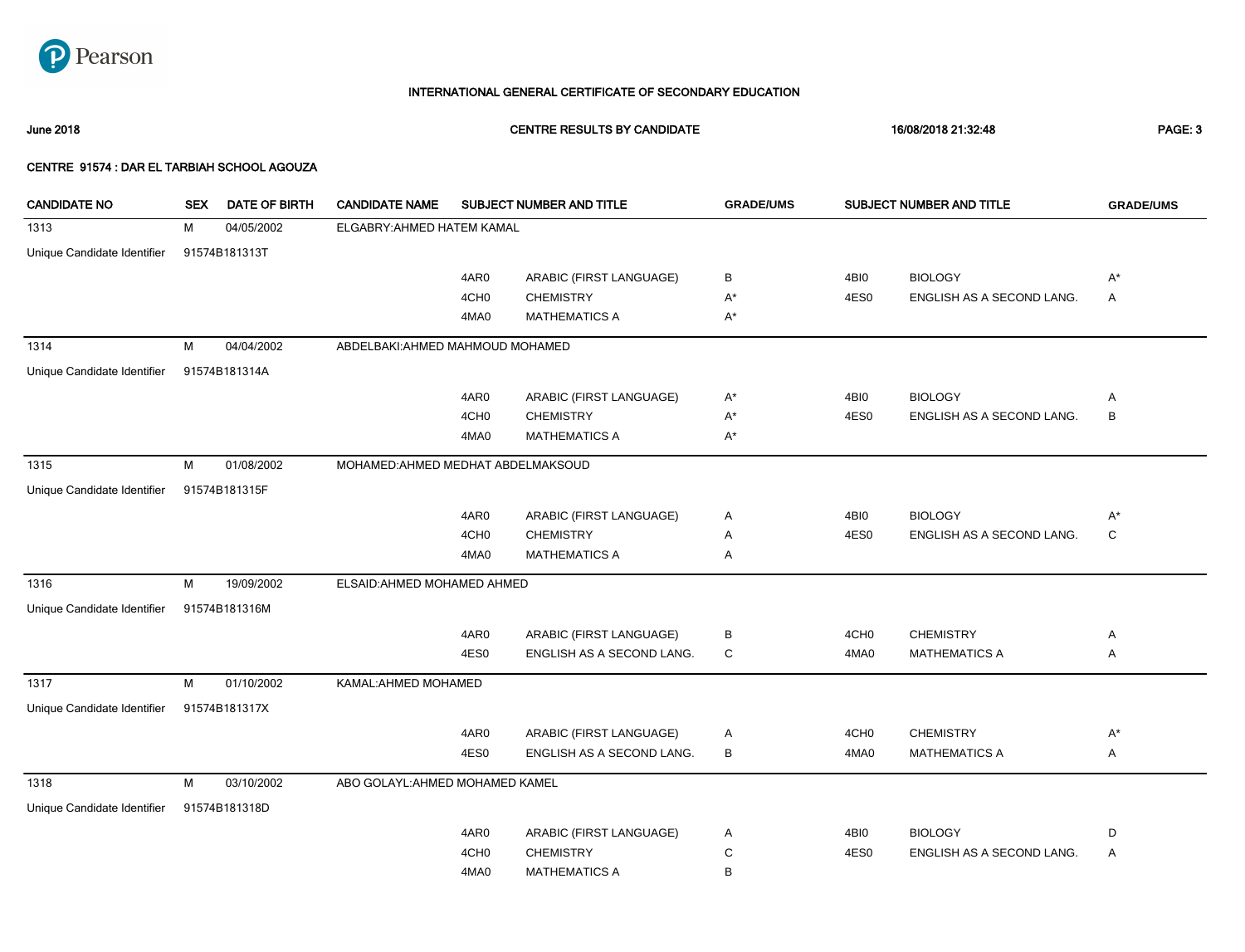

June 2018 CENTRE RESULTS BY CANDIDATE 16/08/2018 21:32:48 PAGE: 3

| <b>CANDIDATE NO</b>         | <b>SEX</b> | <b>DATE OF BIRTH</b> | <b>CANDIDATE NAME</b>              |                  | SUBJECT NUMBER AND TITLE  | <b>GRADE/UMS</b> |                  | SUBJECT NUMBER AND TITLE  | <b>GRADE/UMS</b> |
|-----------------------------|------------|----------------------|------------------------------------|------------------|---------------------------|------------------|------------------|---------------------------|------------------|
| 1313                        | М          | 04/05/2002           | ELGABRY: AHMED HATEM KAMAL         |                  |                           |                  |                  |                           |                  |
| Unique Candidate Identifier |            | 91574B181313T        |                                    |                  |                           |                  |                  |                           |                  |
|                             |            |                      |                                    | 4AR0             | ARABIC (FIRST LANGUAGE)   | B                | 4BI0             | <b>BIOLOGY</b>            | $A^*$            |
|                             |            |                      |                                    | 4CH <sub>0</sub> | <b>CHEMISTRY</b>          | $A^*$            | 4ES0             | ENGLISH AS A SECOND LANG. | Α                |
|                             |            |                      |                                    | 4MA0             | <b>MATHEMATICS A</b>      | $A^*$            |                  |                           |                  |
| 1314                        | м          | 04/04/2002           | ABDELBAKI: AHMED MAHMOUD MOHAMED   |                  |                           |                  |                  |                           |                  |
| Unique Candidate Identifier |            | 91574B181314A        |                                    |                  |                           |                  |                  |                           |                  |
|                             |            |                      |                                    | 4AR0             | ARABIC (FIRST LANGUAGE)   | $A^*$            | 4BI0             | <b>BIOLOGY</b>            | Α                |
|                             |            |                      |                                    | 4CH <sub>0</sub> | <b>CHEMISTRY</b>          | A*               | 4ES0             | ENGLISH AS A SECOND LANG. | B                |
|                             |            |                      |                                    | 4MA0             | <b>MATHEMATICS A</b>      | A*               |                  |                           |                  |
| 1315                        | M          | 01/08/2002           | MOHAMED: AHMED MEDHAT ABDELMAKSOUD |                  |                           |                  |                  |                           |                  |
| Unique Candidate Identifier |            | 91574B181315F        |                                    |                  |                           |                  |                  |                           |                  |
|                             |            |                      |                                    | 4AR0             | ARABIC (FIRST LANGUAGE)   | Α                | 4BI0             | <b>BIOLOGY</b>            | $A^*$            |
|                             |            |                      |                                    | 4CH <sub>0</sub> | <b>CHEMISTRY</b>          | Α                | 4ES0             | ENGLISH AS A SECOND LANG. | C                |
|                             |            |                      |                                    | 4MA0             | <b>MATHEMATICS A</b>      | Α                |                  |                           |                  |
| 1316                        | M          | 19/09/2002           | ELSAID: AHMED MOHAMED AHMED        |                  |                           |                  |                  |                           |                  |
| Unique Candidate Identifier |            | 91574B181316M        |                                    |                  |                           |                  |                  |                           |                  |
|                             |            |                      |                                    | 4AR0             | ARABIC (FIRST LANGUAGE)   | В                | 4CH <sub>0</sub> | <b>CHEMISTRY</b>          | Α                |
|                             |            |                      |                                    | 4ES0             | ENGLISH AS A SECOND LANG. | C                | 4MA0             | <b>MATHEMATICS A</b>      | Α                |
| 1317                        | M          | 01/10/2002           | KAMAL: AHMED MOHAMED               |                  |                           |                  |                  |                           |                  |
| Unique Candidate Identifier |            | 91574B181317X        |                                    |                  |                           |                  |                  |                           |                  |
|                             |            |                      |                                    | 4AR0             | ARABIC (FIRST LANGUAGE)   | Α                | 4CH <sub>0</sub> | <b>CHEMISTRY</b>          | $A^*$            |
|                             |            |                      |                                    | 4ES0             | ENGLISH AS A SECOND LANG. | B                | 4MA0             | <b>MATHEMATICS A</b>      | Α                |
| 1318                        | М          | 03/10/2002           | ABO GOLAYL: AHMED MOHAMED KAMEL    |                  |                           |                  |                  |                           |                  |
| Unique Candidate Identifier |            | 91574B181318D        |                                    |                  |                           |                  |                  |                           |                  |
|                             |            |                      |                                    | 4AR0             | ARABIC (FIRST LANGUAGE)   | Α                | 4BI0             | <b>BIOLOGY</b>            | D                |
|                             |            |                      |                                    | 4CH <sub>0</sub> | <b>CHEMISTRY</b>          | С                | 4ES0             | ENGLISH AS A SECOND LANG. | Α                |
|                             |            |                      |                                    | 4MA0             | <b>MATHEMATICS A</b>      | В                |                  |                           |                  |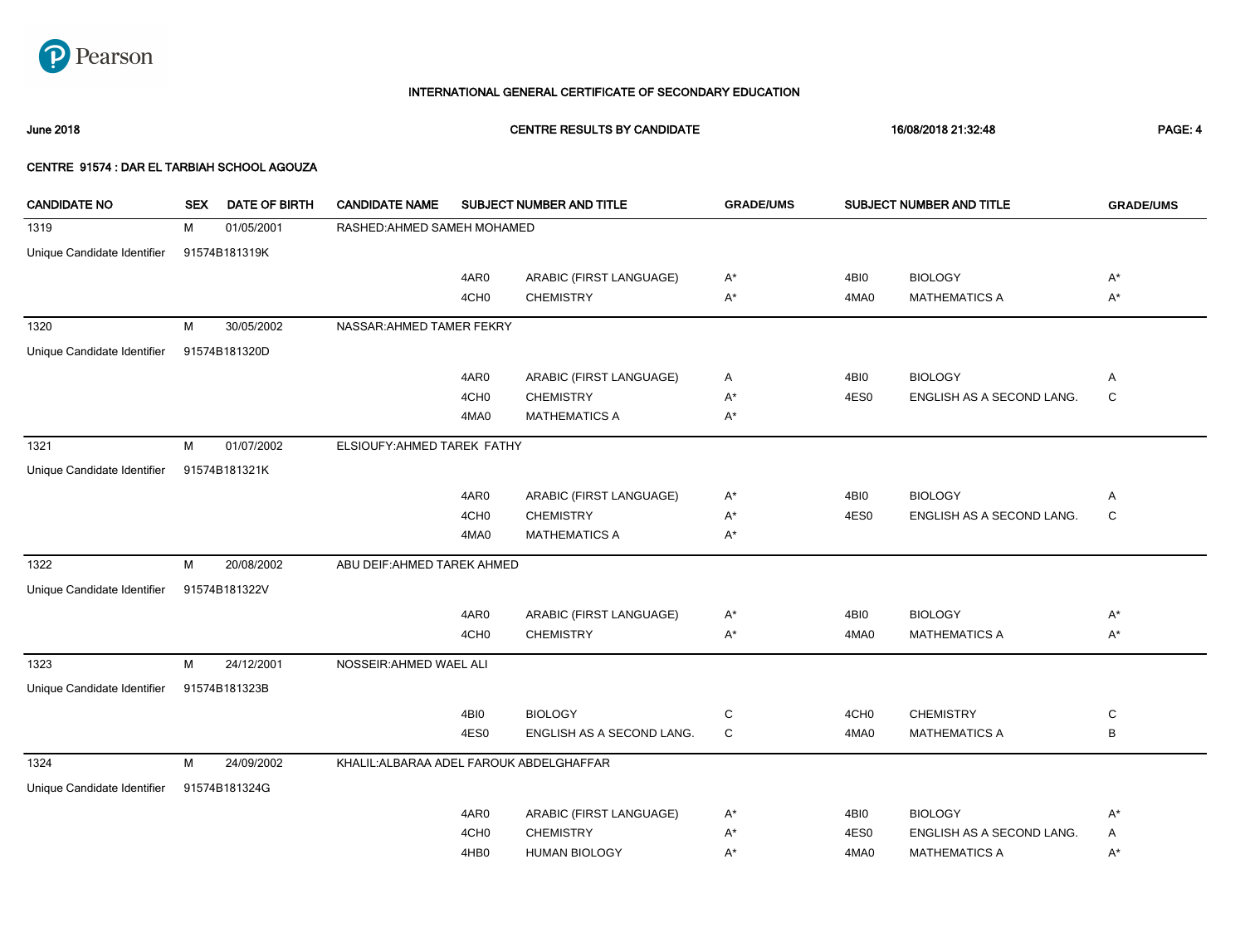

June 2018 CENTRE RESULTS BY CANDIDATE 16/08/2018 21:32:48 PAGE: 4

| <b>CANDIDATE NO</b>         | <b>SEX</b> | DATE OF BIRTH | <b>CANDIDATE NAME</b>                    |                  | SUBJECT NUMBER AND TITLE  | <b>GRADE/UMS</b> |                  | SUBJECT NUMBER AND TITLE  | <b>GRADE/UMS</b> |
|-----------------------------|------------|---------------|------------------------------------------|------------------|---------------------------|------------------|------------------|---------------------------|------------------|
| 1319                        | м          | 01/05/2001    | RASHED: AHMED SAMEH MOHAMED              |                  |                           |                  |                  |                           |                  |
| Unique Candidate Identifier |            | 91574B181319K |                                          |                  |                           |                  |                  |                           |                  |
|                             |            |               |                                          | 4AR0             | ARABIC (FIRST LANGUAGE)   | A*               | 4BI0             | <b>BIOLOGY</b>            | $A^*$            |
|                             |            |               |                                          | 4CH <sub>0</sub> | <b>CHEMISTRY</b>          | A*               | 4MA0             | <b>MATHEMATICS A</b>      | $A^*$            |
| 1320                        | M          | 30/05/2002    | NASSAR: AHMED TAMER FEKRY                |                  |                           |                  |                  |                           |                  |
| Unique Candidate Identifier |            | 91574B181320D |                                          |                  |                           |                  |                  |                           |                  |
|                             |            |               |                                          | 4AR0             | ARABIC (FIRST LANGUAGE)   | Α                | 4BI0             | <b>BIOLOGY</b>            | Α                |
|                             |            |               |                                          | 4CH <sub>0</sub> | <b>CHEMISTRY</b>          | A*               | 4ES0             | ENGLISH AS A SECOND LANG. | C                |
|                             |            |               |                                          | 4MA0             | <b>MATHEMATICS A</b>      | A*               |                  |                           |                  |
| 1321                        | М          | 01/07/2002    | ELSIOUFY: AHMED TAREK FATHY              |                  |                           |                  |                  |                           |                  |
| Unique Candidate Identifier |            | 91574B181321K |                                          |                  |                           |                  |                  |                           |                  |
|                             |            |               |                                          | 4AR0             | ARABIC (FIRST LANGUAGE)   | A*               | 4BI0             | <b>BIOLOGY</b>            | Α                |
|                             |            |               |                                          | 4CH <sub>0</sub> | <b>CHEMISTRY</b>          | A*               | 4ES0             | ENGLISH AS A SECOND LANG. | C                |
|                             |            |               |                                          | 4MA0             | <b>MATHEMATICS A</b>      | A*               |                  |                           |                  |
| 1322                        | M          | 20/08/2002    | ABU DEIF: AHMED TAREK AHMED              |                  |                           |                  |                  |                           |                  |
| Unique Candidate Identifier |            | 91574B181322V |                                          |                  |                           |                  |                  |                           |                  |
|                             |            |               |                                          | 4AR0             | ARABIC (FIRST LANGUAGE)   | A*               | 4BI0             | <b>BIOLOGY</b>            | A*               |
|                             |            |               |                                          | 4CH <sub>0</sub> | <b>CHEMISTRY</b>          | $A^*$            | 4MA0             | <b>MATHEMATICS A</b>      | $A^*$            |
| 1323                        | M          | 24/12/2001    | NOSSEIR: AHMED WAEL ALI                  |                  |                           |                  |                  |                           |                  |
| Unique Candidate Identifier |            | 91574B181323B |                                          |                  |                           |                  |                  |                           |                  |
|                             |            |               |                                          | 4BI0             | <b>BIOLOGY</b>            | C                | 4CH <sub>0</sub> | <b>CHEMISTRY</b>          | C                |
|                             |            |               |                                          | 4ES0             | ENGLISH AS A SECOND LANG. | C                | 4MA0             | <b>MATHEMATICS A</b>      | В                |
| 1324                        | м          | 24/09/2002    | KHALIL: ALBARAA ADEL FAROUK ABDELGHAFFAR |                  |                           |                  |                  |                           |                  |
| Unique Candidate Identifier |            | 91574B181324G |                                          |                  |                           |                  |                  |                           |                  |
|                             |            |               |                                          | 4AR0             | ARABIC (FIRST LANGUAGE)   | A*               | 4BI0             | <b>BIOLOGY</b>            | A*               |
|                             |            |               |                                          | 4CH <sub>0</sub> | <b>CHEMISTRY</b>          | A*               | 4ES0             | ENGLISH AS A SECOND LANG. | Α                |
|                             |            |               |                                          | 4HB0             | <b>HUMAN BIOLOGY</b>      | A*               | 4MA0             | <b>MATHEMATICS A</b>      | A*               |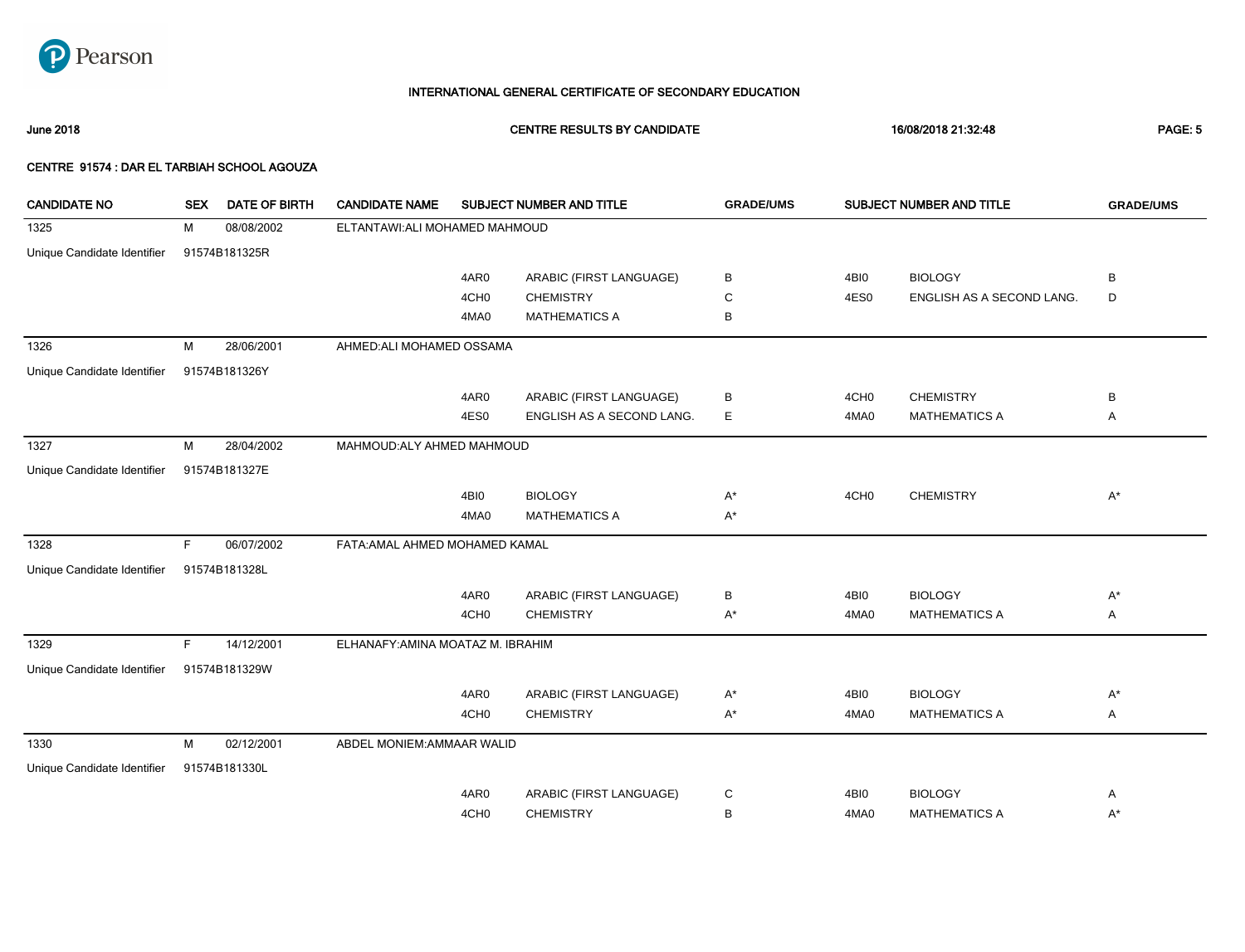

June 2018 CENTRE RESULTS BY CANDIDATE 16/08/2018 21:32:48 PAGE: 5

| <b>CANDIDATE NO</b>         | <b>SEX</b> | <b>DATE OF BIRTH</b> | <b>CANDIDATE NAME</b>             |                  | SUBJECT NUMBER AND TITLE  | <b>GRADE/UMS</b> |                  | SUBJECT NUMBER AND TITLE  | <b>GRADE/UMS</b> |
|-----------------------------|------------|----------------------|-----------------------------------|------------------|---------------------------|------------------|------------------|---------------------------|------------------|
| 1325                        | м          | 08/08/2002           | ELTANTAWI:ALI MOHAMED MAHMOUD     |                  |                           |                  |                  |                           |                  |
| Unique Candidate Identifier |            | 91574B181325R        |                                   |                  |                           |                  |                  |                           |                  |
|                             |            |                      |                                   | 4AR0             | ARABIC (FIRST LANGUAGE)   | В                | 4BI0             | <b>BIOLOGY</b>            | B                |
|                             |            |                      |                                   | 4CH <sub>0</sub> | <b>CHEMISTRY</b>          | C                | 4ES0             | ENGLISH AS A SECOND LANG. | D                |
|                             |            |                      |                                   | 4MA0             | <b>MATHEMATICS A</b>      | В                |                  |                           |                  |
| 1326                        | M          | 28/06/2001           | AHMED: ALI MOHAMED OSSAMA         |                  |                           |                  |                  |                           |                  |
| Unique Candidate Identifier |            | 91574B181326Y        |                                   |                  |                           |                  |                  |                           |                  |
|                             |            |                      |                                   | 4AR0             | ARABIC (FIRST LANGUAGE)   | В                | 4CH <sub>0</sub> | <b>CHEMISTRY</b>          | B                |
|                             |            |                      |                                   | 4ES0             | ENGLISH AS A SECOND LANG. | E                | 4MA0             | <b>MATHEMATICS A</b>      | Α                |
| 1327                        | M          | 28/04/2002           | MAHMOUD: ALY AHMED MAHMOUD        |                  |                           |                  |                  |                           |                  |
| Unique Candidate Identifier |            | 91574B181327E        |                                   |                  |                           |                  |                  |                           |                  |
|                             |            |                      |                                   | 4BI0             | <b>BIOLOGY</b>            | $A^*$            | 4CH <sub>0</sub> | <b>CHEMISTRY</b>          | $A^*$            |
|                             |            |                      |                                   | 4MA0             | <b>MATHEMATICS A</b>      | $A^*$            |                  |                           |                  |
| 1328                        | F.         | 06/07/2002           | FATA: AMAL AHMED MOHAMED KAMAL    |                  |                           |                  |                  |                           |                  |
| Unique Candidate Identifier |            | 91574B181328L        |                                   |                  |                           |                  |                  |                           |                  |
|                             |            |                      |                                   | 4AR0             | ARABIC (FIRST LANGUAGE)   | В                | 4BI0             | <b>BIOLOGY</b>            | $A^*$            |
|                             |            |                      |                                   | 4CH <sub>0</sub> | <b>CHEMISTRY</b>          | $A^*$            | 4MA0             | <b>MATHEMATICS A</b>      | Α                |
| 1329                        | F.         | 14/12/2001           | ELHANAFY: AMINA MOATAZ M. IBRAHIM |                  |                           |                  |                  |                           |                  |
| Unique Candidate Identifier |            | 91574B181329W        |                                   |                  |                           |                  |                  |                           |                  |
|                             |            |                      |                                   | 4AR0             | ARABIC (FIRST LANGUAGE)   | $A^*$            | 4BI0             | <b>BIOLOGY</b>            | $A^*$            |
|                             |            |                      |                                   | 4CH <sub>0</sub> | <b>CHEMISTRY</b>          | $A^*$            | 4MA0             | <b>MATHEMATICS A</b>      | Α                |
| 1330                        | М          | 02/12/2001           | ABDEL MONIEM: AMMAAR WALID        |                  |                           |                  |                  |                           |                  |
| Unique Candidate Identifier |            | 91574B181330L        |                                   |                  |                           |                  |                  |                           |                  |
|                             |            |                      |                                   | 4AR0             | ARABIC (FIRST LANGUAGE)   | С                | 4BI0             | <b>BIOLOGY</b>            | Α                |
|                             |            |                      |                                   | 4CH <sub>0</sub> | <b>CHEMISTRY</b>          | B                | 4MA0             | <b>MATHEMATICS A</b>      | $A^*$            |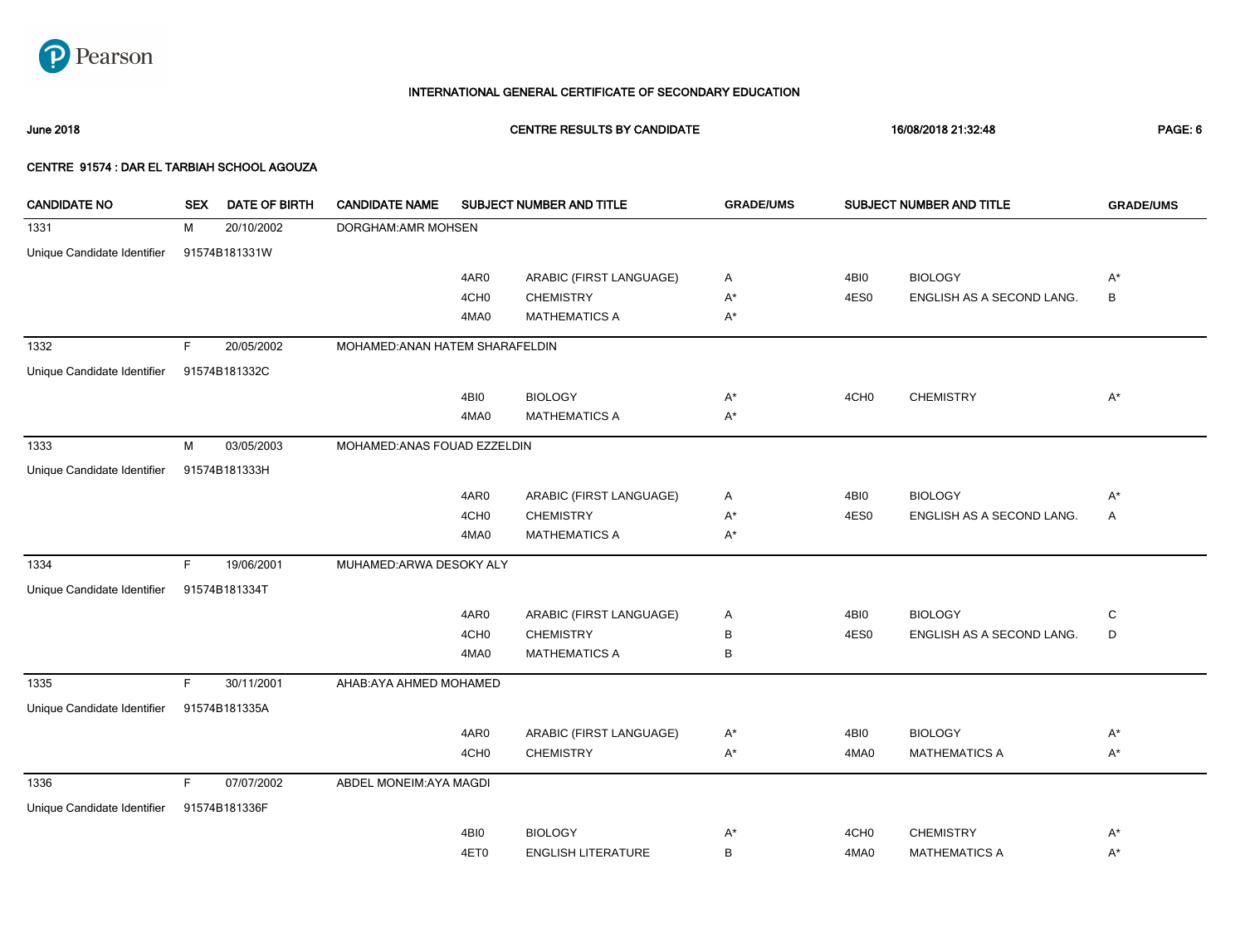

June 2018 CENTRE RESULTS BY CANDIDATE 16/08/2018 21:32:48 PAGE: 6

| <b>CANDIDATE NO</b>         | <b>SEX</b> | <b>DATE OF BIRTH</b> | <b>CANDIDATE NAME</b>           |                  | SUBJECT NUMBER AND TITLE  | <b>GRADE/UMS</b>   |                  | SUBJECT NUMBER AND TITLE  | <b>GRADE/UMS</b> |
|-----------------------------|------------|----------------------|---------------------------------|------------------|---------------------------|--------------------|------------------|---------------------------|------------------|
| 1331                        | М          | 20/10/2002           | DORGHAM: AMR MOHSEN             |                  |                           |                    |                  |                           |                  |
| Unique Candidate Identifier |            | 91574B181331W        |                                 |                  |                           |                    |                  |                           |                  |
|                             |            |                      |                                 | 4AR0             | ARABIC (FIRST LANGUAGE)   | Α                  | 4BI0             | <b>BIOLOGY</b>            | $A^*$            |
|                             |            |                      |                                 | 4CH <sub>0</sub> | <b>CHEMISTRY</b>          | $A^*$              | 4ES0             | ENGLISH AS A SECOND LANG. | $\mathsf B$      |
|                             |            |                      |                                 | 4MA0             | <b>MATHEMATICS A</b>      | $\mathsf{A}^\star$ |                  |                           |                  |
| 1332                        | F.         | 20/05/2002           | MOHAMED: ANAN HATEM SHARAFELDIN |                  |                           |                    |                  |                           |                  |
| Unique Candidate Identifier |            | 91574B181332C        |                                 |                  |                           |                    |                  |                           |                  |
|                             |            |                      |                                 | 4BI0             | <b>BIOLOGY</b>            | $\mathsf{A}^\star$ | 4CH <sub>0</sub> | <b>CHEMISTRY</b>          | $A^*$            |
|                             |            |                      |                                 | 4MA0             | <b>MATHEMATICS A</b>      | $\mathsf{A}^\star$ |                  |                           |                  |
| 1333                        | М          | 03/05/2003           | MOHAMED: ANAS FOUAD EZZELDIN    |                  |                           |                    |                  |                           |                  |
| Unique Candidate Identifier |            | 91574B181333H        |                                 |                  |                           |                    |                  |                           |                  |
|                             |            |                      |                                 | 4AR0             | ARABIC (FIRST LANGUAGE)   | Α                  | 4BI0             | <b>BIOLOGY</b>            | $A^*$            |
|                             |            |                      |                                 | 4CH <sub>0</sub> | <b>CHEMISTRY</b>          | $A^*$              | 4ES0             | ENGLISH AS A SECOND LANG. | Α                |
|                             |            |                      |                                 | 4MA0             | <b>MATHEMATICS A</b>      | $A^*$              |                  |                           |                  |
| 1334                        | F.         | 19/06/2001           | MUHAMED: ARWA DESOKY ALY        |                  |                           |                    |                  |                           |                  |
| Unique Candidate Identifier |            | 91574B181334T        |                                 |                  |                           |                    |                  |                           |                  |
|                             |            |                      |                                 | 4AR0             | ARABIC (FIRST LANGUAGE)   | Α                  | 4BI0             | <b>BIOLOGY</b>            | C                |
|                             |            |                      |                                 | 4CH <sub>0</sub> | <b>CHEMISTRY</b>          | В                  | 4ES0             | ENGLISH AS A SECOND LANG. | D                |
|                             |            |                      |                                 | 4MA0             | <b>MATHEMATICS A</b>      | В                  |                  |                           |                  |
| 1335                        | F          | 30/11/2001           | AHAB: AYA AHMED MOHAMED         |                  |                           |                    |                  |                           |                  |
| Unique Candidate Identifier |            | 91574B181335A        |                                 |                  |                           |                    |                  |                           |                  |
|                             |            |                      |                                 | 4AR0             | ARABIC (FIRST LANGUAGE)   | $A^*$              | 4BI0             | <b>BIOLOGY</b>            | $A^*$            |
|                             |            |                      |                                 | 4CH <sub>0</sub> | <b>CHEMISTRY</b>          | $A^*$              | 4MA0             | <b>MATHEMATICS A</b>      | $A^*$            |
| 1336                        | F.         | 07/07/2002           | ABDEL MONEIM: AYA MAGDI         |                  |                           |                    |                  |                           |                  |
| Unique Candidate Identifier |            | 91574B181336F        |                                 |                  |                           |                    |                  |                           |                  |
|                             |            |                      |                                 | 4BI0             | <b>BIOLOGY</b>            | A*                 | 4CH <sub>0</sub> | <b>CHEMISTRY</b>          | A*               |
|                             |            |                      |                                 | 4ET0             | <b>ENGLISH LITERATURE</b> | В                  | 4MA0             | <b>MATHEMATICS A</b>      | $A^*$            |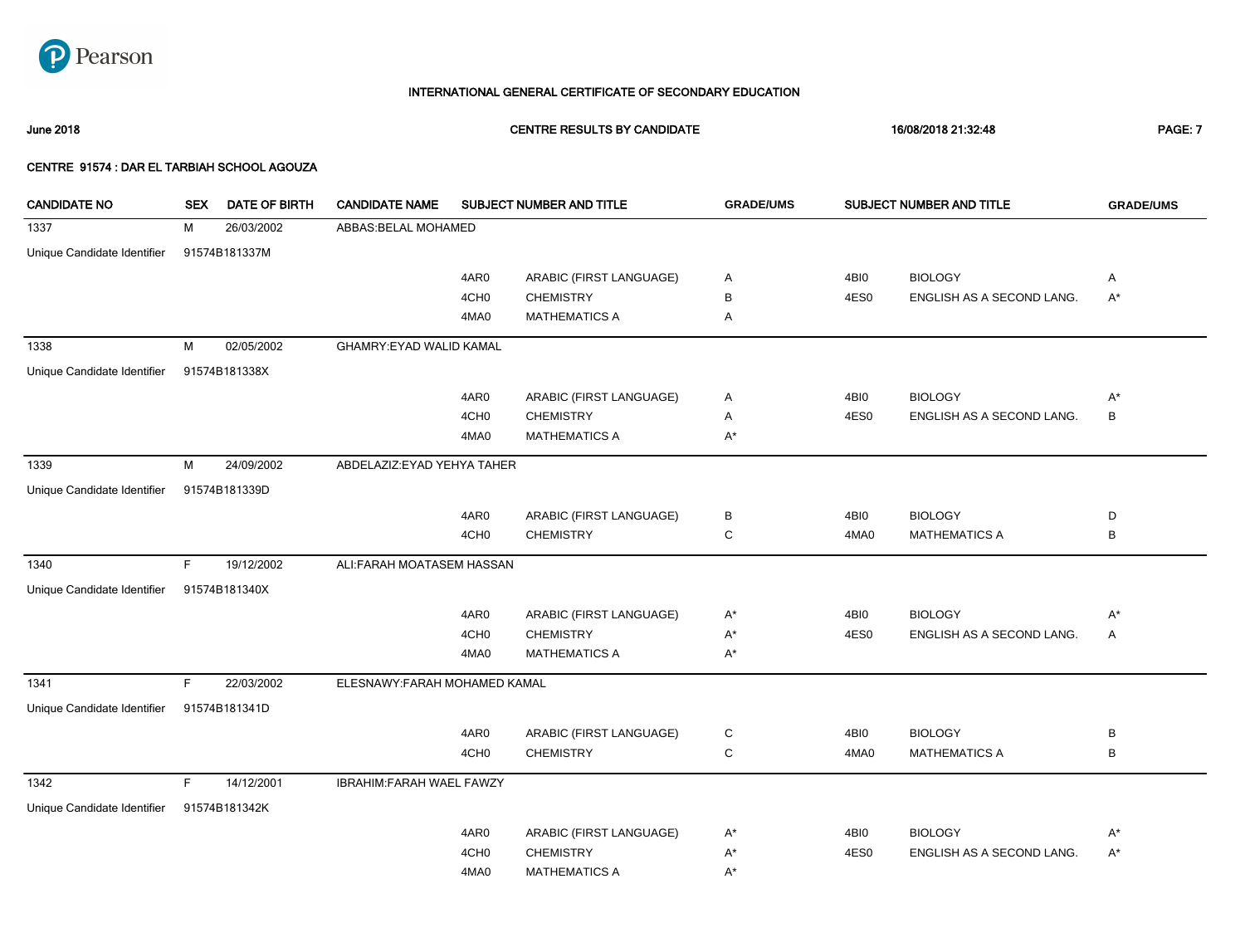

June 2018 CENTRE RESULTS BY CANDIDATE 16/08/2018 21:32:48 PAGE: 7

| <b>CANDIDATE NO</b>         | <b>SEX</b> | <b>DATE OF BIRTH</b> | <b>CANDIDATE NAME</b>          |                  | <b>SUBJECT NUMBER AND TITLE</b> | <b>GRADE/UMS</b> |      | <b>SUBJECT NUMBER AND TITLE</b> | <b>GRADE/UMS</b> |
|-----------------------------|------------|----------------------|--------------------------------|------------------|---------------------------------|------------------|------|---------------------------------|------------------|
| 1337                        | M          | 26/03/2002           | ABBAS: BELAL MOHAMED           |                  |                                 |                  |      |                                 |                  |
| Unique Candidate Identifier |            | 91574B181337M        |                                |                  |                                 |                  |      |                                 |                  |
|                             |            |                      |                                | 4AR0             | ARABIC (FIRST LANGUAGE)         | Α                | 4BI0 | <b>BIOLOGY</b>                  | Α                |
|                             |            |                      |                                | 4CH <sub>0</sub> | <b>CHEMISTRY</b>                | В                | 4ES0 | ENGLISH AS A SECOND LANG.       | $A^*$            |
|                             |            |                      |                                | 4MA0             | <b>MATHEMATICS A</b>            | Α                |      |                                 |                  |
| 1338                        | M          | 02/05/2002           | <b>GHAMRY:EYAD WALID KAMAL</b> |                  |                                 |                  |      |                                 |                  |
| Unique Candidate Identifier |            | 91574B181338X        |                                |                  |                                 |                  |      |                                 |                  |
|                             |            |                      |                                | 4AR0             | ARABIC (FIRST LANGUAGE)         | Α                | 4BI0 | <b>BIOLOGY</b>                  | $A^*$            |
|                             |            |                      |                                | 4CH <sub>0</sub> | <b>CHEMISTRY</b>                | Α                | 4ES0 | ENGLISH AS A SECOND LANG.       | $\, {\bf B}$     |
|                             |            |                      |                                | 4MA0             | <b>MATHEMATICS A</b>            | $A^*$            |      |                                 |                  |
| 1339                        | M          | 24/09/2002           | ABDELAZIZ: EYAD YEHYA TAHER    |                  |                                 |                  |      |                                 |                  |
| Unique Candidate Identifier |            | 91574B181339D        |                                |                  |                                 |                  |      |                                 |                  |
|                             |            |                      |                                | 4AR0             | ARABIC (FIRST LANGUAGE)         | в                | 4BI0 | <b>BIOLOGY</b>                  | D                |
|                             |            |                      |                                | 4CH <sub>0</sub> | <b>CHEMISTRY</b>                | C                | 4MA0 | <b>MATHEMATICS A</b>            | B                |
| 1340                        | F.         | 19/12/2002           | ALI:FARAH MOATASEM HASSAN      |                  |                                 |                  |      |                                 |                  |
| Unique Candidate Identifier |            | 91574B181340X        |                                |                  |                                 |                  |      |                                 |                  |
|                             |            |                      |                                | 4AR0             | ARABIC (FIRST LANGUAGE)         | $A^*$            | 4BI0 | <b>BIOLOGY</b>                  | $A^*$            |
|                             |            |                      |                                | 4CH <sub>0</sub> | <b>CHEMISTRY</b>                | $A^*$            | 4ES0 | ENGLISH AS A SECOND LANG.       | Α                |
|                             |            |                      |                                | 4MA0             | <b>MATHEMATICS A</b>            | $A^*$            |      |                                 |                  |
| 1341                        | F.         | 22/03/2002           | ELESNAWY:FARAH MOHAMED KAMAL   |                  |                                 |                  |      |                                 |                  |
| Unique Candidate Identifier |            | 91574B181341D        |                                |                  |                                 |                  |      |                                 |                  |
|                             |            |                      |                                | 4AR0             | ARABIC (FIRST LANGUAGE)         | C                | 4BI0 | <b>BIOLOGY</b>                  | В                |
|                             |            |                      |                                | 4CH <sub>0</sub> | <b>CHEMISTRY</b>                | C                | 4MA0 | <b>MATHEMATICS A</b>            | B                |
| 1342                        | F.         | 14/12/2001           | IBRAHIM: FARAH WAEL FAWZY      |                  |                                 |                  |      |                                 |                  |
| Unique Candidate Identifier |            | 91574B181342K        |                                |                  |                                 |                  |      |                                 |                  |
|                             |            |                      |                                | 4AR0             | ARABIC (FIRST LANGUAGE)         | $A^*$            | 4BI0 | <b>BIOLOGY</b>                  | $A^*$            |
|                             |            |                      |                                | 4CH <sub>0</sub> | <b>CHEMISTRY</b>                | $A^*$            | 4ES0 | ENGLISH AS A SECOND LANG.       | $A^*$            |
|                             |            |                      |                                | 4MA0             | <b>MATHEMATICS A</b>            | A*               |      |                                 |                  |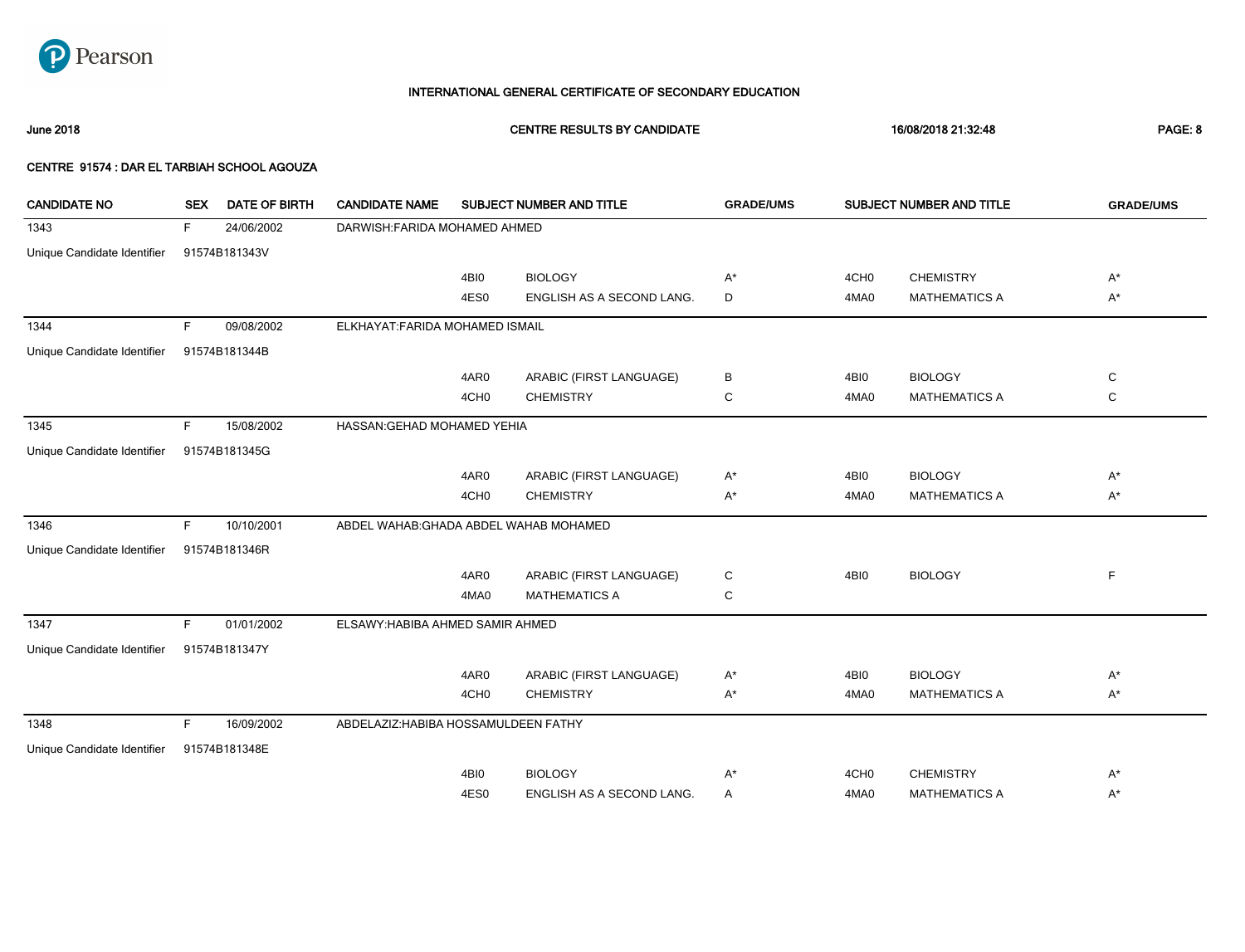

June 2018 CENTRE RESULTS BY CANDIDATE 16/08/2018 21:32:48 PAGE: 8

| <b>CANDIDATE NO</b>         | <b>SEX</b> | DATE OF BIRTH | <b>CANDIDATE NAME</b>                  |                  | SUBJECT NUMBER AND TITLE  | <b>GRADE/UMS</b> |                  | SUBJECT NUMBER AND TITLE | <b>GRADE/UMS</b> |
|-----------------------------|------------|---------------|----------------------------------------|------------------|---------------------------|------------------|------------------|--------------------------|------------------|
| 1343                        | F          | 24/06/2002    | DARWISH: FARIDA MOHAMED AHMED          |                  |                           |                  |                  |                          |                  |
| Unique Candidate Identifier |            | 91574B181343V |                                        |                  |                           |                  |                  |                          |                  |
|                             |            |               |                                        | 4BI0             | <b>BIOLOGY</b>            | A*               | 4CH <sub>0</sub> | <b>CHEMISTRY</b>         | A*               |
|                             |            |               |                                        | 4ES0             | ENGLISH AS A SECOND LANG. | D                | 4MA0             | <b>MATHEMATICS A</b>     | A*               |
| 1344                        | F.         | 09/08/2002    | ELKHAYAT: FARIDA MOHAMED ISMAIL        |                  |                           |                  |                  |                          |                  |
| Unique Candidate Identifier |            | 91574B181344B |                                        |                  |                           |                  |                  |                          |                  |
|                             |            |               |                                        | 4AR0             | ARABIC (FIRST LANGUAGE)   | В                | 4BI0             | <b>BIOLOGY</b>           | C                |
|                             |            |               |                                        | 4CH <sub>0</sub> | <b>CHEMISTRY</b>          | С                | 4MA0             | <b>MATHEMATICS A</b>     | C                |
| 1345                        | F          | 15/08/2002    | HASSAN: GEHAD MOHAMED YEHIA            |                  |                           |                  |                  |                          |                  |
| Unique Candidate Identifier |            | 91574B181345G |                                        |                  |                           |                  |                  |                          |                  |
|                             |            |               |                                        | 4AR0             | ARABIC (FIRST LANGUAGE)   | A*               | 4BI0             | <b>BIOLOGY</b>           | $A^*$            |
|                             |            |               |                                        | 4CH <sub>0</sub> | <b>CHEMISTRY</b>          | A*               | 4MA0             | <b>MATHEMATICS A</b>     | A*               |
| 1346                        | F.         | 10/10/2001    | ABDEL WAHAB: GHADA ABDEL WAHAB MOHAMED |                  |                           |                  |                  |                          |                  |
| Unique Candidate Identifier |            | 91574B181346R |                                        |                  |                           |                  |                  |                          |                  |
|                             |            |               |                                        | 4AR0             | ARABIC (FIRST LANGUAGE)   | C                | 4BI0             | <b>BIOLOGY</b>           | $\mathsf F$      |
|                             |            |               |                                        | 4MA0             | <b>MATHEMATICS A</b>      | С                |                  |                          |                  |
| 1347                        | F.         | 01/01/2002    | ELSAWY: HABIBA AHMED SAMIR AHMED       |                  |                           |                  |                  |                          |                  |
| Unique Candidate Identifier |            | 91574B181347Y |                                        |                  |                           |                  |                  |                          |                  |
|                             |            |               |                                        | 4AR0             | ARABIC (FIRST LANGUAGE)   | A*               | 4BI0             | <b>BIOLOGY</b>           | A*               |
|                             |            |               |                                        | 4CH <sub>0</sub> | <b>CHEMISTRY</b>          | A*               | 4MA0             | <b>MATHEMATICS A</b>     | A*               |
| 1348                        | F          | 16/09/2002    | ABDELAZIZ: HABIBA HOSSAMULDEEN FATHY   |                  |                           |                  |                  |                          |                  |
| Unique Candidate Identifier |            | 91574B181348E |                                        |                  |                           |                  |                  |                          |                  |
|                             |            |               |                                        | 4BI0             | <b>BIOLOGY</b>            | A*               | 4CH <sub>0</sub> | <b>CHEMISTRY</b>         | $A^*$            |
|                             |            |               |                                        | 4ES0             | ENGLISH AS A SECOND LANG. | Α                | 4MA0             | <b>MATHEMATICS A</b>     | $A^*$            |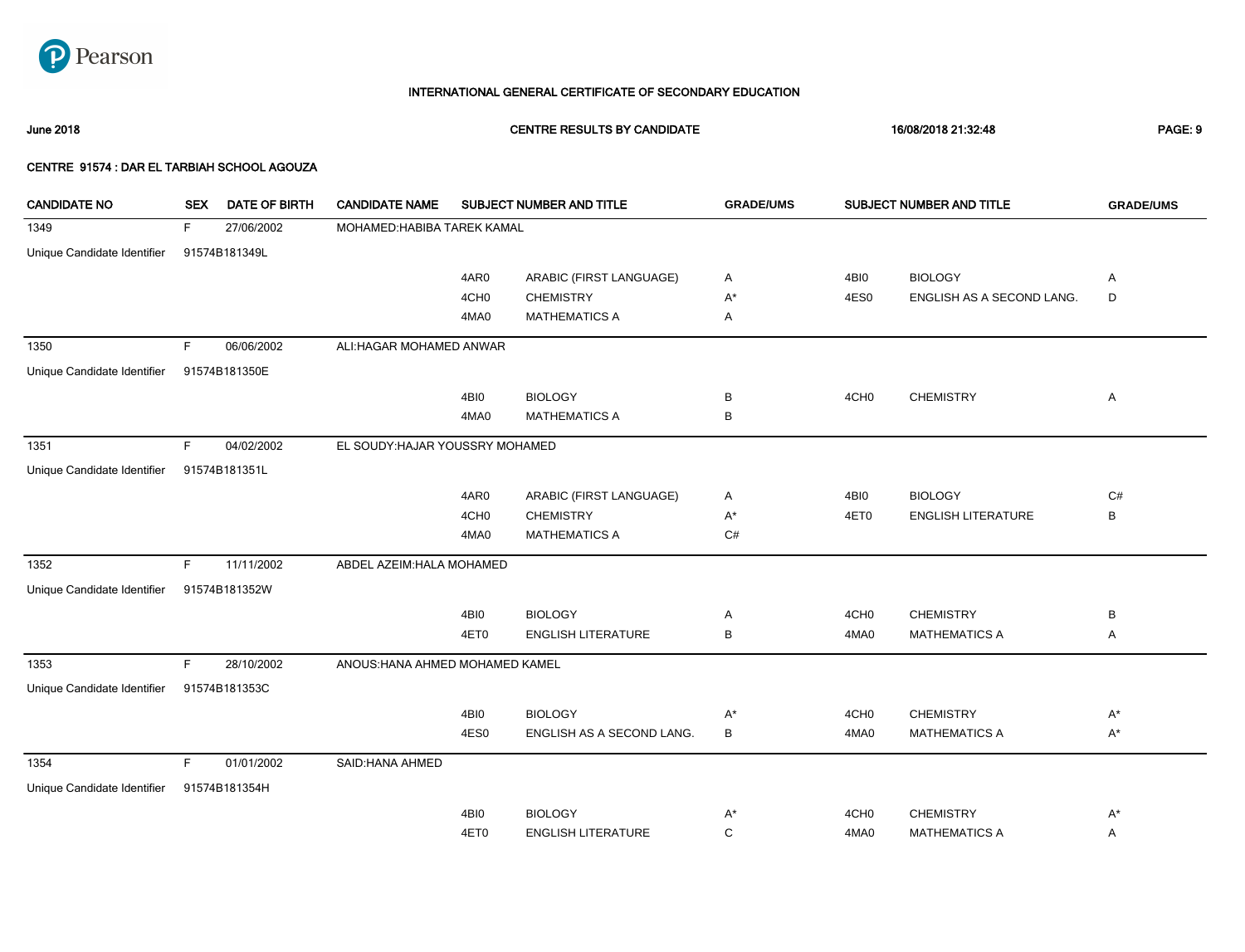

June 2018 CENTRE RESULTS BY CANDIDATE 16/08/2018 21:32:48 PAGE: 9

| <b>CANDIDATE NO</b>         | <b>SEX</b> | <b>DATE OF BIRTH</b> | <b>CANDIDATE NAME</b>           |                  | SUBJECT NUMBER AND TITLE  | <b>GRADE/UMS</b> |                  | SUBJECT NUMBER AND TITLE  | <b>GRADE/UMS</b> |
|-----------------------------|------------|----------------------|---------------------------------|------------------|---------------------------|------------------|------------------|---------------------------|------------------|
| 1349                        | F.         | 27/06/2002           | MOHAMED: HABIBA TAREK KAMAL     |                  |                           |                  |                  |                           |                  |
| Unique Candidate Identifier |            | 91574B181349L        |                                 |                  |                           |                  |                  |                           |                  |
|                             |            |                      |                                 | 4AR0             | ARABIC (FIRST LANGUAGE)   | Α                | 4BI0             | <b>BIOLOGY</b>            | Α                |
|                             |            |                      |                                 | 4CH <sub>0</sub> | <b>CHEMISTRY</b>          | $A^*$            | 4ES0             | ENGLISH AS A SECOND LANG. | D                |
|                             |            |                      |                                 | 4MA0             | <b>MATHEMATICS A</b>      | Α                |                  |                           |                  |
| 1350                        | F.         | 06/06/2002           | ALI: HAGAR MOHAMED ANWAR        |                  |                           |                  |                  |                           |                  |
| Unique Candidate Identifier |            | 91574B181350E        |                                 |                  |                           |                  |                  |                           |                  |
|                             |            |                      |                                 | 4BI0             | <b>BIOLOGY</b>            | в                | 4CH <sub>0</sub> | <b>CHEMISTRY</b>          | Α                |
|                             |            |                      |                                 | 4MA0             | <b>MATHEMATICS A</b>      | В                |                  |                           |                  |
| 1351                        | F.         | 04/02/2002           | EL SOUDY: HAJAR YOUSSRY MOHAMED |                  |                           |                  |                  |                           |                  |
| Unique Candidate Identifier |            | 91574B181351L        |                                 |                  |                           |                  |                  |                           |                  |
|                             |            |                      |                                 | 4AR0             | ARABIC (FIRST LANGUAGE)   | Α                | 4BI0             | <b>BIOLOGY</b>            | C#               |
|                             |            |                      |                                 | 4CH <sub>0</sub> | <b>CHEMISTRY</b>          | A*               | 4ET0             | <b>ENGLISH LITERATURE</b> | В                |
|                             |            |                      |                                 | 4MA0             | <b>MATHEMATICS A</b>      | C#               |                  |                           |                  |
| 1352                        | F          | 11/11/2002           | ABDEL AZEIM: HALA MOHAMED       |                  |                           |                  |                  |                           |                  |
| Unique Candidate Identifier |            | 91574B181352W        |                                 |                  |                           |                  |                  |                           |                  |
|                             |            |                      |                                 | 4BI0             | <b>BIOLOGY</b>            | Α                | 4CH <sub>0</sub> | <b>CHEMISTRY</b>          | В                |
|                             |            |                      |                                 | 4ET0             | <b>ENGLISH LITERATURE</b> | в                | 4MA0             | <b>MATHEMATICS A</b>      | Α                |
| 1353                        | F.         | 28/10/2002           | ANOUS: HANA AHMED MOHAMED KAMEL |                  |                           |                  |                  |                           |                  |
| Unique Candidate Identifier |            | 91574B181353C        |                                 |                  |                           |                  |                  |                           |                  |
|                             |            |                      |                                 | 4BI0             | <b>BIOLOGY</b>            | $A^*$            | 4CH <sub>0</sub> | <b>CHEMISTRY</b>          | $A^*$            |
|                             |            |                      |                                 | 4ES0             | ENGLISH AS A SECOND LANG. | В                | 4MA0             | <b>MATHEMATICS A</b>      | $A^*$            |
| 1354                        | F.         | 01/01/2002           | SAID: HANA AHMED                |                  |                           |                  |                  |                           |                  |
| Unique Candidate Identifier |            | 91574B181354H        |                                 |                  |                           |                  |                  |                           |                  |
|                             |            |                      |                                 | 4BI0             | <b>BIOLOGY</b>            | $A^*$            | 4CH <sub>0</sub> | <b>CHEMISTRY</b>          | $A^*$            |
|                             |            |                      |                                 | 4ET0             | <b>ENGLISH LITERATURE</b> | С                | 4MA0             | <b>MATHEMATICS A</b>      | Α                |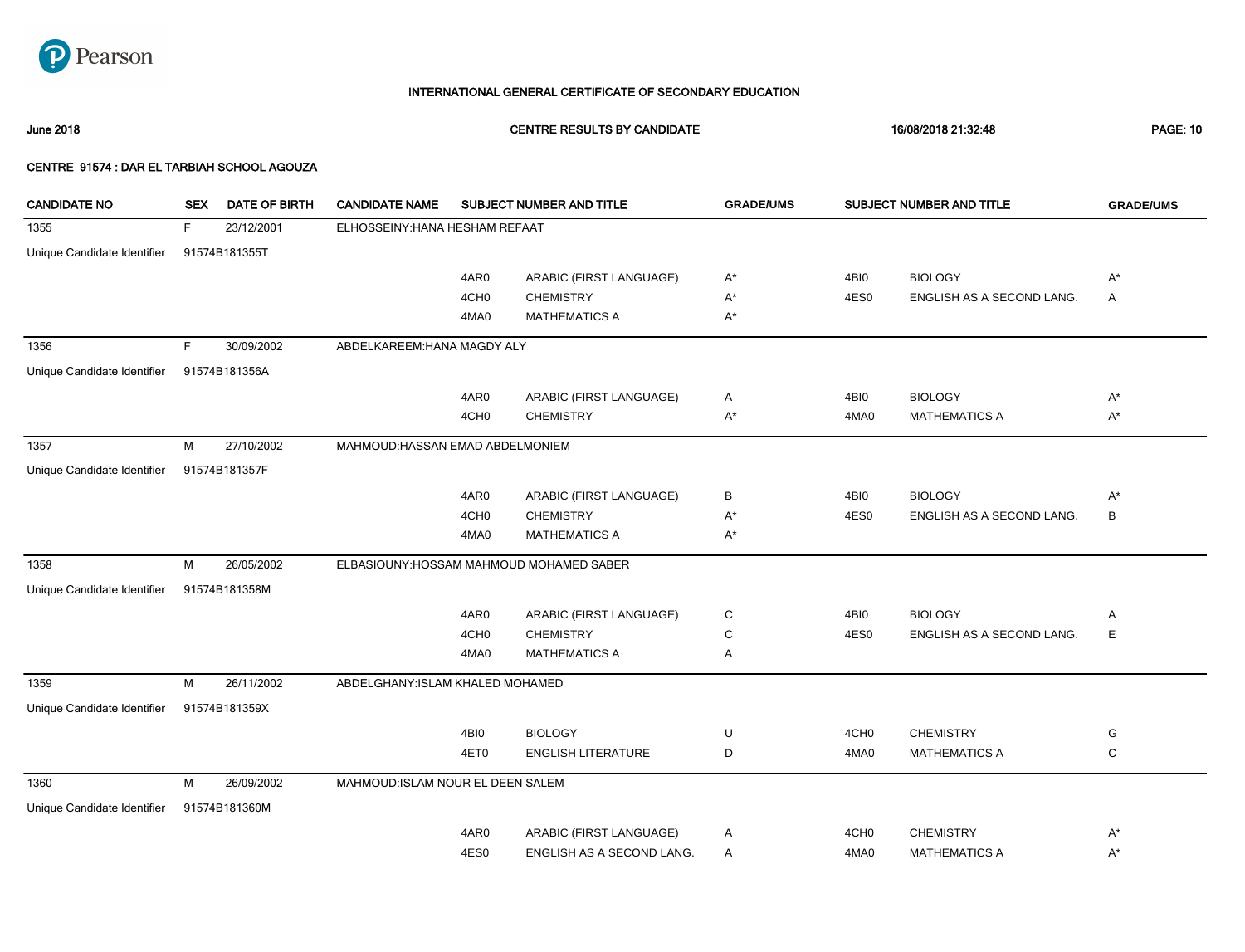

June 2018 CENTRE RESULTS BY CANDIDATE 16/08/2018 21:32:48 PAGE: 10

| <b>CANDIDATE NO</b>         | <b>SEX</b> | <b>DATE OF BIRTH</b> | <b>CANDIDATE NAME</b>             |                  | SUBJECT NUMBER AND TITLE                 | <b>GRADE/UMS</b> |                  | SUBJECT NUMBER AND TITLE  | <b>GRADE/UMS</b> |
|-----------------------------|------------|----------------------|-----------------------------------|------------------|------------------------------------------|------------------|------------------|---------------------------|------------------|
| 1355                        | F          | 23/12/2001           | ELHOSSEINY: HANA HESHAM REFAAT    |                  |                                          |                  |                  |                           |                  |
| Unique Candidate Identifier |            | 91574B181355T        |                                   |                  |                                          |                  |                  |                           |                  |
|                             |            |                      |                                   | 4AR0             | ARABIC (FIRST LANGUAGE)                  | $A^*$            | 4BI0             | <b>BIOLOGY</b>            | $A^*$            |
|                             |            |                      |                                   | 4CH <sub>0</sub> | <b>CHEMISTRY</b>                         | A*               | 4ES0             | ENGLISH AS A SECOND LANG. | A                |
|                             |            |                      |                                   | 4MA0             | <b>MATHEMATICS A</b>                     | A*               |                  |                           |                  |
| 1356                        | F.         | 30/09/2002           | ABDELKAREEM: HANA MAGDY ALY       |                  |                                          |                  |                  |                           |                  |
| Unique Candidate Identifier |            | 91574B181356A        |                                   |                  |                                          |                  |                  |                           |                  |
|                             |            |                      |                                   | 4AR0             | ARABIC (FIRST LANGUAGE)                  | Α                | 4BI0             | <b>BIOLOGY</b>            | $A^*$            |
|                             |            |                      |                                   | 4CH <sub>0</sub> | <b>CHEMISTRY</b>                         | $A^*$            | 4MA0             | <b>MATHEMATICS A</b>      | $A^*$            |
| 1357                        | M          | 27/10/2002           | MAHMOUD: HASSAN EMAD ABDELMONIEM  |                  |                                          |                  |                  |                           |                  |
| Unique Candidate Identifier |            | 91574B181357F        |                                   |                  |                                          |                  |                  |                           |                  |
|                             |            |                      |                                   | 4AR0             | ARABIC (FIRST LANGUAGE)                  | В                | 4BI0             | <b>BIOLOGY</b>            | $A^*$            |
|                             |            |                      |                                   | 4CH <sub>0</sub> | <b>CHEMISTRY</b>                         | $A^*$            | 4ES0             | ENGLISH AS A SECOND LANG. | B                |
|                             |            |                      |                                   | 4MA0             | <b>MATHEMATICS A</b>                     | A*               |                  |                           |                  |
| 1358                        | M          | 26/05/2002           |                                   |                  | ELBASIOUNY: HOSSAM MAHMOUD MOHAMED SABER |                  |                  |                           |                  |
| Unique Candidate Identifier |            | 91574B181358M        |                                   |                  |                                          |                  |                  |                           |                  |
|                             |            |                      |                                   | 4AR0             | ARABIC (FIRST LANGUAGE)                  | С                | 4BI0             | <b>BIOLOGY</b>            | Α                |
|                             |            |                      |                                   | 4CH <sub>0</sub> | <b>CHEMISTRY</b>                         | C                | 4ES0             | ENGLISH AS A SECOND LANG. | Ε                |
|                             |            |                      |                                   | 4MA0             | <b>MATHEMATICS A</b>                     | Α                |                  |                           |                  |
| 1359                        | M          | 26/11/2002           | ABDELGHANY: ISLAM KHALED MOHAMED  |                  |                                          |                  |                  |                           |                  |
| Unique Candidate Identifier |            | 91574B181359X        |                                   |                  |                                          |                  |                  |                           |                  |
|                             |            |                      |                                   | 4BI0             | <b>BIOLOGY</b>                           | U                | 4CH <sub>0</sub> | <b>CHEMISTRY</b>          | G                |
|                             |            |                      |                                   | 4ET0             | <b>ENGLISH LITERATURE</b>                | D                | 4MA0             | <b>MATHEMATICS A</b>      | C                |
| 1360                        | м          | 26/09/2002           | MAHMOUD: ISLAM NOUR EL DEEN SALEM |                  |                                          |                  |                  |                           |                  |
| Unique Candidate Identifier |            | 91574B181360M        |                                   |                  |                                          |                  |                  |                           |                  |
|                             |            |                      |                                   | 4AR0             | ARABIC (FIRST LANGUAGE)                  | Α                | 4CH <sub>0</sub> | <b>CHEMISTRY</b>          | $A^*$            |
|                             |            |                      |                                   | 4ES0             | ENGLISH AS A SECOND LANG.                | Α                | 4MA0             | <b>MATHEMATICS A</b>      | $A^*$            |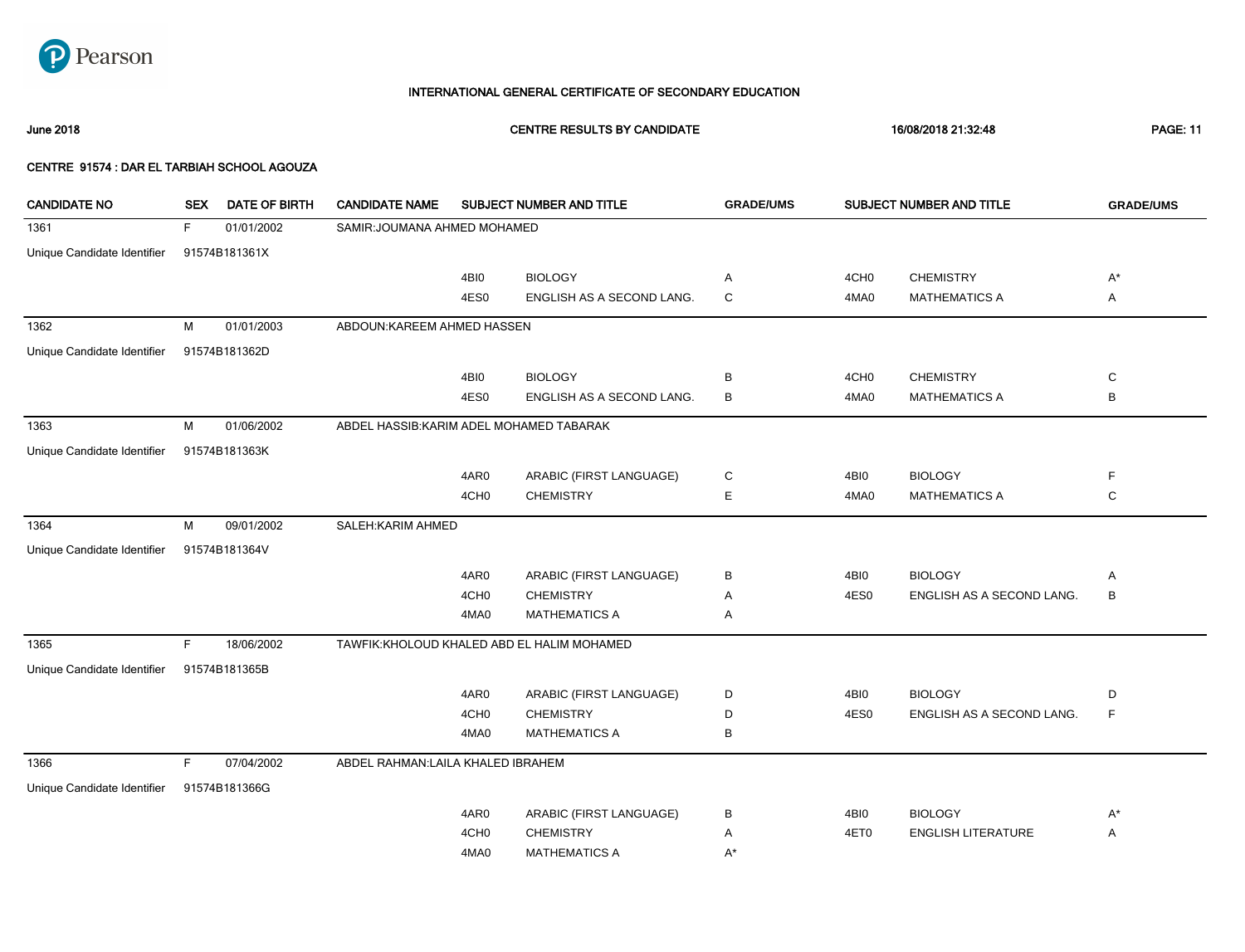

June 2018 CENTRE RESULTS BY CANDIDATE 16/08/2018 21:32:48 PAGE: 11

| <b>CANDIDATE NO</b>         | <b>SEX</b> | <b>DATE OF BIRTH</b> | <b>CANDIDATE NAME</b>                    |                  | SUBJECT NUMBER AND TITLE                    | <b>GRADE/UMS</b> |                  | SUBJECT NUMBER AND TITLE  | <b>GRADE/UMS</b> |
|-----------------------------|------------|----------------------|------------------------------------------|------------------|---------------------------------------------|------------------|------------------|---------------------------|------------------|
| 1361                        | F.         | 01/01/2002           | SAMIR: JOUMANA AHMED MOHAMED             |                  |                                             |                  |                  |                           |                  |
| Unique Candidate Identifier |            | 91574B181361X        |                                          |                  |                                             |                  |                  |                           |                  |
|                             |            |                      |                                          | 4BI0             | <b>BIOLOGY</b>                              | Α                | 4CH <sub>0</sub> | <b>CHEMISTRY</b>          | $A^*$            |
|                             |            |                      |                                          | 4ES0             | ENGLISH AS A SECOND LANG.                   | $\mathbf C$      | 4MA0             | <b>MATHEMATICS A</b>      | Α                |
| 1362                        | М          | 01/01/2003           | ABDOUN: KAREEM AHMED HASSEN              |                  |                                             |                  |                  |                           |                  |
| Unique Candidate Identifier |            | 91574B181362D        |                                          |                  |                                             |                  |                  |                           |                  |
|                             |            |                      |                                          | 4BI0             | <b>BIOLOGY</b>                              | В                | 4CH <sub>0</sub> | <b>CHEMISTRY</b>          | C                |
|                             |            |                      |                                          | 4ES0             | ENGLISH AS A SECOND LANG.                   | В                | 4MA0             | <b>MATHEMATICS A</b>      | B                |
| 1363                        | М          | 01/06/2002           | ABDEL HASSIB: KARIM ADEL MOHAMED TABARAK |                  |                                             |                  |                  |                           |                  |
| Unique Candidate Identifier |            | 91574B181363K        |                                          |                  |                                             |                  |                  |                           |                  |
|                             |            |                      |                                          | 4AR0             | ARABIC (FIRST LANGUAGE)                     | C                | 4BI0             | <b>BIOLOGY</b>            | F                |
|                             |            |                      |                                          | 4CH <sub>0</sub> | <b>CHEMISTRY</b>                            | E                | 4MA0             | <b>MATHEMATICS A</b>      | $\mathbf C$      |
| 1364                        | M          | 09/01/2002           | SALEH: KARIM AHMED                       |                  |                                             |                  |                  |                           |                  |
| Unique Candidate Identifier |            | 91574B181364V        |                                          |                  |                                             |                  |                  |                           |                  |
|                             |            |                      |                                          | 4AR0             | ARABIC (FIRST LANGUAGE)                     | В                | 4BI0             | <b>BIOLOGY</b>            | Α                |
|                             |            |                      |                                          | 4CH <sub>0</sub> | <b>CHEMISTRY</b>                            | Α                | 4ES0             | ENGLISH AS A SECOND LANG. | B                |
|                             |            |                      |                                          | 4MA0             | <b>MATHEMATICS A</b>                        | Α                |                  |                           |                  |
| 1365                        | F          | 18/06/2002           |                                          |                  | TAWFIK: KHOLOUD KHALED ABD EL HALIM MOHAMED |                  |                  |                           |                  |
| Unique Candidate Identifier |            | 91574B181365B        |                                          |                  |                                             |                  |                  |                           |                  |
|                             |            |                      |                                          | 4AR0             | ARABIC (FIRST LANGUAGE)                     | D                | 4BI0             | <b>BIOLOGY</b>            | D                |
|                             |            |                      |                                          | 4CH <sub>0</sub> | <b>CHEMISTRY</b>                            | D                | 4ES0             | ENGLISH AS A SECOND LANG. | F                |
|                             |            |                      |                                          | 4MA0             | <b>MATHEMATICS A</b>                        | В                |                  |                           |                  |
| 1366                        | E          | 07/04/2002           | ABDEL RAHMAN: LAILA KHALED IBRAHEM       |                  |                                             |                  |                  |                           |                  |
| Unique Candidate Identifier |            | 91574B181366G        |                                          |                  |                                             |                  |                  |                           |                  |
|                             |            |                      |                                          | 4AR0             | ARABIC (FIRST LANGUAGE)                     | в                | 4BI0             | <b>BIOLOGY</b>            | $A^*$            |
|                             |            |                      |                                          | 4CH <sub>0</sub> | <b>CHEMISTRY</b>                            | Α                | 4ET0             | <b>ENGLISH LITERATURE</b> | A                |
|                             |            |                      |                                          | 4MA0             | <b>MATHEMATICS A</b>                        | $A^*$            |                  |                           |                  |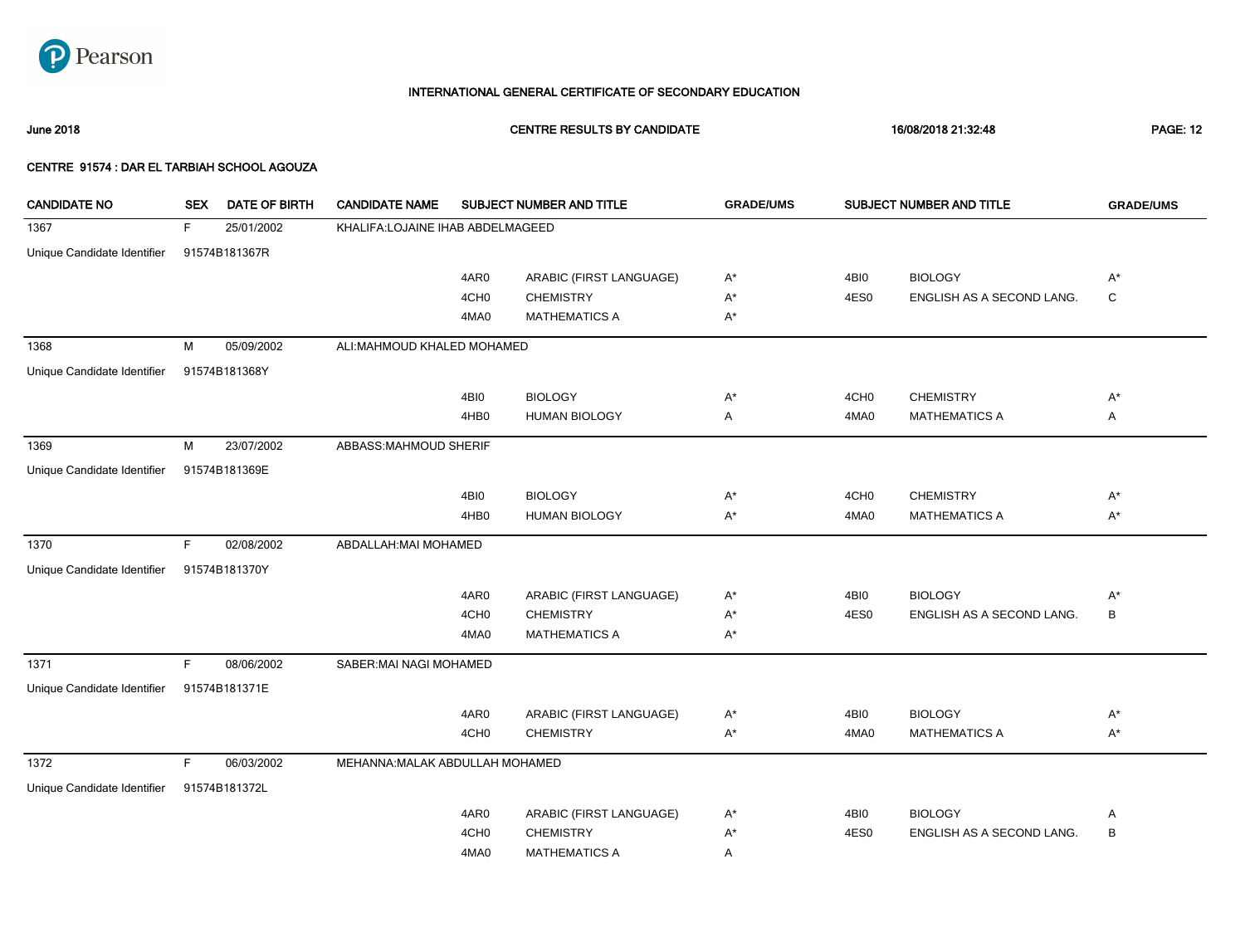

June 2018 CENTRE RESULTS BY CANDIDATE 16/08/2018 21:32:48 PAGE: 12

| <b>CANDIDATE NO</b>         | <b>SEX</b> | <b>DATE OF BIRTH</b> | <b>CANDIDATE NAME</b>            |                  | SUBJECT NUMBER AND TITLE | <b>GRADE/UMS</b> |                  | SUBJECT NUMBER AND TITLE  | <b>GRADE/UMS</b> |
|-----------------------------|------------|----------------------|----------------------------------|------------------|--------------------------|------------------|------------------|---------------------------|------------------|
| 1367                        | F.         | 25/01/2002           | KHALIFA:LOJAINE IHAB ABDELMAGEED |                  |                          |                  |                  |                           |                  |
| Unique Candidate Identifier |            | 91574B181367R        |                                  |                  |                          |                  |                  |                           |                  |
|                             |            |                      |                                  | 4AR0             | ARABIC (FIRST LANGUAGE)  | $A^*$            | 4BI0             | <b>BIOLOGY</b>            | $A^*$            |
|                             |            |                      |                                  | 4CH <sub>0</sub> | <b>CHEMISTRY</b>         | $A^*$            | 4ES0             | ENGLISH AS A SECOND LANG. | $\mathbf C$      |
|                             |            |                      |                                  | 4MA0             | <b>MATHEMATICS A</b>     | $A^*$            |                  |                           |                  |
| 1368                        | M          | 05/09/2002           | ALI:MAHMOUD KHALED MOHAMED       |                  |                          |                  |                  |                           |                  |
| Unique Candidate Identifier |            | 91574B181368Y        |                                  |                  |                          |                  |                  |                           |                  |
|                             |            |                      |                                  | 4BI0             | <b>BIOLOGY</b>           | $A^*$            | 4CH <sub>0</sub> | <b>CHEMISTRY</b>          | $A^*$            |
|                             |            |                      |                                  | 4HB <sub>0</sub> | <b>HUMAN BIOLOGY</b>     | A                | 4MA0             | <b>MATHEMATICS A</b>      | Α                |
| 1369                        | М          | 23/07/2002           | ABBASS:MAHMOUD SHERIF            |                  |                          |                  |                  |                           |                  |
| Unique Candidate Identifier |            | 91574B181369E        |                                  |                  |                          |                  |                  |                           |                  |
|                             |            |                      |                                  | 4BI0             | <b>BIOLOGY</b>           | $A^*$            | 4CH <sub>0</sub> | <b>CHEMISTRY</b>          | $A^*$            |
|                             |            |                      |                                  | 4HB0             | <b>HUMAN BIOLOGY</b>     | $A^*$            | 4MA0             | <b>MATHEMATICS A</b>      | $A^*$            |
| 1370                        | F          | 02/08/2002           | ABDALLAH: MAI MOHAMED            |                  |                          |                  |                  |                           |                  |
| Unique Candidate Identifier |            | 91574B181370Y        |                                  |                  |                          |                  |                  |                           |                  |
|                             |            |                      |                                  | 4AR0             | ARABIC (FIRST LANGUAGE)  | $A^*$            | 4BI0             | <b>BIOLOGY</b>            | $A^*$            |
|                             |            |                      |                                  | 4CH <sub>0</sub> | <b>CHEMISTRY</b>         | $A^*$            | 4ES0             | ENGLISH AS A SECOND LANG. | B                |
|                             |            |                      |                                  | 4MA0             | <b>MATHEMATICS A</b>     | $A^*$            |                  |                           |                  |
| 1371                        | F.         | 08/06/2002           | SABER: MAI NAGI MOHAMED          |                  |                          |                  |                  |                           |                  |
| Unique Candidate Identifier |            | 91574B181371E        |                                  |                  |                          |                  |                  |                           |                  |
|                             |            |                      |                                  | 4AR0             | ARABIC (FIRST LANGUAGE)  | $A^*$            | 4BI0             | <b>BIOLOGY</b>            | $A^*$            |
|                             |            |                      |                                  | 4CH <sub>0</sub> | <b>CHEMISTRY</b>         | $A^*$            | 4MA0             | <b>MATHEMATICS A</b>      | $A^*$            |
| 1372                        | F          | 06/03/2002           | MEHANNA: MALAK ABDULLAH MOHAMED  |                  |                          |                  |                  |                           |                  |
| Unique Candidate Identifier |            | 91574B181372L        |                                  |                  |                          |                  |                  |                           |                  |
|                             |            |                      |                                  | 4AR0             | ARABIC (FIRST LANGUAGE)  | $A^*$            | 4BI0             | <b>BIOLOGY</b>            | Α                |
|                             |            |                      |                                  | 4CH <sub>0</sub> | <b>CHEMISTRY</b>         | $A^*$            | 4ES0             | ENGLISH AS A SECOND LANG. | B                |
|                             |            |                      |                                  | 4MA0             | <b>MATHEMATICS A</b>     | Α                |                  |                           |                  |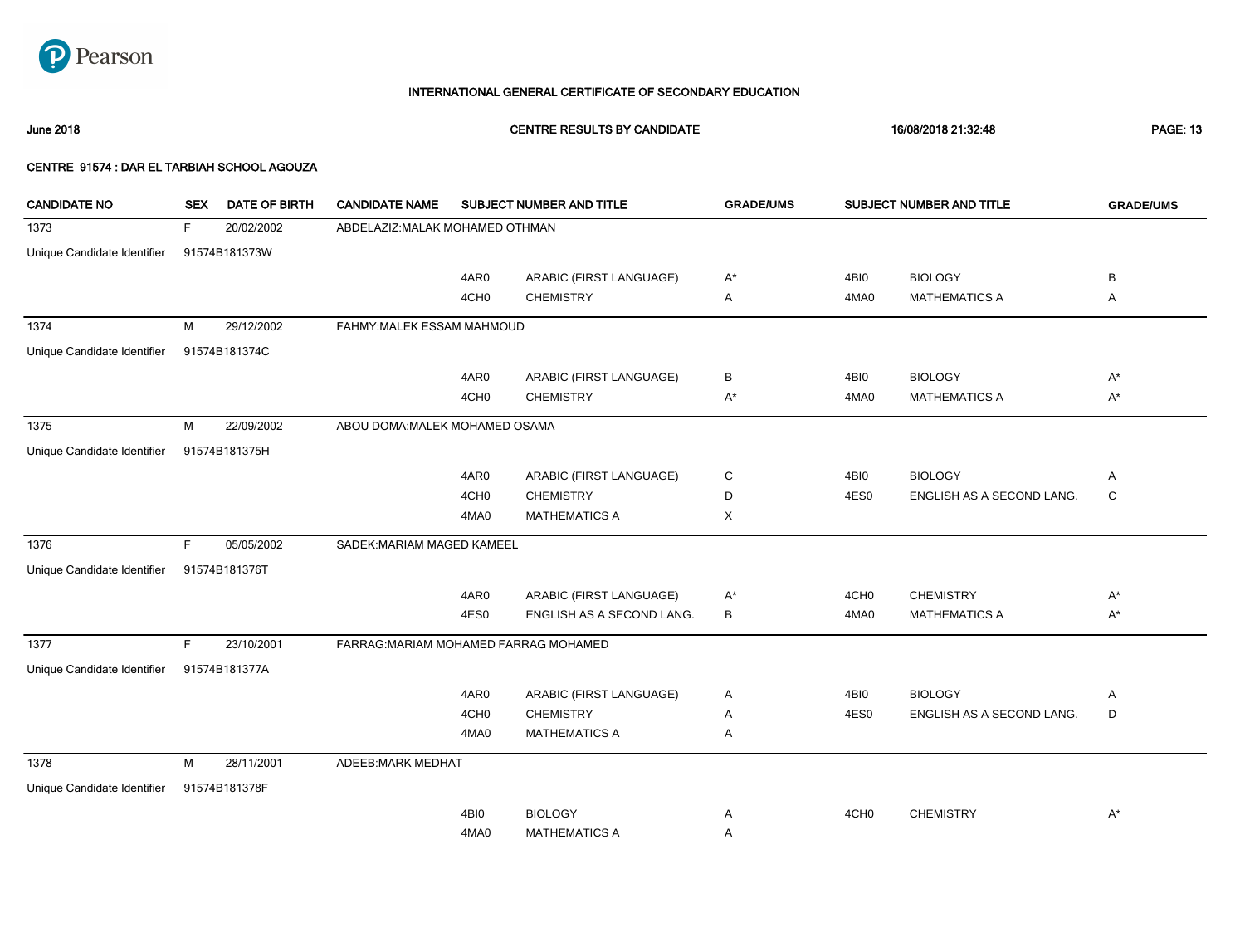

June 2018 CENTRE RESULTS BY CANDIDATE 16/08/2018 21:32:48 PAGE: 13

| <b>CANDIDATE NO</b>         | <b>SEX</b> | <b>DATE OF BIRTH</b> | <b>CANDIDATE NAME</b>                 |                  | SUBJECT NUMBER AND TITLE  | <b>GRADE/UMS</b> |                  | SUBJECT NUMBER AND TITLE  | <b>GRADE/UMS</b> |
|-----------------------------|------------|----------------------|---------------------------------------|------------------|---------------------------|------------------|------------------|---------------------------|------------------|
| 1373                        | F          | 20/02/2002           | ABDELAZIZ: MALAK MOHAMED OTHMAN       |                  |                           |                  |                  |                           |                  |
| Unique Candidate Identifier |            | 91574B181373W        |                                       |                  |                           |                  |                  |                           |                  |
|                             |            |                      |                                       | 4AR0             | ARABIC (FIRST LANGUAGE)   | $A^*$            | 4BI0             | <b>BIOLOGY</b>            | B                |
|                             |            |                      |                                       | 4CH <sub>0</sub> | <b>CHEMISTRY</b>          | Α                | 4MA0             | <b>MATHEMATICS A</b>      | Α                |
| 1374                        | М          | 29/12/2002           | FAHMY: MALEK ESSAM MAHMOUD            |                  |                           |                  |                  |                           |                  |
| Unique Candidate Identifier |            | 91574B181374C        |                                       |                  |                           |                  |                  |                           |                  |
|                             |            |                      |                                       | 4AR0             | ARABIC (FIRST LANGUAGE)   | В                | 4BI0             | <b>BIOLOGY</b>            | $A^*$            |
|                             |            |                      |                                       | 4CH <sub>0</sub> | <b>CHEMISTRY</b>          | $A^*$            | 4MA0             | <b>MATHEMATICS A</b>      | $A^*$            |
| 1375                        | M          | 22/09/2002           | ABOU DOMA: MALEK MOHAMED OSAMA        |                  |                           |                  |                  |                           |                  |
| Unique Candidate Identifier |            | 91574B181375H        |                                       |                  |                           |                  |                  |                           |                  |
|                             |            |                      |                                       |                  |                           |                  |                  |                           |                  |
|                             |            |                      |                                       | 4AR0             | ARABIC (FIRST LANGUAGE)   | C                | 4BI0             | <b>BIOLOGY</b>            | Α                |
|                             |            |                      |                                       | 4CH <sub>0</sub> | <b>CHEMISTRY</b>          | D                | 4ES0             | ENGLISH AS A SECOND LANG. | C                |
|                             |            |                      |                                       | 4MA0             | <b>MATHEMATICS A</b>      | X                |                  |                           |                  |
| 1376                        | F.         | 05/05/2002           | SADEK: MARIAM MAGED KAMEEL            |                  |                           |                  |                  |                           |                  |
| Unique Candidate Identifier |            | 91574B181376T        |                                       |                  |                           |                  |                  |                           |                  |
|                             |            |                      |                                       | 4AR0             | ARABIC (FIRST LANGUAGE)   | $A^*$            | 4CH <sub>0</sub> | <b>CHEMISTRY</b>          | $A^*$            |
|                             |            |                      |                                       | 4ES0             | ENGLISH AS A SECOND LANG. | В                | 4MA0             | <b>MATHEMATICS A</b>      | $A^*$            |
| 1377                        | F.         | 23/10/2001           | FARRAG: MARIAM MOHAMED FARRAG MOHAMED |                  |                           |                  |                  |                           |                  |
| Unique Candidate Identifier |            | 91574B181377A        |                                       |                  |                           |                  |                  |                           |                  |
|                             |            |                      |                                       | 4AR0             | ARABIC (FIRST LANGUAGE)   | Α                | 4BI0             | <b>BIOLOGY</b>            | Α                |
|                             |            |                      |                                       | 4CH <sub>0</sub> | <b>CHEMISTRY</b>          | Α                | 4ES0             | ENGLISH AS A SECOND LANG. | D                |
|                             |            |                      |                                       | 4MA0             | <b>MATHEMATICS A</b>      | Α                |                  |                           |                  |
| 1378                        | М          | 28/11/2001           | <b>ADEEB:MARK MEDHAT</b>              |                  |                           |                  |                  |                           |                  |
| Unique Candidate Identifier |            | 91574B181378F        |                                       |                  |                           |                  |                  |                           |                  |
|                             |            |                      |                                       | 4BI0             | <b>BIOLOGY</b>            | Α                | 4CH <sub>0</sub> | <b>CHEMISTRY</b>          | $A^*$            |
|                             |            |                      |                                       | 4MA0             | <b>MATHEMATICS A</b>      | Α                |                  |                           |                  |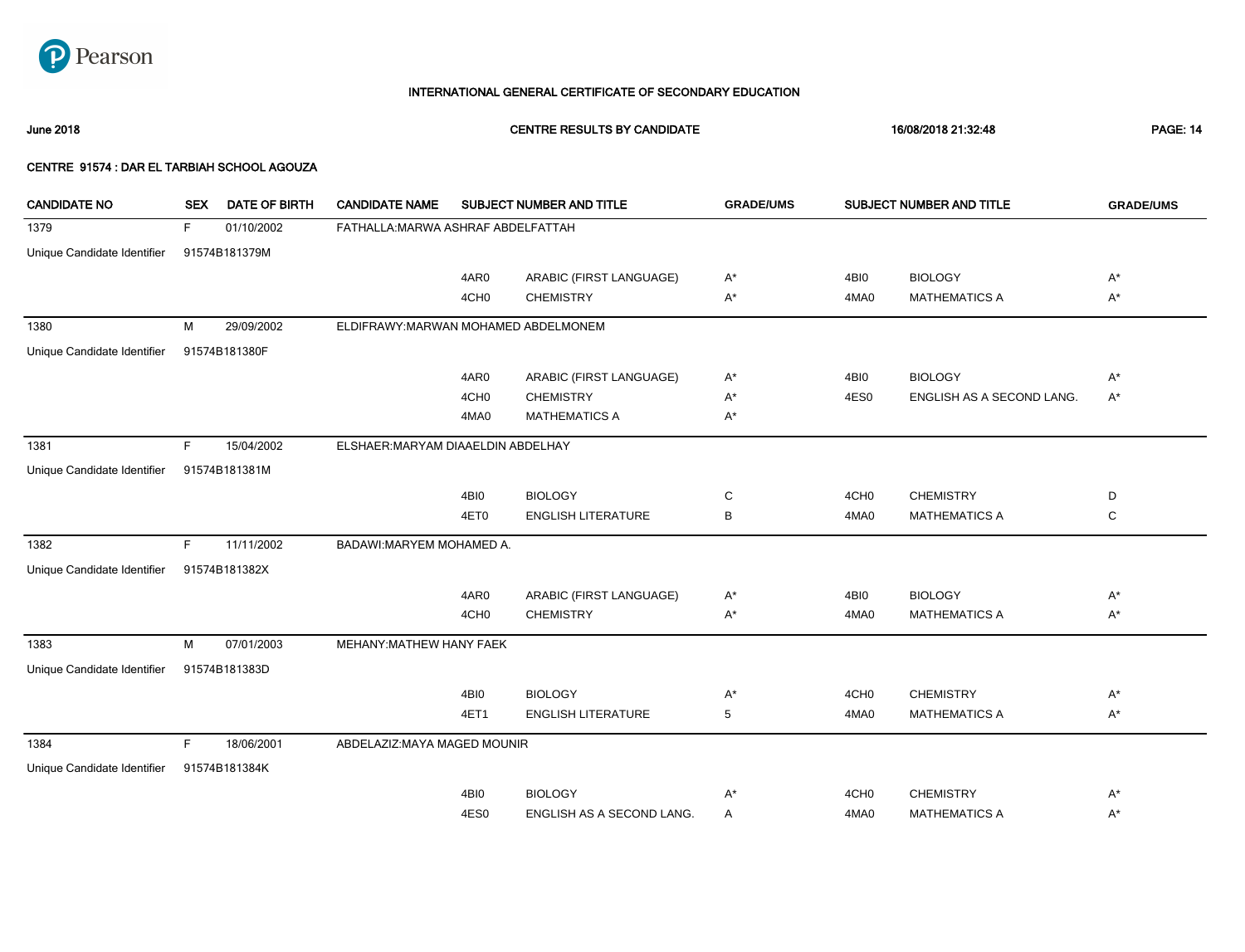

June 2018 CENTRE RESULTS BY CANDIDATE 16/08/2018 21:32:48 PAGE: 14

| <b>CANDIDATE NO</b>         | <b>SEX</b> | <b>DATE OF BIRTH</b> | <b>CANDIDATE NAME</b>                |                  | SUBJECT NUMBER AND TITLE  | <b>GRADE/UMS</b> |                  | SUBJECT NUMBER AND TITLE  | <b>GRADE/UMS</b> |
|-----------------------------|------------|----------------------|--------------------------------------|------------------|---------------------------|------------------|------------------|---------------------------|------------------|
| 1379                        | F          | 01/10/2002           | FATHALLA: MARWA ASHRAF ABDELFATTAH   |                  |                           |                  |                  |                           |                  |
| Unique Candidate Identifier |            | 91574B181379M        |                                      |                  |                           |                  |                  |                           |                  |
|                             |            |                      |                                      | 4AR0             | ARABIC (FIRST LANGUAGE)   | $A^*$            | 4BI0             | <b>BIOLOGY</b>            | $A^*$            |
|                             |            |                      |                                      | 4CH <sub>0</sub> | <b>CHEMISTRY</b>          | A*               | 4MA0             | <b>MATHEMATICS A</b>      | $A^*$            |
| 1380                        | м          | 29/09/2002           | ELDIFRAWY: MARWAN MOHAMED ABDELMONEM |                  |                           |                  |                  |                           |                  |
| Unique Candidate Identifier |            | 91574B181380F        |                                      |                  |                           |                  |                  |                           |                  |
|                             |            |                      |                                      | 4AR0             | ARABIC (FIRST LANGUAGE)   | $A^*$            | 4BI0             | <b>BIOLOGY</b>            | $A^*$            |
|                             |            |                      |                                      | 4CH <sub>0</sub> | <b>CHEMISTRY</b>          | A*               | 4ES0             | ENGLISH AS A SECOND LANG. | $A^*$            |
|                             |            |                      |                                      | 4MA0             | <b>MATHEMATICS A</b>      | A*               |                  |                           |                  |
| 1381                        | F.         | 15/04/2002           | ELSHAER: MARYAM DIAAELDIN ABDELHAY   |                  |                           |                  |                  |                           |                  |
| Unique Candidate Identifier |            | 91574B181381M        |                                      |                  |                           |                  |                  |                           |                  |
|                             |            |                      |                                      | 4BI0             | <b>BIOLOGY</b>            | C                | 4CH <sub>0</sub> | <b>CHEMISTRY</b>          | D                |
|                             |            |                      |                                      | 4ET0             | <b>ENGLISH LITERATURE</b> | В                | 4MA0             | <b>MATHEMATICS A</b>      | C                |
| 1382                        | F.         | 11/11/2002           | BADAWI: MARYEM MOHAMED A.            |                  |                           |                  |                  |                           |                  |
| Unique Candidate Identifier |            | 91574B181382X        |                                      |                  |                           |                  |                  |                           |                  |
|                             |            |                      |                                      | 4AR0             | ARABIC (FIRST LANGUAGE)   | $A^*$            | 4BI0             | <b>BIOLOGY</b>            | $A^*$            |
|                             |            |                      |                                      | 4CH <sub>0</sub> | <b>CHEMISTRY</b>          | $A^*$            | 4MA0             | <b>MATHEMATICS A</b>      | $A^*$            |
| 1383                        | M          | 07/01/2003           | MEHANY: MATHEW HANY FAEK             |                  |                           |                  |                  |                           |                  |
| Unique Candidate Identifier |            | 91574B181383D        |                                      |                  |                           |                  |                  |                           |                  |
|                             |            |                      |                                      | 4BI0             | <b>BIOLOGY</b>            | A*               | 4CH <sub>0</sub> | <b>CHEMISTRY</b>          | $A^*$            |
|                             |            |                      |                                      | 4ET1             | <b>ENGLISH LITERATURE</b> | 5                | 4MA0             | <b>MATHEMATICS A</b>      | $A^*$            |
| 1384                        | F          | 18/06/2001           | ABDELAZIZ: MAYA MAGED MOUNIR         |                  |                           |                  |                  |                           |                  |
| Unique Candidate Identifier |            | 91574B181384K        |                                      |                  |                           |                  |                  |                           |                  |
|                             |            |                      |                                      | 4BI0             | <b>BIOLOGY</b>            | A*               | 4CH <sub>0</sub> | <b>CHEMISTRY</b>          | $A^*$            |
|                             |            |                      |                                      | 4ES0             | ENGLISH AS A SECOND LANG. | Α                | 4MA0             | <b>MATHEMATICS A</b>      | $A^*$            |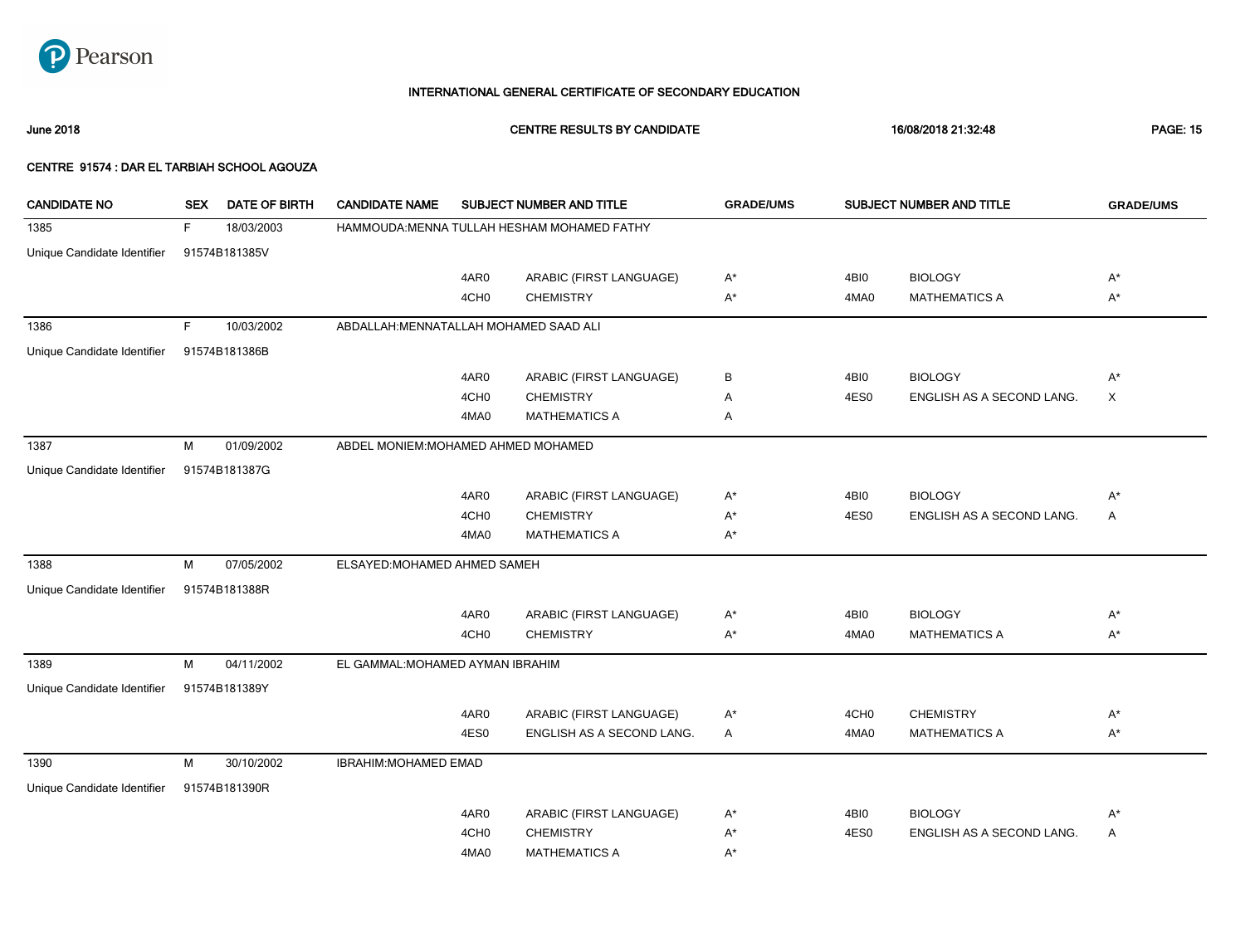

June 2018 CENTRE RESULTS BY CANDIDATE 16/08/2018 21:32:48 PAGE: 15

| <b>CANDIDATE NO</b>         | <b>SEX</b> | <b>DATE OF BIRTH</b> | <b>CANDIDATE NAME</b>                  |                  | <b>SUBJECT NUMBER AND TITLE</b>             | <b>GRADE/UMS</b> |                  | SUBJECT NUMBER AND TITLE  | <b>GRADE/UMS</b> |
|-----------------------------|------------|----------------------|----------------------------------------|------------------|---------------------------------------------|------------------|------------------|---------------------------|------------------|
| 1385                        | F.         | 18/03/2003           |                                        |                  | HAMMOUDA: MENNA TULLAH HESHAM MOHAMED FATHY |                  |                  |                           |                  |
| Unique Candidate Identifier |            | 91574B181385V        |                                        |                  |                                             |                  |                  |                           |                  |
|                             |            |                      |                                        | 4AR0             | ARABIC (FIRST LANGUAGE)                     | $A^*$            | 4BI0             | <b>BIOLOGY</b>            | $A^*$            |
|                             |            |                      |                                        | 4CH <sub>0</sub> | <b>CHEMISTRY</b>                            | A*               | 4MA0             | <b>MATHEMATICS A</b>      | $A^*$            |
| 1386                        | F.         | 10/03/2002           | ABDALLAH: MENNATALLAH MOHAMED SAAD ALI |                  |                                             |                  |                  |                           |                  |
| Unique Candidate Identifier |            | 91574B181386B        |                                        |                  |                                             |                  |                  |                           |                  |
|                             |            |                      |                                        | 4AR0             | ARABIC (FIRST LANGUAGE)                     | В                | 4BI0             | <b>BIOLOGY</b>            | $A^*$            |
|                             |            |                      |                                        | 4CH <sub>0</sub> | <b>CHEMISTRY</b>                            | Α                | 4ES0             | ENGLISH AS A SECOND LANG. | X                |
|                             |            |                      |                                        | 4MA0             | <b>MATHEMATICS A</b>                        | Α                |                  |                           |                  |
| 1387                        | М          | 01/09/2002           | ABDEL MONIEM: MOHAMED AHMED MOHAMED    |                  |                                             |                  |                  |                           |                  |
| Unique Candidate Identifier |            | 91574B181387G        |                                        |                  |                                             |                  |                  |                           |                  |
|                             |            |                      |                                        | 4AR0             | ARABIC (FIRST LANGUAGE)                     | $A^*$            | 4BI0             | <b>BIOLOGY</b>            | $A^*$            |
|                             |            |                      |                                        | 4CH <sub>0</sub> | <b>CHEMISTRY</b>                            | A*               | 4ES0             | ENGLISH AS A SECOND LANG. | $\mathsf{A}$     |
|                             |            |                      |                                        | 4MA0             | <b>MATHEMATICS A</b>                        | A*               |                  |                           |                  |
| 1388                        | М          | 07/05/2002           | ELSAYED: MOHAMED AHMED SAMEH           |                  |                                             |                  |                  |                           |                  |
| Unique Candidate Identifier |            | 91574B181388R        |                                        |                  |                                             |                  |                  |                           |                  |
|                             |            |                      |                                        | 4AR0             | ARABIC (FIRST LANGUAGE)                     | A*               | 4BI0             | <b>BIOLOGY</b>            | $A^*$            |
|                             |            |                      |                                        | 4CH <sub>0</sub> | <b>CHEMISTRY</b>                            | A*               | 4MA0             | <b>MATHEMATICS A</b>      | $A^*$            |
| 1389                        | M          | 04/11/2002           | EL GAMMAL: MOHAMED AYMAN IBRAHIM       |                  |                                             |                  |                  |                           |                  |
| Unique Candidate Identifier |            | 91574B181389Y        |                                        |                  |                                             |                  |                  |                           |                  |
|                             |            |                      |                                        | 4AR0             | ARABIC (FIRST LANGUAGE)                     | $A^*$            | 4CH <sub>0</sub> | <b>CHEMISTRY</b>          | $A^*$            |
|                             |            |                      |                                        | 4ES0             | ENGLISH AS A SECOND LANG.                   | Α                | 4MA0             | <b>MATHEMATICS A</b>      | $A^*$            |
| 1390                        | М          | 30/10/2002           | <b>IBRAHIM: MOHAMED EMAD</b>           |                  |                                             |                  |                  |                           |                  |
| Unique Candidate Identifier |            | 91574B181390R        |                                        |                  |                                             |                  |                  |                           |                  |
|                             |            |                      |                                        | 4AR0             | ARABIC (FIRST LANGUAGE)                     | A*               | 4BI0             | <b>BIOLOGY</b>            | A*               |
|                             |            |                      |                                        | 4CH <sub>0</sub> | <b>CHEMISTRY</b>                            | A*               | 4ES0             | ENGLISH AS A SECOND LANG. | Α                |
|                             |            |                      |                                        | 4MA0             | <b>MATHEMATICS A</b>                        | A*               |                  |                           |                  |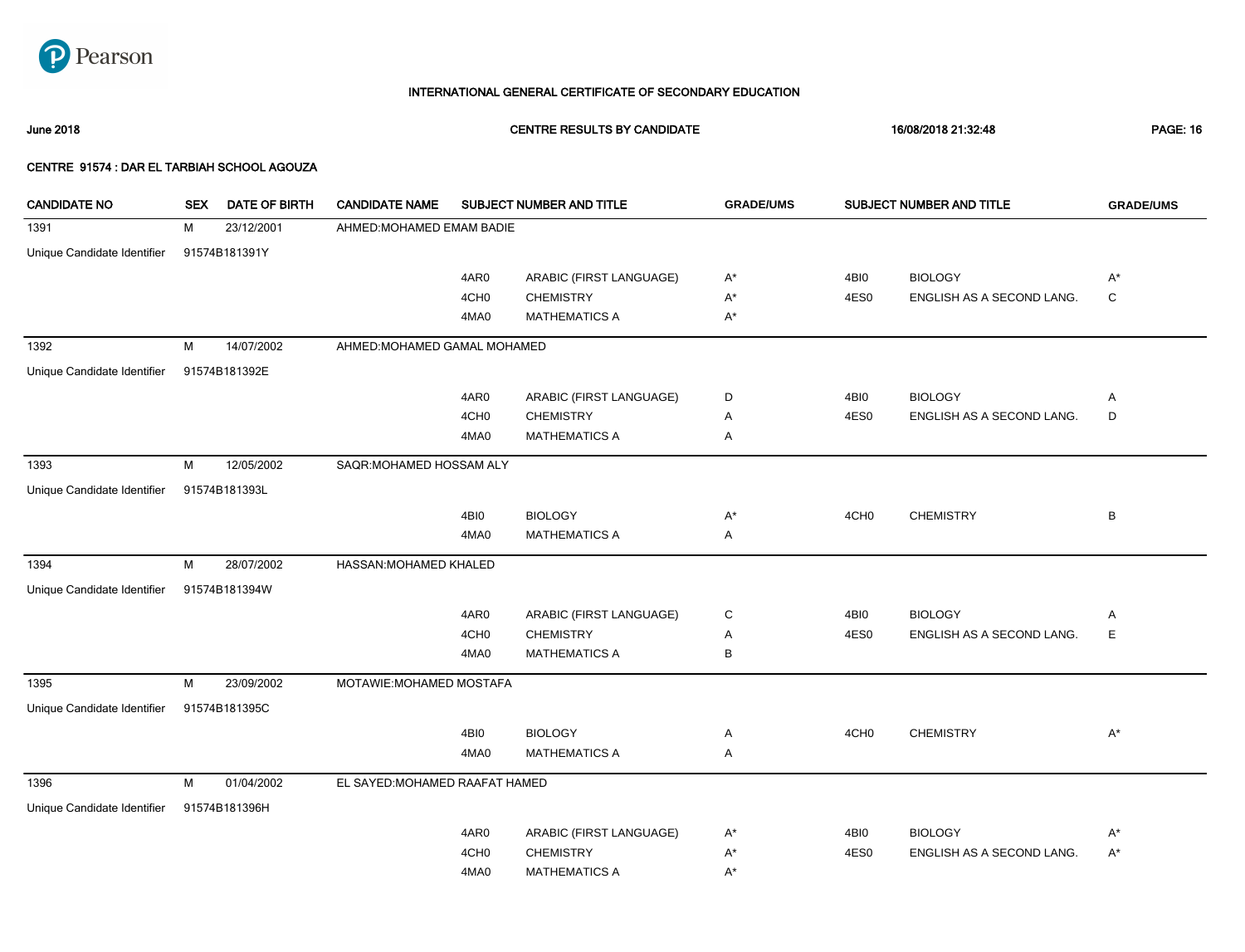

June 2018 CENTRE RESULTS BY CANDIDATE 16/08/2018 21:32:48 PAGE: 16

| <b>CANDIDATE NO</b>         | <b>SEX</b> | <b>DATE OF BIRTH</b> | <b>CANDIDATE NAME</b>          |                  | SUBJECT NUMBER AND TITLE | <b>GRADE/UMS</b>   |                  | SUBJECT NUMBER AND TITLE  | <b>GRADE/UMS</b> |
|-----------------------------|------------|----------------------|--------------------------------|------------------|--------------------------|--------------------|------------------|---------------------------|------------------|
| 1391                        | M          | 23/12/2001           | AHMED: MOHAMED EMAM BADIE      |                  |                          |                    |                  |                           |                  |
| Unique Candidate Identifier |            | 91574B181391Y        |                                |                  |                          |                    |                  |                           |                  |
|                             |            |                      |                                | 4AR0             | ARABIC (FIRST LANGUAGE)  | A*                 | 4BI0             | <b>BIOLOGY</b>            | $A^*$            |
|                             |            |                      |                                | 4CH <sub>0</sub> | <b>CHEMISTRY</b>         | A*                 | 4ES0             | ENGLISH AS A SECOND LANG. | C                |
|                             |            |                      |                                | 4MA0             | <b>MATHEMATICS A</b>     | $\mathsf{A}^\star$ |                  |                           |                  |
| 1392                        | M          | 14/07/2002           | AHMED: MOHAMED GAMAL MOHAMED   |                  |                          |                    |                  |                           |                  |
| Unique Candidate Identifier |            | 91574B181392E        |                                |                  |                          |                    |                  |                           |                  |
|                             |            |                      |                                | 4AR0             | ARABIC (FIRST LANGUAGE)  | D                  | 4BI0             | <b>BIOLOGY</b>            | Α                |
|                             |            |                      |                                | 4CH <sub>0</sub> | <b>CHEMISTRY</b>         | Α                  | 4ES0             | ENGLISH AS A SECOND LANG. | D                |
|                             |            |                      |                                | 4MA0             | <b>MATHEMATICS A</b>     | Α                  |                  |                           |                  |
| 1393                        | M          | 12/05/2002           | SAQR: MOHAMED HOSSAM ALY       |                  |                          |                    |                  |                           |                  |
| Unique Candidate Identifier |            | 91574B181393L        |                                |                  |                          |                    |                  |                           |                  |
|                             |            |                      |                                | 4BI0             | <b>BIOLOGY</b>           | A*                 | 4CH <sub>0</sub> | <b>CHEMISTRY</b>          | В                |
|                             |            |                      |                                | 4MA0             | <b>MATHEMATICS A</b>     | Α                  |                  |                           |                  |
| 1394                        | M          | 28/07/2002           | HASSAN: MOHAMED KHALED         |                  |                          |                    |                  |                           |                  |
| Unique Candidate Identifier |            | 91574B181394W        |                                |                  |                          |                    |                  |                           |                  |
|                             |            |                      |                                | 4AR0             | ARABIC (FIRST LANGUAGE)  | С                  | 4BI0             | <b>BIOLOGY</b>            | Α                |
|                             |            |                      |                                | 4CH <sub>0</sub> | <b>CHEMISTRY</b>         | Α                  | 4ES0             | ENGLISH AS A SECOND LANG. | Е                |
|                             |            |                      |                                | 4MA0             | <b>MATHEMATICS A</b>     | В                  |                  |                           |                  |
| 1395                        | M          | 23/09/2002           | MOTAWIE: MOHAMED MOSTAFA       |                  |                          |                    |                  |                           |                  |
| Unique Candidate Identifier |            | 91574B181395C        |                                |                  |                          |                    |                  |                           |                  |
|                             |            |                      |                                | 4BI0             | <b>BIOLOGY</b>           | Α                  | 4CH <sub>0</sub> | <b>CHEMISTRY</b>          | $A^*$            |
|                             |            |                      |                                | 4MA0             | <b>MATHEMATICS A</b>     | Α                  |                  |                           |                  |
| 1396                        | M          | 01/04/2002           | EL SAYED: MOHAMED RAAFAT HAMED |                  |                          |                    |                  |                           |                  |
| Unique Candidate Identifier |            | 91574B181396H        |                                |                  |                          |                    |                  |                           |                  |
|                             |            |                      |                                | 4AR0             | ARABIC (FIRST LANGUAGE)  | A*                 | 4BI0             | <b>BIOLOGY</b>            | $A^*$            |
|                             |            |                      |                                | 4CH <sub>0</sub> | <b>CHEMISTRY</b>         | A*                 | 4ES0             | ENGLISH AS A SECOND LANG. | $A^*$            |
|                             |            |                      |                                | 4MA0             | <b>MATHEMATICS A</b>     | A*                 |                  |                           |                  |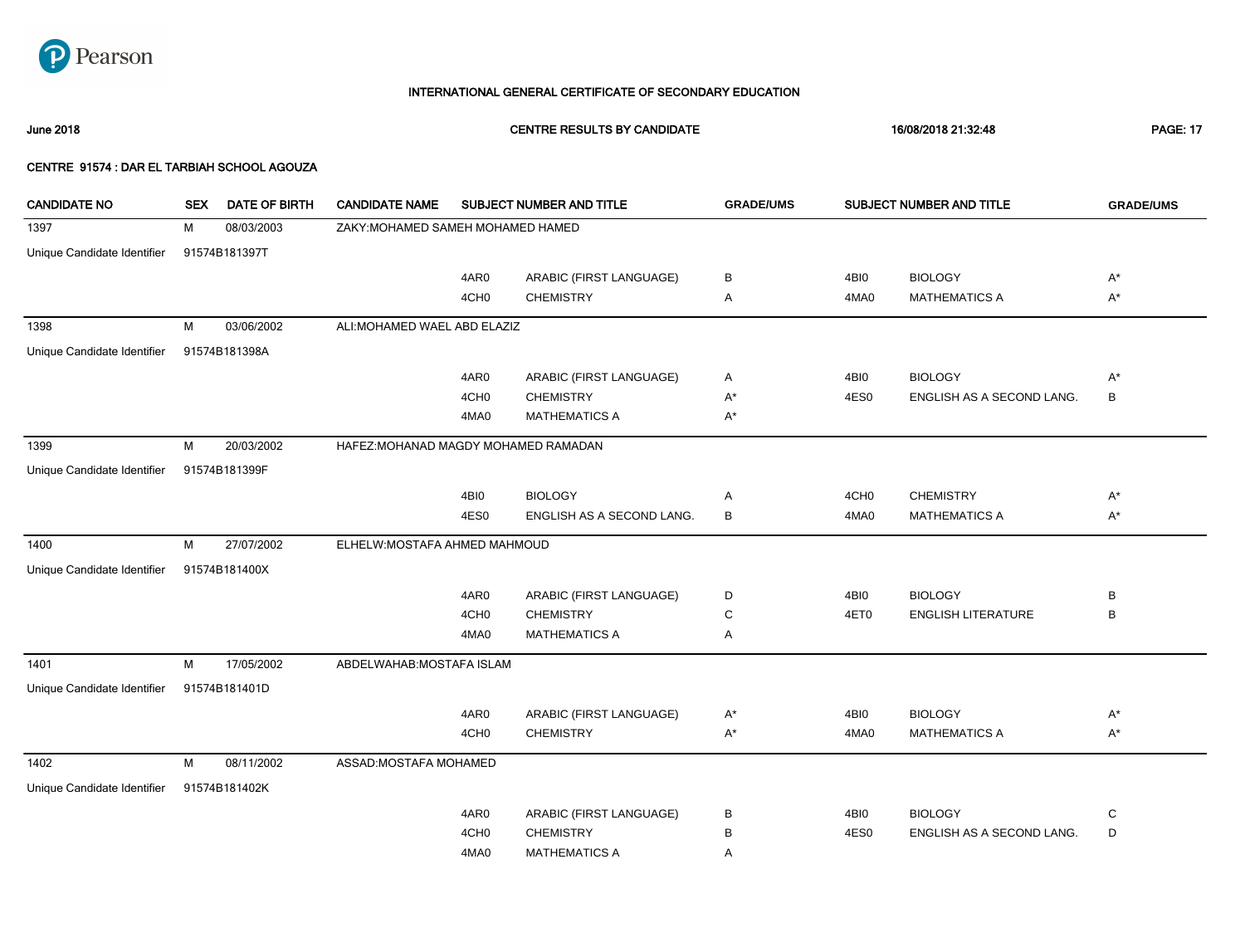

June 2018 CENTRE RESULTS BY CANDIDATE 16/08/2018 21:32:48 PAGE: 17

| <b>CANDIDATE NO</b>         | <b>SEX</b> | <b>DATE OF BIRTH</b> | <b>CANDIDATE NAME</b>                |                  | SUBJECT NUMBER AND TITLE  | <b>GRADE/UMS</b> |                  | SUBJECT NUMBER AND TITLE  | <b>GRADE/UMS</b> |
|-----------------------------|------------|----------------------|--------------------------------------|------------------|---------------------------|------------------|------------------|---------------------------|------------------|
| 1397                        | м          | 08/03/2003           | ZAKY: MOHAMED SAMEH MOHAMED HAMED    |                  |                           |                  |                  |                           |                  |
| Unique Candidate Identifier |            | 91574B181397T        |                                      |                  |                           |                  |                  |                           |                  |
|                             |            |                      |                                      | 4AR0             | ARABIC (FIRST LANGUAGE)   | в                | 4BI0             | <b>BIOLOGY</b>            | $A^*$            |
|                             |            |                      |                                      | 4CH <sub>0</sub> | <b>CHEMISTRY</b>          | Α                | 4MA0             | <b>MATHEMATICS A</b>      | $A^*$            |
| 1398                        | М          | 03/06/2002           | ALI: MOHAMED WAEL ABD ELAZIZ         |                  |                           |                  |                  |                           |                  |
| Unique Candidate Identifier |            | 91574B181398A        |                                      |                  |                           |                  |                  |                           |                  |
|                             |            |                      |                                      | 4AR0             | ARABIC (FIRST LANGUAGE)   | Α                | 4BI0             | <b>BIOLOGY</b>            | $A^*$            |
|                             |            |                      |                                      | 4CH <sub>0</sub> | <b>CHEMISTRY</b>          | $A^*$            | 4ES0             | ENGLISH AS A SECOND LANG. | В                |
|                             |            |                      |                                      | 4MA0             | <b>MATHEMATICS A</b>      | A*               |                  |                           |                  |
| 1399                        | М          | 20/03/2002           | HAFEZ: MOHANAD MAGDY MOHAMED RAMADAN |                  |                           |                  |                  |                           |                  |
| Unique Candidate Identifier |            | 91574B181399F        |                                      |                  |                           |                  |                  |                           |                  |
|                             |            |                      |                                      | 4BI0             | <b>BIOLOGY</b>            | Α                | 4CH <sub>0</sub> | <b>CHEMISTRY</b>          | $A^*$            |
|                             |            |                      |                                      | 4ES0             | ENGLISH AS A SECOND LANG. | В                | 4MA0             | <b>MATHEMATICS A</b>      | $A^*$            |
| 1400                        | M          | 27/07/2002           | ELHELW: MOSTAFA AHMED MAHMOUD        |                  |                           |                  |                  |                           |                  |
| Unique Candidate Identifier |            | 91574B181400X        |                                      |                  |                           |                  |                  |                           |                  |
|                             |            |                      |                                      | 4AR0             | ARABIC (FIRST LANGUAGE)   | D                | 4BI0             | <b>BIOLOGY</b>            | B                |
|                             |            |                      |                                      | 4CH <sub>0</sub> | <b>CHEMISTRY</b>          | C                | 4ET0             | <b>ENGLISH LITERATURE</b> | В                |
|                             |            |                      |                                      | 4MA0             | <b>MATHEMATICS A</b>      | Α                |                  |                           |                  |
| 1401                        | М          | 17/05/2002           | ABDELWAHAB: MOSTAFA ISLAM            |                  |                           |                  |                  |                           |                  |
| Unique Candidate Identifier |            | 91574B181401D        |                                      |                  |                           |                  |                  |                           |                  |
|                             |            |                      |                                      | 4AR0             | ARABIC (FIRST LANGUAGE)   | $A^*$            | 4BI0             | <b>BIOLOGY</b>            | $A^*$            |
|                             |            |                      |                                      | 4CH <sub>0</sub> | <b>CHEMISTRY</b>          | $A^*$            | 4MA0             | <b>MATHEMATICS A</b>      | $A^*$            |
| 1402                        | M          | 08/11/2002           | ASSAD: MOSTAFA MOHAMED               |                  |                           |                  |                  |                           |                  |
| Unique Candidate Identifier |            | 91574B181402K        |                                      |                  |                           |                  |                  |                           |                  |
|                             |            |                      |                                      | 4AR0             | ARABIC (FIRST LANGUAGE)   | в                | 4BI0             | <b>BIOLOGY</b>            | C                |
|                             |            |                      |                                      | 4CH <sub>0</sub> | <b>CHEMISTRY</b>          | В                | 4ES0             | ENGLISH AS A SECOND LANG. | D                |
|                             |            |                      |                                      | 4MA0             | <b>MATHEMATICS A</b>      | Α                |                  |                           |                  |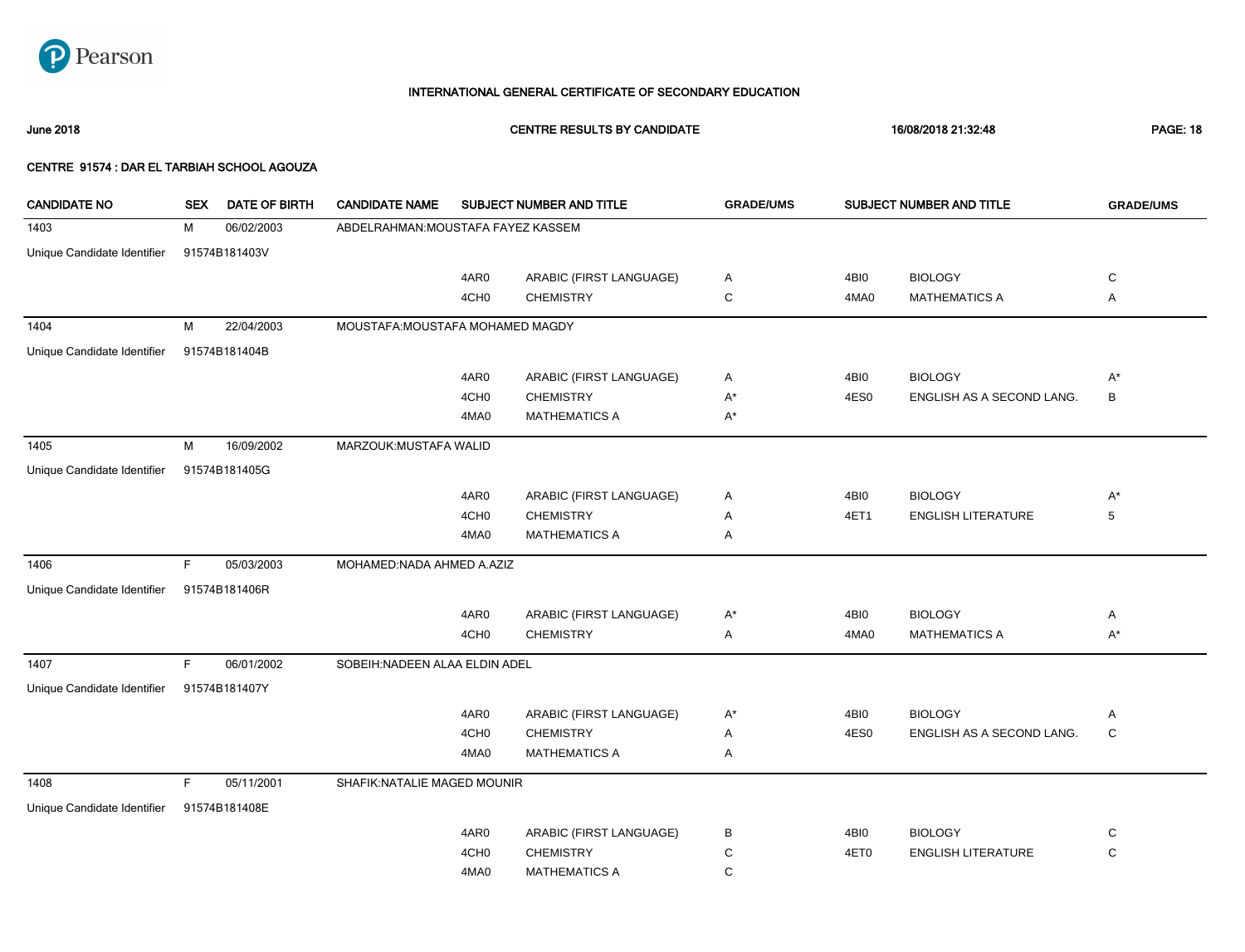

June 2018 CENTRE RESULTS BY CANDIDATE 16/08/2018 21:32:48 PAGE: 18

| <b>CANDIDATE NO</b>         | <b>SEX</b> | <b>DATE OF BIRTH</b> | <b>CANDIDATE NAME</b>              |                  | SUBJECT NUMBER AND TITLE | <b>GRADE/UMS</b> |      | SUBJECT NUMBER AND TITLE  | <b>GRADE/UMS</b>  |
|-----------------------------|------------|----------------------|------------------------------------|------------------|--------------------------|------------------|------|---------------------------|-------------------|
| 1403                        | м          | 06/02/2003           | ABDELRAHMAN: MOUSTAFA FAYEZ KASSEM |                  |                          |                  |      |                           |                   |
| Unique Candidate Identifier |            | 91574B181403V        |                                    |                  |                          |                  |      |                           |                   |
|                             |            |                      |                                    | 4AR0             | ARABIC (FIRST LANGUAGE)  | Α                | 4BI0 | <b>BIOLOGY</b>            | C                 |
|                             |            |                      |                                    | 4CH <sub>0</sub> | <b>CHEMISTRY</b>         | С                | 4MA0 | <b>MATHEMATICS A</b>      | Α                 |
| 1404                        | М          | 22/04/2003           | MOUSTAFA: MOUSTAFA MOHAMED MAGDY   |                  |                          |                  |      |                           |                   |
|                             |            |                      |                                    |                  |                          |                  |      |                           |                   |
| Unique Candidate Identifier |            | 91574B181404B        |                                    |                  |                          |                  |      |                           |                   |
|                             |            |                      |                                    | 4AR0             | ARABIC (FIRST LANGUAGE)  | Α                | 4BI0 | <b>BIOLOGY</b>            | $A^*$             |
|                             |            |                      |                                    | 4CH <sub>0</sub> | <b>CHEMISTRY</b>         | $A^*$            | 4ES0 | ENGLISH AS A SECOND LANG. | B                 |
|                             |            |                      |                                    | 4MA0             | <b>MATHEMATICS A</b>     | $A^*$            |      |                           |                   |
| 1405                        | M          | 16/09/2002           | MARZOUK: MUSTAFA WALID             |                  |                          |                  |      |                           |                   |
| Unique Candidate Identifier |            | 91574B181405G        |                                    |                  |                          |                  |      |                           |                   |
|                             |            |                      |                                    | 4AR0             | ARABIC (FIRST LANGUAGE)  | Α                | 4BI0 | <b>BIOLOGY</b>            | $A^*$             |
|                             |            |                      |                                    | 4CH <sub>0</sub> | <b>CHEMISTRY</b>         | Α                | 4ET1 | <b>ENGLISH LITERATURE</b> | 5                 |
|                             |            |                      |                                    | 4MA0             | <b>MATHEMATICS A</b>     | Α                |      |                           |                   |
| 1406                        | F          | 05/03/2003           | MOHAMED:NADA AHMED A.AZIZ          |                  |                          |                  |      |                           |                   |
| Unique Candidate Identifier |            | 91574B181406R        |                                    |                  |                          |                  |      |                           |                   |
|                             |            |                      |                                    | 4AR0             | ARABIC (FIRST LANGUAGE)  | A*               | 4BI0 | <b>BIOLOGY</b>            | Α                 |
|                             |            |                      |                                    | 4CH <sub>0</sub> | <b>CHEMISTRY</b>         | Α                | 4MA0 | <b>MATHEMATICS A</b>      | $A^*$             |
| 1407                        | F.         | 06/01/2002           | SOBEIH: NADEEN ALAA ELDIN ADEL     |                  |                          |                  |      |                           |                   |
| Unique Candidate Identifier |            | 91574B181407Y        |                                    |                  |                          |                  |      |                           |                   |
|                             |            |                      |                                    | 4AR0             | ARABIC (FIRST LANGUAGE)  | $A^*$            | 4BI0 | <b>BIOLOGY</b>            |                   |
|                             |            |                      |                                    | 4CH <sub>0</sub> | <b>CHEMISTRY</b>         | Α                | 4ES0 | ENGLISH AS A SECOND LANG. | Α<br>$\mathsf{C}$ |
|                             |            |                      |                                    | 4MA0             | <b>MATHEMATICS A</b>     | Α                |      |                           |                   |
|                             |            |                      |                                    |                  |                          |                  |      |                           |                   |
| 1408                        | F          | 05/11/2001           | SHAFIK: NATALIE MAGED MOUNIR       |                  |                          |                  |      |                           |                   |
| Unique Candidate Identifier |            | 91574B181408E        |                                    |                  |                          |                  |      |                           |                   |
|                             |            |                      |                                    | 4AR0             | ARABIC (FIRST LANGUAGE)  | В                | 4BI0 | <b>BIOLOGY</b>            | C                 |
|                             |            |                      |                                    | 4CH <sub>0</sub> | <b>CHEMISTRY</b>         | С                | 4ET0 | <b>ENGLISH LITERATURE</b> | C                 |
|                             |            |                      |                                    | 4MA0             | <b>MATHEMATICS A</b>     | C                |      |                           |                   |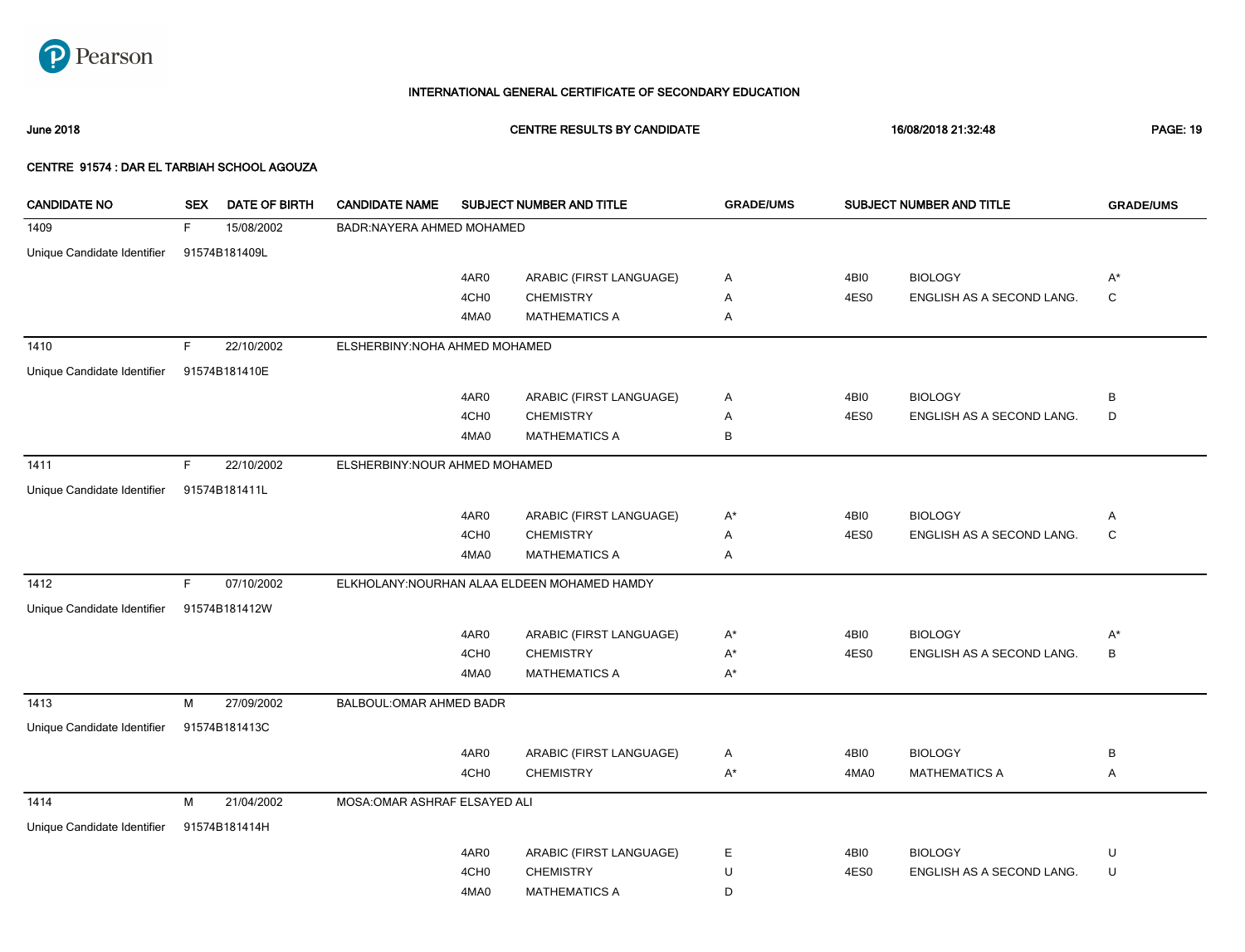

June 2018 CENTRE RESULTS BY CANDIDATE 16/08/2018 21:32:48 PAGE: 19

| <b>CANDIDATE NO</b>         | <b>SEX</b> | DATE OF BIRTH | <b>CANDIDATE NAME</b>           |                  | SUBJECT NUMBER AND TITLE                     | <b>GRADE/UMS</b> |      | SUBJECT NUMBER AND TITLE  | <b>GRADE/UMS</b> |
|-----------------------------|------------|---------------|---------------------------------|------------------|----------------------------------------------|------------------|------|---------------------------|------------------|
| 1409                        | F.         | 15/08/2002    | BADR:NAYERA AHMED MOHAMED       |                  |                                              |                  |      |                           |                  |
| Unique Candidate Identifier |            | 91574B181409L |                                 |                  |                                              |                  |      |                           |                  |
|                             |            |               |                                 | 4AR0             | ARABIC (FIRST LANGUAGE)                      | A                | 4BI0 | <b>BIOLOGY</b>            | $A^*$            |
|                             |            |               |                                 | 4CH <sub>0</sub> | <b>CHEMISTRY</b>                             | Α                | 4ES0 | ENGLISH AS A SECOND LANG. | $\mathbf C$      |
|                             |            |               |                                 | 4MA0             | <b>MATHEMATICS A</b>                         | Α                |      |                           |                  |
| 1410                        | F.         | 22/10/2002    | ELSHERBINY: NOHA AHMED MOHAMED  |                  |                                              |                  |      |                           |                  |
| Unique Candidate Identifier |            | 91574B181410E |                                 |                  |                                              |                  |      |                           |                  |
|                             |            |               |                                 | 4AR0             | ARABIC (FIRST LANGUAGE)                      | A                | 4BI0 | <b>BIOLOGY</b>            | В                |
|                             |            |               |                                 | 4CH <sub>0</sub> | <b>CHEMISTRY</b>                             | Α                | 4ES0 | ENGLISH AS A SECOND LANG. | D                |
|                             |            |               |                                 | 4MA0             | <b>MATHEMATICS A</b>                         | В                |      |                           |                  |
| 1411                        | F.         | 22/10/2002    | ELSHERBINY: NOUR AHMED MOHAMED  |                  |                                              |                  |      |                           |                  |
| Unique Candidate Identifier |            | 91574B181411L |                                 |                  |                                              |                  |      |                           |                  |
|                             |            |               |                                 | 4AR0             | ARABIC (FIRST LANGUAGE)                      | $A^*$            | 4BI0 | <b>BIOLOGY</b>            | Α                |
|                             |            |               |                                 | 4CH <sub>0</sub> | <b>CHEMISTRY</b>                             | Α                | 4ES0 | ENGLISH AS A SECOND LANG. | $\mathsf C$      |
|                             |            |               |                                 | 4MA0             | <b>MATHEMATICS A</b>                         | Α                |      |                           |                  |
| 1412                        | F.         | 07/10/2002    |                                 |                  | ELKHOLANY: NOURHAN ALAA ELDEEN MOHAMED HAMDY |                  |      |                           |                  |
| Unique Candidate Identifier |            | 91574B181412W |                                 |                  |                                              |                  |      |                           |                  |
|                             |            |               |                                 | 4AR0             | ARABIC (FIRST LANGUAGE)                      | $A^*$            | 4BI0 | <b>BIOLOGY</b>            | A*               |
|                             |            |               |                                 | 4CH <sub>0</sub> | <b>CHEMISTRY</b>                             | $A^*$            | 4ES0 | ENGLISH AS A SECOND LANG. | В                |
|                             |            |               |                                 | 4MA0             | <b>MATHEMATICS A</b>                         | $A^*$            |      |                           |                  |
| 1413                        | M          | 27/09/2002    | <b>BALBOUL: OMAR AHMED BADR</b> |                  |                                              |                  |      |                           |                  |
| Unique Candidate Identifier |            | 91574B181413C |                                 |                  |                                              |                  |      |                           |                  |
|                             |            |               |                                 | 4AR0             | ARABIC (FIRST LANGUAGE)                      | Α                | 4BI0 | <b>BIOLOGY</b>            | B                |
|                             |            |               |                                 | 4CH <sub>0</sub> | <b>CHEMISTRY</b>                             | $A^*$            | 4MA0 | <b>MATHEMATICS A</b>      | Α                |
| 1414                        | м          | 21/04/2002    | MOSA: OMAR ASHRAF ELSAYED ALI   |                  |                                              |                  |      |                           |                  |
| Unique Candidate Identifier |            | 91574B181414H |                                 |                  |                                              |                  |      |                           |                  |
|                             |            |               |                                 | 4AR0             | ARABIC (FIRST LANGUAGE)                      | E                | 4BI0 | <b>BIOLOGY</b>            | U                |
|                             |            |               |                                 | 4CH <sub>0</sub> | <b>CHEMISTRY</b>                             | U                | 4ES0 | ENGLISH AS A SECOND LANG. | U                |
|                             |            |               |                                 | 4MA0             | <b>MATHEMATICS A</b>                         | D                |      |                           |                  |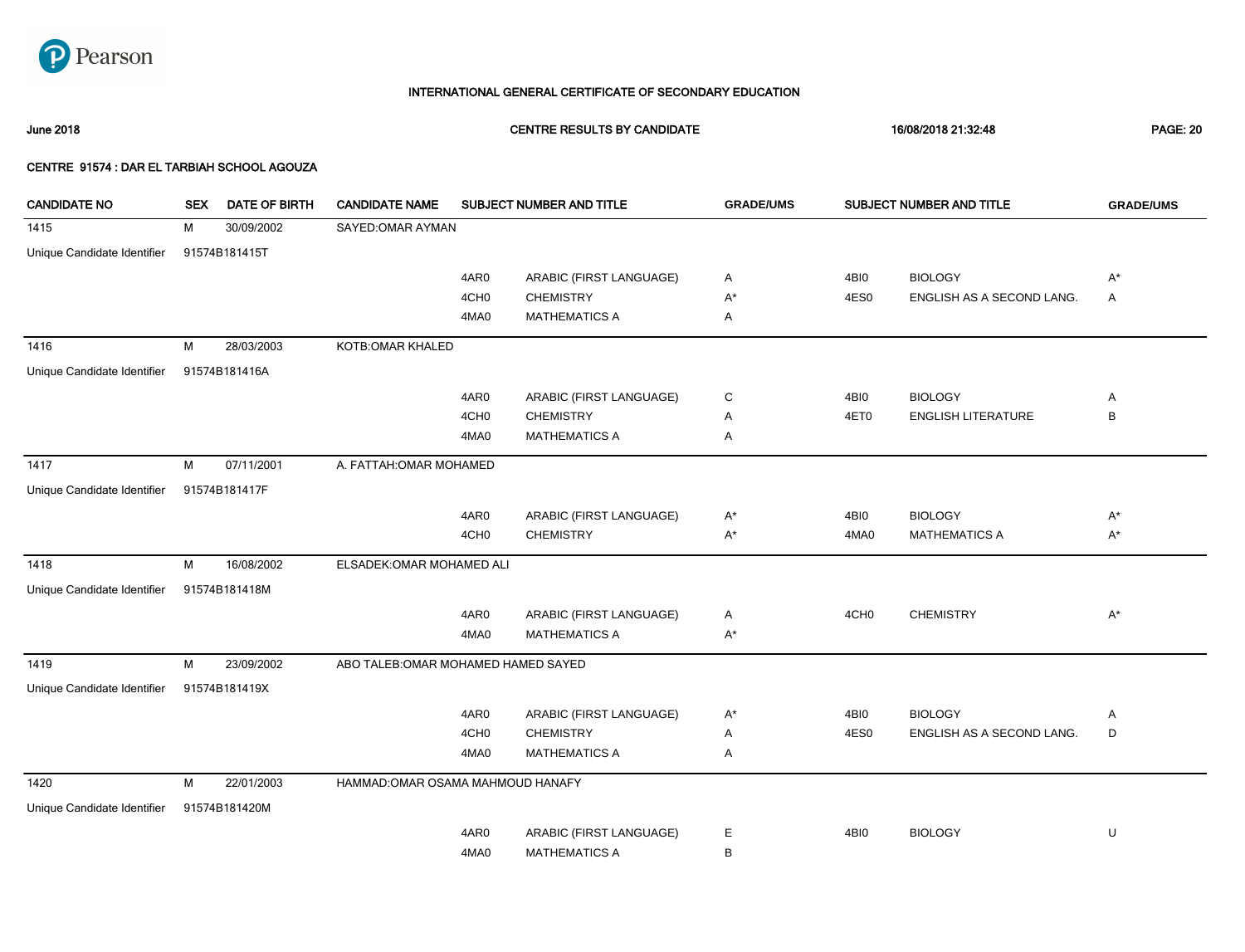

June 2018 CENTRE RESULTS BY CANDIDATE 16/08/2018 21:32:48 PAGE: 20

| <b>CANDIDATE NO</b>         | <b>SEX</b> | DATE OF BIRTH | <b>CANDIDATE NAME</b>               |                  | SUBJECT NUMBER AND TITLE | <b>GRADE/UMS</b> |                  | SUBJECT NUMBER AND TITLE  | <b>GRADE/UMS</b> |
|-----------------------------|------------|---------------|-------------------------------------|------------------|--------------------------|------------------|------------------|---------------------------|------------------|
| 1415                        | M          | 30/09/2002    | SAYED: OMAR AYMAN                   |                  |                          |                  |                  |                           |                  |
| Unique Candidate Identifier |            | 91574B181415T |                                     |                  |                          |                  |                  |                           |                  |
|                             |            |               |                                     | 4AR0             | ARABIC (FIRST LANGUAGE)  | Α                | 4BI0             | <b>BIOLOGY</b>            | $A^*$            |
|                             |            |               |                                     | 4CH <sub>0</sub> | <b>CHEMISTRY</b>         | $A^*$            | 4ES0             | ENGLISH AS A SECOND LANG. | A                |
|                             |            |               |                                     | 4MA0             | <b>MATHEMATICS A</b>     | Α                |                  |                           |                  |
| 1416                        | M          | 28/03/2003    | KOTB: OMAR KHALED                   |                  |                          |                  |                  |                           |                  |
| Unique Candidate Identifier |            | 91574B181416A |                                     |                  |                          |                  |                  |                           |                  |
|                             |            |               |                                     | 4AR0             | ARABIC (FIRST LANGUAGE)  | C                | 4BI0             | <b>BIOLOGY</b>            | Α                |
|                             |            |               |                                     | 4CH <sub>0</sub> | <b>CHEMISTRY</b>         | Α                | 4ET0             | <b>ENGLISH LITERATURE</b> | B                |
|                             |            |               |                                     | 4MA0             | <b>MATHEMATICS A</b>     | Α                |                  |                           |                  |
| 1417                        | M          | 07/11/2001    | A. FATTAH: OMAR MOHAMED             |                  |                          |                  |                  |                           |                  |
| Unique Candidate Identifier |            | 91574B181417F |                                     |                  |                          |                  |                  |                           |                  |
|                             |            |               |                                     | 4AR0             | ARABIC (FIRST LANGUAGE)  | $A^*$            | 4BI0             | <b>BIOLOGY</b>            | $A^*$            |
|                             |            |               |                                     | 4CH <sub>0</sub> | <b>CHEMISTRY</b>         | $A^*$            | 4MA0             | <b>MATHEMATICS A</b>      | $A^*$            |
| 1418                        | M          | 16/08/2002    | ELSADEK: OMAR MOHAMED ALI           |                  |                          |                  |                  |                           |                  |
| Unique Candidate Identifier |            | 91574B181418M |                                     |                  |                          |                  |                  |                           |                  |
|                             |            |               |                                     | 4AR0             | ARABIC (FIRST LANGUAGE)  | Α                | 4CH <sub>0</sub> | <b>CHEMISTRY</b>          | $A^*$            |
|                             |            |               |                                     | 4MA0             | <b>MATHEMATICS A</b>     | $A^*$            |                  |                           |                  |
| 1419                        | M          | 23/09/2002    | ABO TALEB: OMAR MOHAMED HAMED SAYED |                  |                          |                  |                  |                           |                  |
| Unique Candidate Identifier |            | 91574B181419X |                                     |                  |                          |                  |                  |                           |                  |
|                             |            |               |                                     | 4AR0             | ARABIC (FIRST LANGUAGE)  | $A^*$            | 4BI0             | <b>BIOLOGY</b>            | Α                |
|                             |            |               |                                     | 4CH <sub>0</sub> | <b>CHEMISTRY</b>         | Α                | 4ES0             | ENGLISH AS A SECOND LANG. | D                |
|                             |            |               |                                     | 4MA0             | <b>MATHEMATICS A</b>     | Α                |                  |                           |                  |
| 1420                        | M          | 22/01/2003    | HAMMAD: OMAR OSAMA MAHMOUD HANAFY   |                  |                          |                  |                  |                           |                  |
| Unique Candidate Identifier |            | 91574B181420M |                                     |                  |                          |                  |                  |                           |                  |
|                             |            |               |                                     | 4AR0             | ARABIC (FIRST LANGUAGE)  | Е                | 4BI0             | <b>BIOLOGY</b>            | U                |
|                             |            |               |                                     | 4MA0             | <b>MATHEMATICS A</b>     | В                |                  |                           |                  |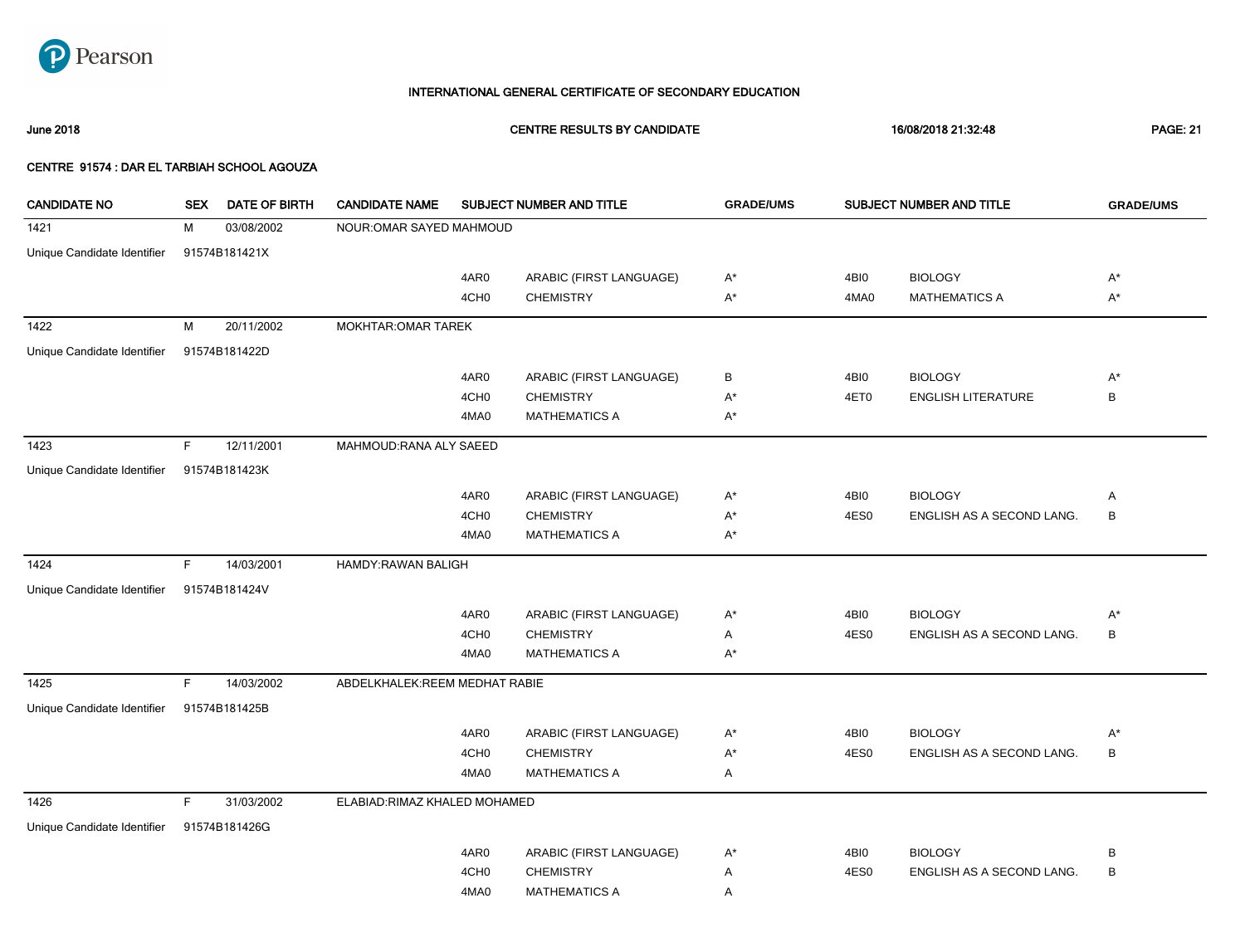

June 2018 CENTRE RESULTS BY CANDIDATE 16/08/2018 21:32:48 PAGE: 21

| <b>CANDIDATE NO</b>         | <b>SEX</b> | DATE OF BIRTH | <b>CANDIDATE NAME</b>         |                  | SUBJECT NUMBER AND TITLE | <b>GRADE/UMS</b> |      | SUBJECT NUMBER AND TITLE  | <b>GRADE/UMS</b> |
|-----------------------------|------------|---------------|-------------------------------|------------------|--------------------------|------------------|------|---------------------------|------------------|
| 1421                        | м          | 03/08/2002    | NOUR: OMAR SAYED MAHMOUD      |                  |                          |                  |      |                           |                  |
| Unique Candidate Identifier |            | 91574B181421X |                               |                  |                          |                  |      |                           |                  |
|                             |            |               |                               | 4AR0             | ARABIC (FIRST LANGUAGE)  | A*               | 4BI0 | <b>BIOLOGY</b>            | $A^*$            |
|                             |            |               |                               | 4CH <sub>0</sub> | <b>CHEMISTRY</b>         | $A^*$            | 4MA0 | <b>MATHEMATICS A</b>      | $A^*$            |
| 1422                        | М          | 20/11/2002    | <b>MOKHTAR: OMAR TAREK</b>    |                  |                          |                  |      |                           |                  |
| Unique Candidate Identifier |            | 91574B181422D |                               |                  |                          |                  |      |                           |                  |
|                             |            |               |                               |                  |                          |                  |      |                           |                  |
|                             |            |               |                               | 4AR0             | ARABIC (FIRST LANGUAGE)  | В                | 4BI0 | <b>BIOLOGY</b>            | $A^*$            |
|                             |            |               |                               | 4CH <sub>0</sub> | <b>CHEMISTRY</b>         | A*               | 4ET0 | <b>ENGLISH LITERATURE</b> | B                |
|                             |            |               |                               | 4MA0             | <b>MATHEMATICS A</b>     | $A^*$            |      |                           |                  |
| 1423                        | F          | 12/11/2001    | MAHMOUD: RANA ALY SAEED       |                  |                          |                  |      |                           |                  |
| Unique Candidate Identifier |            | 91574B181423K |                               |                  |                          |                  |      |                           |                  |
|                             |            |               |                               | 4AR0             | ARABIC (FIRST LANGUAGE)  | $A^*$            | 4BI0 | <b>BIOLOGY</b>            | Α                |
|                             |            |               |                               | 4CH <sub>0</sub> | <b>CHEMISTRY</b>         | A*               | 4ES0 | ENGLISH AS A SECOND LANG. | $\, {\sf B}$     |
|                             |            |               |                               | 4MA0             | <b>MATHEMATICS A</b>     | $A^*$            |      |                           |                  |
| 1424                        | F.         | 14/03/2001    | HAMDY:RAWAN BALIGH            |                  |                          |                  |      |                           |                  |
| Unique Candidate Identifier |            | 91574B181424V |                               |                  |                          |                  |      |                           |                  |
|                             |            |               |                               | 4AR0             | ARABIC (FIRST LANGUAGE)  | A*               | 4BI0 | <b>BIOLOGY</b>            | $A^*$            |
|                             |            |               |                               | 4CH <sub>0</sub> | <b>CHEMISTRY</b>         | Α                | 4ES0 | ENGLISH AS A SECOND LANG. | B                |
|                             |            |               |                               | 4MA0             | <b>MATHEMATICS A</b>     | A*               |      |                           |                  |
| 1425                        | F          | 14/03/2002    | ABDELKHALEK:REEM MEDHAT RABIE |                  |                          |                  |      |                           |                  |
|                             |            |               |                               |                  |                          |                  |      |                           |                  |
| Unique Candidate Identifier |            | 91574B181425B |                               |                  |                          |                  |      |                           |                  |
|                             |            |               |                               | 4AR0             | ARABIC (FIRST LANGUAGE)  | $A^*$            | 4BI0 | <b>BIOLOGY</b>            | $A^*$            |
|                             |            |               |                               | 4CH <sub>0</sub> | <b>CHEMISTRY</b>         | A*               | 4ES0 | ENGLISH AS A SECOND LANG. | B                |
|                             |            |               |                               | 4MA0             | <b>MATHEMATICS A</b>     | Α                |      |                           |                  |
| 1426                        | F.         | 31/03/2002    | ELABIAD: RIMAZ KHALED MOHAMED |                  |                          |                  |      |                           |                  |
| Unique Candidate Identifier |            | 91574B181426G |                               |                  |                          |                  |      |                           |                  |
|                             |            |               |                               | 4AR0             | ARABIC (FIRST LANGUAGE)  | A*               | 4BI0 | <b>BIOLOGY</b>            | B                |
|                             |            |               |                               | 4CH <sub>0</sub> | <b>CHEMISTRY</b>         | Α                | 4ES0 | ENGLISH AS A SECOND LANG. | B                |
|                             |            |               |                               | 4MA0             | <b>MATHEMATICS A</b>     | Α                |      |                           |                  |
|                             |            |               |                               |                  |                          |                  |      |                           |                  |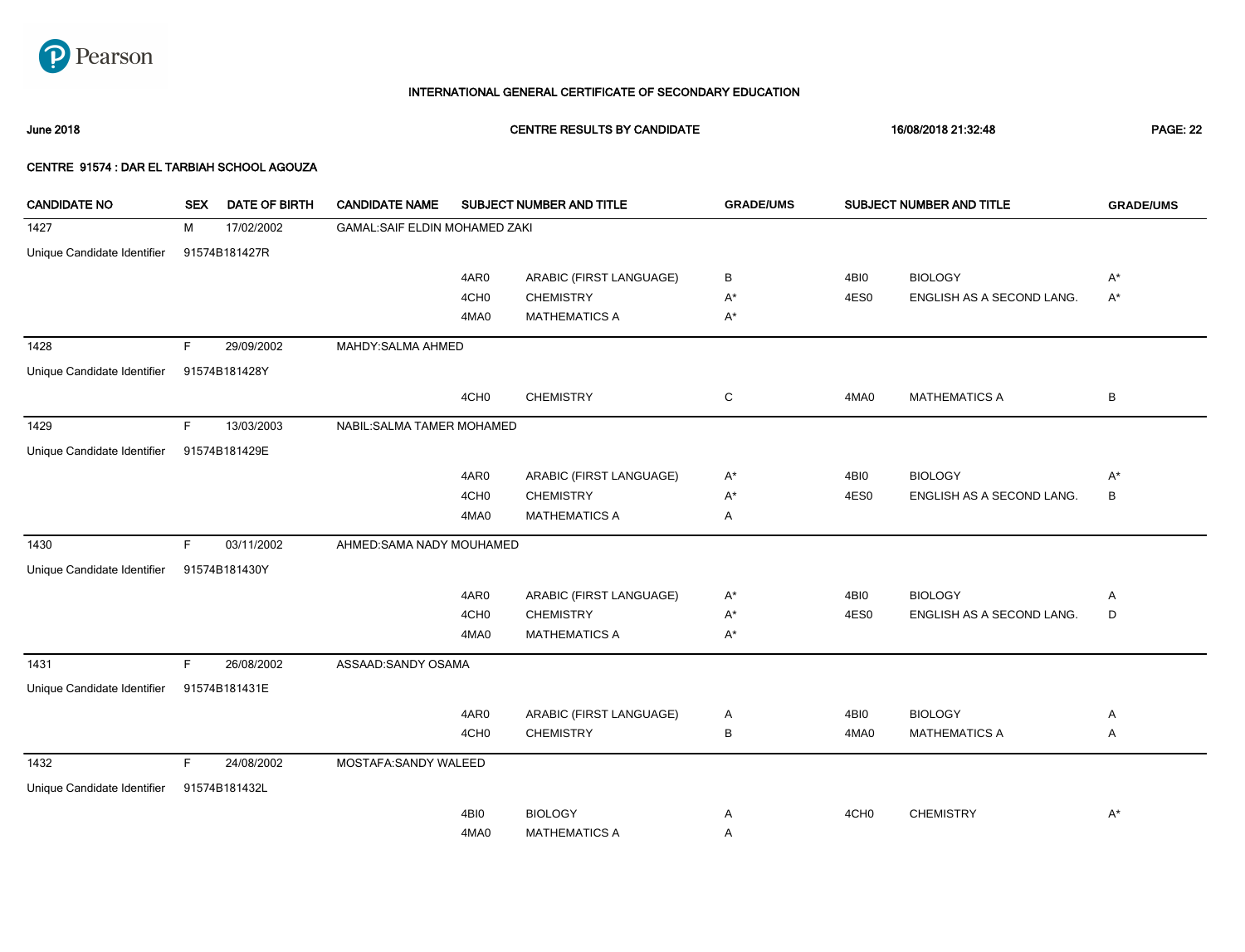

June 2018 CENTRE RESULTS BY CANDIDATE 16/08/2018 21:32:48 PAGE: 22

| <b>CANDIDATE NO</b>         | <b>SEX</b> | <b>DATE OF BIRTH</b> | <b>CANDIDATE NAME</b>         |                  | SUBJECT NUMBER AND TITLE | <b>GRADE/UMS</b> |                  | SUBJECT NUMBER AND TITLE  | <b>GRADE/UMS</b> |
|-----------------------------|------------|----------------------|-------------------------------|------------------|--------------------------|------------------|------------------|---------------------------|------------------|
| 1427                        | M          | 17/02/2002           | GAMAL:SAIF ELDIN MOHAMED ZAKI |                  |                          |                  |                  |                           |                  |
| Unique Candidate Identifier |            | 91574B181427R        |                               |                  |                          |                  |                  |                           |                  |
|                             |            |                      |                               | 4AR0             | ARABIC (FIRST LANGUAGE)  | В                | 4BI0             | <b>BIOLOGY</b>            | A*               |
|                             |            |                      |                               | 4CH <sub>0</sub> | <b>CHEMISTRY</b>         | $A^*$            | 4ES0             | ENGLISH AS A SECOND LANG. | $A^*$            |
|                             |            |                      |                               | 4MA0             | <b>MATHEMATICS A</b>     | $A^*$            |                  |                           |                  |
| 1428                        | F.         | 29/09/2002           | MAHDY: SALMA AHMED            |                  |                          |                  |                  |                           |                  |
| Unique Candidate Identifier |            | 91574B181428Y        |                               |                  |                          |                  |                  |                           |                  |
|                             |            |                      |                               | 4CH <sub>0</sub> | <b>CHEMISTRY</b>         | C                | 4MA0             | <b>MATHEMATICS A</b>      | B                |
| 1429                        | F.         | 13/03/2003           | NABIL: SALMA TAMER MOHAMED    |                  |                          |                  |                  |                           |                  |
| Unique Candidate Identifier |            | 91574B181429E        |                               |                  |                          |                  |                  |                           |                  |
|                             |            |                      |                               | 4AR0             | ARABIC (FIRST LANGUAGE)  | $A^*$            | 4BI0             | <b>BIOLOGY</b>            | $A^*$            |
|                             |            |                      |                               | 4CH <sub>0</sub> | <b>CHEMISTRY</b>         | $A^*$            | 4ES0             | ENGLISH AS A SECOND LANG. | В                |
|                             |            |                      |                               | 4MA0             | <b>MATHEMATICS A</b>     | Α                |                  |                           |                  |
| 1430                        | F.         | 03/11/2002           | AHMED:SAMA NADY MOUHAMED      |                  |                          |                  |                  |                           |                  |
| Unique Candidate Identifier |            | 91574B181430Y        |                               |                  |                          |                  |                  |                           |                  |
|                             |            |                      |                               | 4AR0             | ARABIC (FIRST LANGUAGE)  | $A^*$            | 4BI0             | <b>BIOLOGY</b>            | Α                |
|                             |            |                      |                               | 4CH <sub>0</sub> | <b>CHEMISTRY</b>         | $A^*$            | 4ES0             | ENGLISH AS A SECOND LANG. | D                |
|                             |            |                      |                               | 4MA0             | <b>MATHEMATICS A</b>     | $A^*$            |                  |                           |                  |
| 1431                        | F.         | 26/08/2002           | ASSAAD:SANDY OSAMA            |                  |                          |                  |                  |                           |                  |
| Unique Candidate Identifier |            | 91574B181431E        |                               |                  |                          |                  |                  |                           |                  |
|                             |            |                      |                               | 4AR0             | ARABIC (FIRST LANGUAGE)  | A                | 4BI0             | <b>BIOLOGY</b>            | Α                |
|                             |            |                      |                               | 4CH <sub>0</sub> | <b>CHEMISTRY</b>         | В                | 4MA0             | <b>MATHEMATICS A</b>      | Α                |
| 1432                        | F.         | 24/08/2002           | MOSTAFA:SANDY WALEED          |                  |                          |                  |                  |                           |                  |
| Unique Candidate Identifier |            | 91574B181432L        |                               |                  |                          |                  |                  |                           |                  |
|                             |            |                      |                               | 4BI0             | <b>BIOLOGY</b>           | Α                | 4CH <sub>0</sub> | <b>CHEMISTRY</b>          | $A^*$            |
|                             |            |                      |                               | 4MA0             | <b>MATHEMATICS A</b>     | Α                |                  |                           |                  |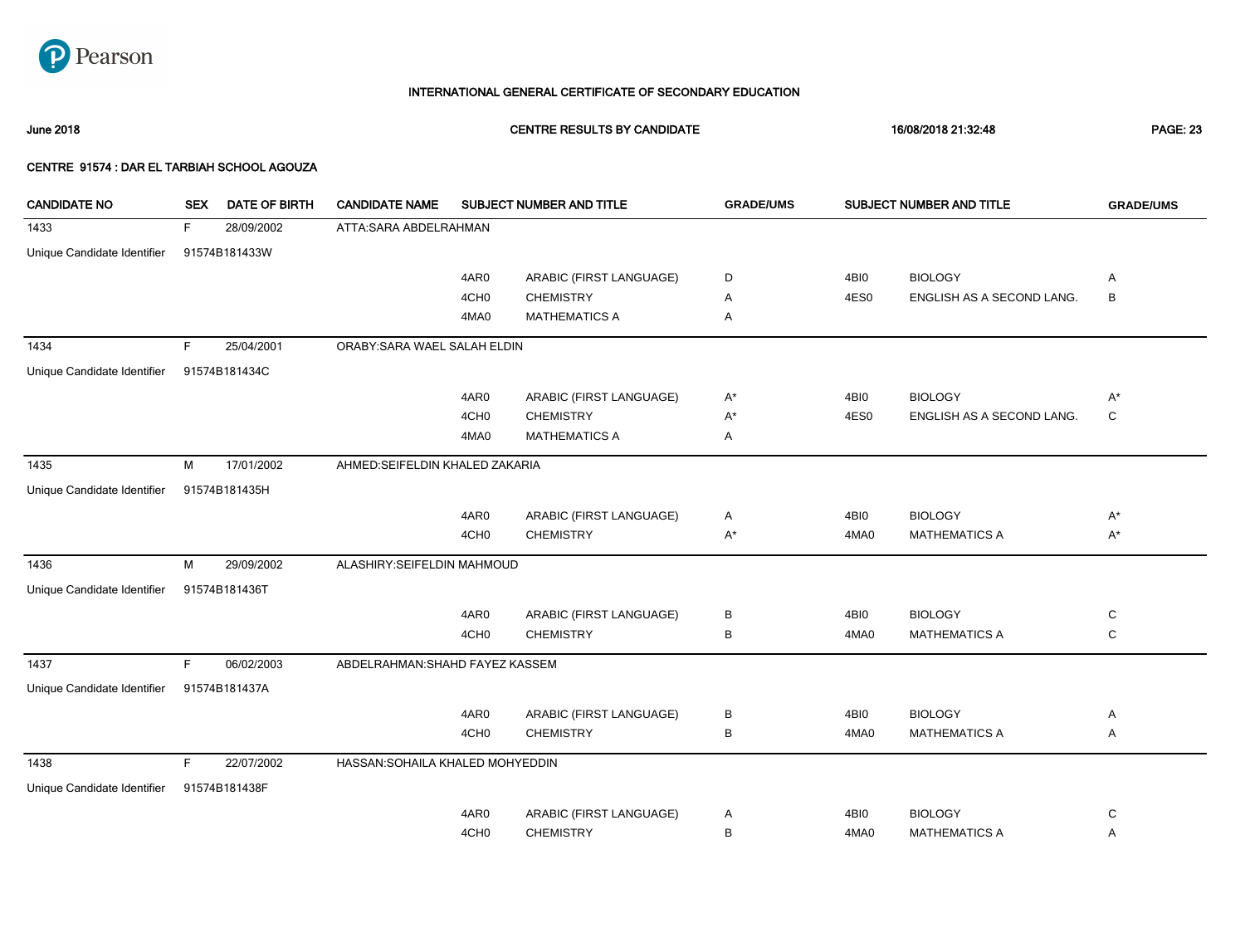

June 2018 CENTRE RESULTS BY CANDIDATE 16/08/2018 21:32:48 PAGE: 23

| <b>CANDIDATE NO</b>         | <b>SEX</b> | <b>DATE OF BIRTH</b> | <b>CANDIDATE NAME</b>            |                  | SUBJECT NUMBER AND TITLE | <b>GRADE/UMS</b> |      | SUBJECT NUMBER AND TITLE  | <b>GRADE/UMS</b> |
|-----------------------------|------------|----------------------|----------------------------------|------------------|--------------------------|------------------|------|---------------------------|------------------|
| 1433                        | F.         | 28/09/2002           | ATTA:SARA ABDELRAHMAN            |                  |                          |                  |      |                           |                  |
| Unique Candidate Identifier |            | 91574B181433W        |                                  |                  |                          |                  |      |                           |                  |
|                             |            |                      |                                  | 4AR0             | ARABIC (FIRST LANGUAGE)  | D                | 4BI0 | <b>BIOLOGY</b>            | A                |
|                             |            |                      |                                  | 4CH <sub>0</sub> | <b>CHEMISTRY</b>         | Α                | 4ES0 | ENGLISH AS A SECOND LANG. | $\, {\sf B}$     |
|                             |            |                      |                                  | 4MA0             | <b>MATHEMATICS A</b>     | Α                |      |                           |                  |
| 1434                        | F.         | 25/04/2001           | ORABY: SARA WAEL SALAH ELDIN     |                  |                          |                  |      |                           |                  |
| Unique Candidate Identifier |            | 91574B181434C        |                                  |                  |                          |                  |      |                           |                  |
|                             |            |                      |                                  | 4AR0             | ARABIC (FIRST LANGUAGE)  | $A^*$            | 4BI0 | <b>BIOLOGY</b>            | $A^*$            |
|                             |            |                      |                                  | 4CH <sub>0</sub> | <b>CHEMISTRY</b>         | $A^*$            | 4ES0 | ENGLISH AS A SECOND LANG. | C                |
|                             |            |                      |                                  | 4MA0             | <b>MATHEMATICS A</b>     | Α                |      |                           |                  |
| 1435                        | M          | 17/01/2002           | AHMED:SEIFELDIN KHALED ZAKARIA   |                  |                          |                  |      |                           |                  |
| Unique Candidate Identifier |            | 91574B181435H        |                                  |                  |                          |                  |      |                           |                  |
|                             |            |                      |                                  | 4AR0             | ARABIC (FIRST LANGUAGE)  | Α                | 4BI0 | <b>BIOLOGY</b>            | $A^*$            |
|                             |            |                      |                                  | 4CH <sub>0</sub> | <b>CHEMISTRY</b>         | $A^*$            | 4MA0 | <b>MATHEMATICS A</b>      | $A^*$            |
| 1436                        | М          | 29/09/2002           | ALASHIRY:SEIFELDIN MAHMOUD       |                  |                          |                  |      |                           |                  |
| Unique Candidate Identifier |            | 91574B181436T        |                                  |                  |                          |                  |      |                           |                  |
|                             |            |                      |                                  | 4AR0             | ARABIC (FIRST LANGUAGE)  | В                | 4BI0 | <b>BIOLOGY</b>            | C                |
|                             |            |                      |                                  | 4CH <sub>0</sub> | <b>CHEMISTRY</b>         | В                | 4MA0 | <b>MATHEMATICS A</b>      | C                |
| 1437                        | F.         | 06/02/2003           | ABDELRAHMAN: SHAHD FAYEZ KASSEM  |                  |                          |                  |      |                           |                  |
| Unique Candidate Identifier |            | 91574B181437A        |                                  |                  |                          |                  |      |                           |                  |
|                             |            |                      |                                  | 4AR0             | ARABIC (FIRST LANGUAGE)  | В                | 4BI0 | <b>BIOLOGY</b>            | Α                |
|                             |            |                      |                                  | 4CH <sub>0</sub> | <b>CHEMISTRY</b>         | В                | 4MA0 | <b>MATHEMATICS A</b>      | Α                |
| 1438                        | F          | 22/07/2002           | HASSAN: SOHAILA KHALED MOHYEDDIN |                  |                          |                  |      |                           |                  |
| Unique Candidate Identifier |            | 91574B181438F        |                                  |                  |                          |                  |      |                           |                  |
|                             |            |                      |                                  | 4AR0             | ARABIC (FIRST LANGUAGE)  | Α                | 4BI0 | <b>BIOLOGY</b>            | C                |
|                             |            |                      |                                  | 4CH <sub>0</sub> | <b>CHEMISTRY</b>         | в                | 4MA0 | <b>MATHEMATICS A</b>      | Α                |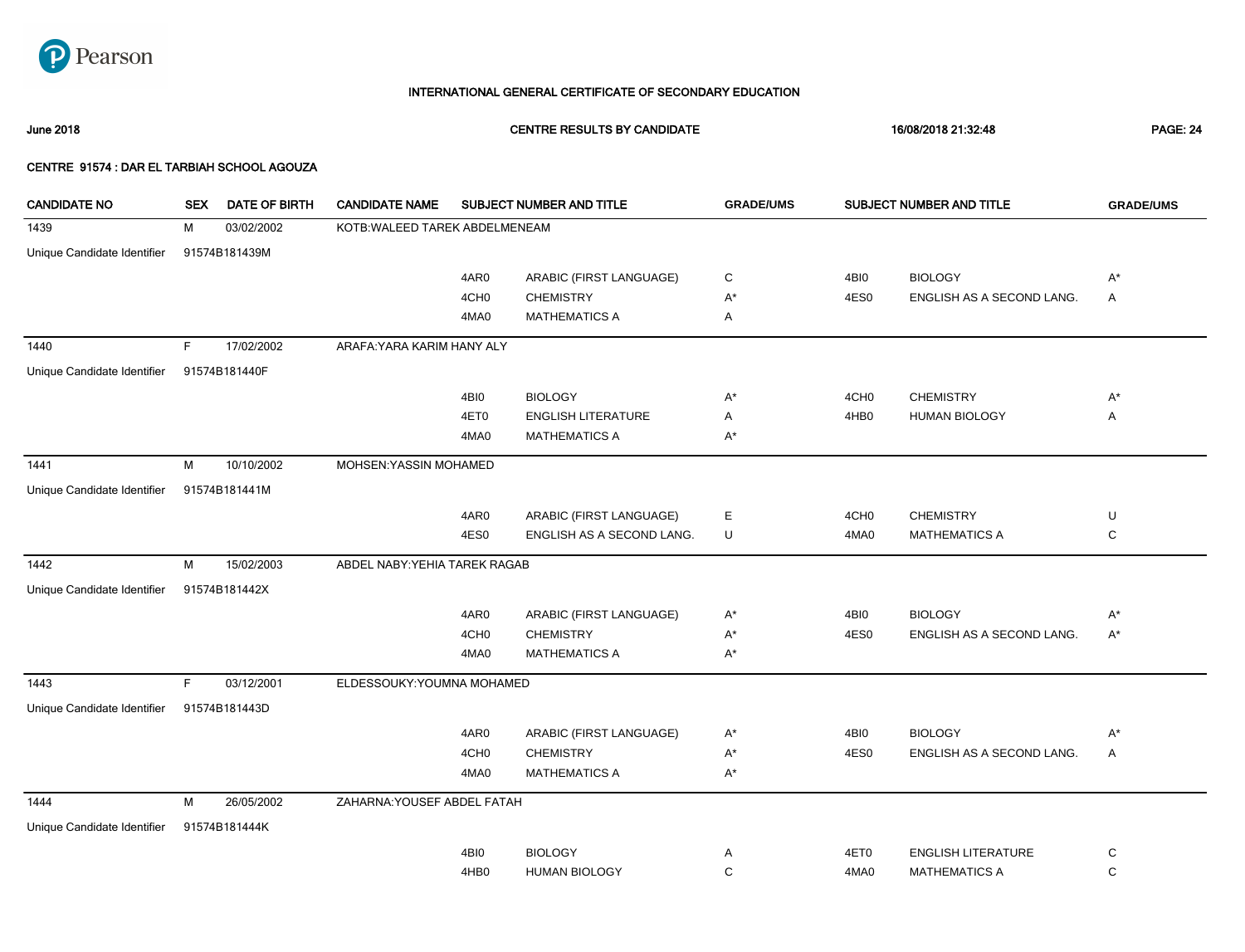

June 2018 CENTRE RESULTS BY CANDIDATE 16/08/2018 21:32:48 PAGE: 24

| <b>CANDIDATE NO</b>         | <b>SEX</b> | <b>DATE OF BIRTH</b> | <b>CANDIDATE NAME</b>          |                  | SUBJECT NUMBER AND TITLE  | <b>GRADE/UMS</b> |                  | SUBJECT NUMBER AND TITLE  | <b>GRADE/UMS</b> |
|-----------------------------|------------|----------------------|--------------------------------|------------------|---------------------------|------------------|------------------|---------------------------|------------------|
| 1439                        | M          | 03/02/2002           | KOTB: WALEED TAREK ABDELMENEAM |                  |                           |                  |                  |                           |                  |
| Unique Candidate Identifier |            | 91574B181439M        |                                |                  |                           |                  |                  |                           |                  |
|                             |            |                      |                                | 4AR0             | ARABIC (FIRST LANGUAGE)   | C                | 4BI0             | <b>BIOLOGY</b>            | $A^*$            |
|                             |            |                      |                                | 4CH <sub>0</sub> | <b>CHEMISTRY</b>          | $A^*$            | 4ES0             | ENGLISH AS A SECOND LANG. | Α                |
|                             |            |                      |                                | 4MA0             | <b>MATHEMATICS A</b>      | Α                |                  |                           |                  |
| 1440                        | F.         | 17/02/2002           | ARAFA: YARA KARIM HANY ALY     |                  |                           |                  |                  |                           |                  |
| Unique Candidate Identifier |            | 91574B181440F        |                                |                  |                           |                  |                  |                           |                  |
|                             |            |                      |                                | 4BI0             | <b>BIOLOGY</b>            | $A^*$            | 4CH <sub>0</sub> | <b>CHEMISTRY</b>          | $A^*$            |
|                             |            |                      |                                | 4ET0             | <b>ENGLISH LITERATURE</b> | Α                | 4HB0             | <b>HUMAN BIOLOGY</b>      | Α                |
|                             |            |                      |                                | 4MA0             | <b>MATHEMATICS A</b>      | $A^*$            |                  |                           |                  |
| 1441                        | M          | 10/10/2002           | MOHSEN: YASSIN MOHAMED         |                  |                           |                  |                  |                           |                  |
| Unique Candidate Identifier |            | 91574B181441M        |                                |                  |                           |                  |                  |                           |                  |
|                             |            |                      |                                | 4AR0             | ARABIC (FIRST LANGUAGE)   | Е                | 4CH <sub>0</sub> | <b>CHEMISTRY</b>          | U                |
|                             |            |                      |                                | 4ES0             | ENGLISH AS A SECOND LANG. | U                | 4MA0             | <b>MATHEMATICS A</b>      | C                |
| 1442                        | M          | 15/02/2003           | ABDEL NABY: YEHIA TAREK RAGAB  |                  |                           |                  |                  |                           |                  |
| Unique Candidate Identifier |            | 91574B181442X        |                                |                  |                           |                  |                  |                           |                  |
|                             |            |                      |                                | 4AR0             | ARABIC (FIRST LANGUAGE)   | $A^*$            | 4BI0             | <b>BIOLOGY</b>            | $A^*$            |
|                             |            |                      |                                | 4CH <sub>0</sub> | <b>CHEMISTRY</b>          | $A^*$            | 4ES0             | ENGLISH AS A SECOND LANG. | A*               |
|                             |            |                      |                                | 4MA0             | <b>MATHEMATICS A</b>      | $A^*$            |                  |                           |                  |
| 1443                        | F.         | 03/12/2001           | ELDESSOUKY: YOUMNA MOHAMED     |                  |                           |                  |                  |                           |                  |
| Unique Candidate Identifier |            | 91574B181443D        |                                |                  |                           |                  |                  |                           |                  |
|                             |            |                      |                                | 4AR0             | ARABIC (FIRST LANGUAGE)   | $A^*$            | 4BI0             | <b>BIOLOGY</b>            | $A^*$            |
|                             |            |                      |                                | 4CH <sub>0</sub> | <b>CHEMISTRY</b>          | $A^*$            | 4ES0             | ENGLISH AS A SECOND LANG. | Α                |
|                             |            |                      |                                | 4MA0             | <b>MATHEMATICS A</b>      | $A^*$            |                  |                           |                  |
| 1444                        | M          | 26/05/2002           | ZAHARNA: YOUSEF ABDEL FATAH    |                  |                           |                  |                  |                           |                  |
| Unique Candidate Identifier |            | 91574B181444K        |                                |                  |                           |                  |                  |                           |                  |
|                             |            |                      |                                | 4BI0             | <b>BIOLOGY</b>            | Α                | 4ET0             | <b>ENGLISH LITERATURE</b> | C                |
|                             |            |                      |                                | 4HB0             | <b>HUMAN BIOLOGY</b>      | $\mathbf C$      | 4MA0             | <b>MATHEMATICS A</b>      | $\mathbf C$      |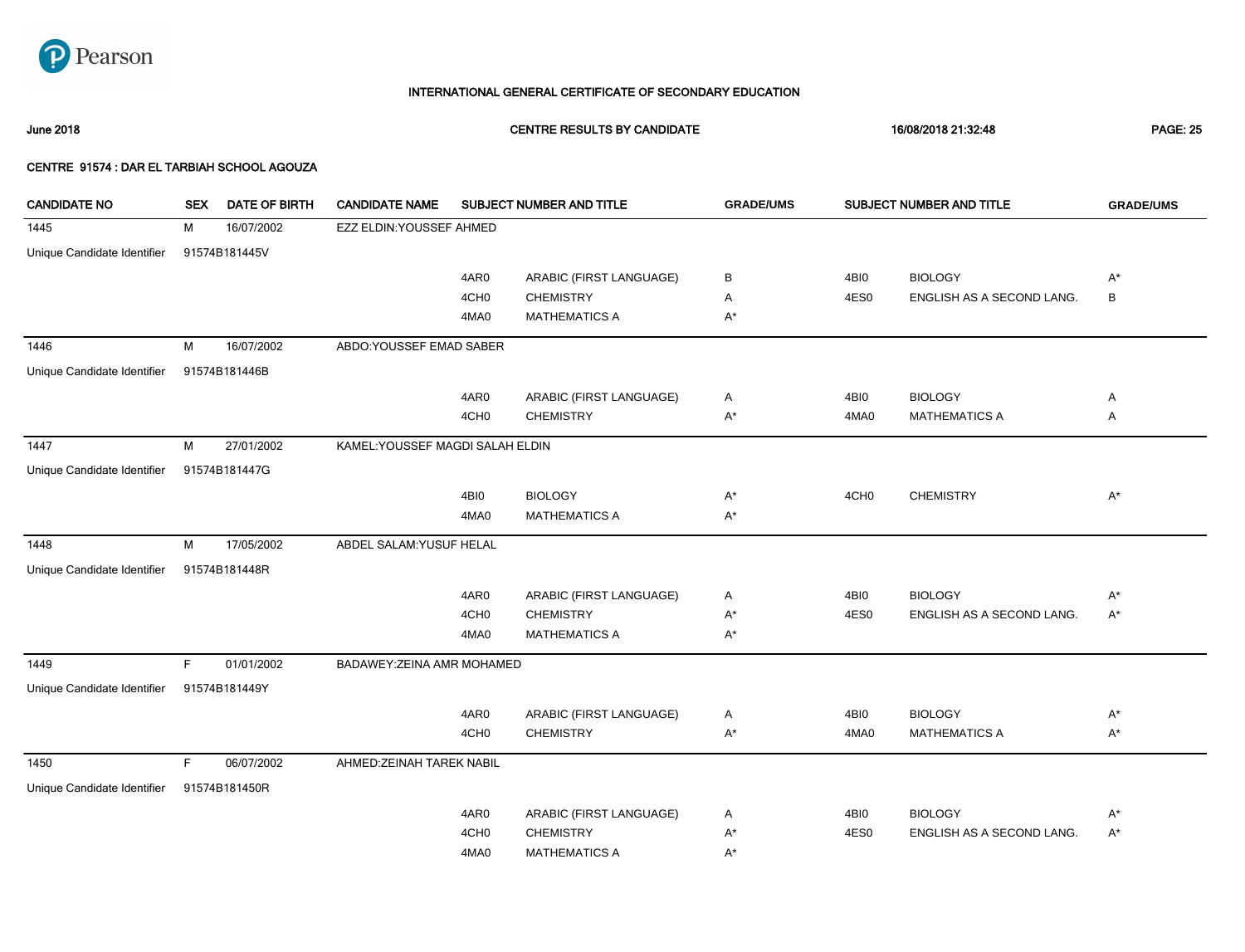

June 2018 CENTRE RESULTS BY CANDIDATE 16/08/2018 21:32:48 PAGE: 25

| <b>CANDIDATE NO</b>         | <b>SEX</b> | <b>DATE OF BIRTH</b> | <b>CANDIDATE NAME</b>            |                  | SUBJECT NUMBER AND TITLE | <b>GRADE/UMS</b> |                  | SUBJECT NUMBER AND TITLE  | <b>GRADE/UMS</b> |
|-----------------------------|------------|----------------------|----------------------------------|------------------|--------------------------|------------------|------------------|---------------------------|------------------|
| 1445                        | М          | 16/07/2002           | EZZ ELDIN: YOUSSEF AHMED         |                  |                          |                  |                  |                           |                  |
| Unique Candidate Identifier |            | 91574B181445V        |                                  |                  |                          |                  |                  |                           |                  |
|                             |            |                      |                                  | 4AR0             | ARABIC (FIRST LANGUAGE)  | В                | 4BI0             | <b>BIOLOGY</b>            | $A^*$            |
|                             |            |                      |                                  | 4CH <sub>0</sub> | <b>CHEMISTRY</b>         | Α                | 4ES0             | ENGLISH AS A SECOND LANG. | $\, {\sf B}$     |
|                             |            |                      |                                  | 4MA0             | <b>MATHEMATICS A</b>     | $A^*$            |                  |                           |                  |
| 1446                        | М          | 16/07/2002           | ABDO:YOUSSEF EMAD SABER          |                  |                          |                  |                  |                           |                  |
| Unique Candidate Identifier |            | 91574B181446B        |                                  |                  |                          |                  |                  |                           |                  |
|                             |            |                      |                                  | 4AR0             | ARABIC (FIRST LANGUAGE)  | Α                | 4BI0             | <b>BIOLOGY</b>            | Α                |
|                             |            |                      |                                  | 4CH <sub>0</sub> | <b>CHEMISTRY</b>         | $A^*$            | 4MA0             | <b>MATHEMATICS A</b>      | Α                |
| 1447                        | М          | 27/01/2002           | KAMEL: YOUSSEF MAGDI SALAH ELDIN |                  |                          |                  |                  |                           |                  |
| Unique Candidate Identifier |            | 91574B181447G        |                                  |                  |                          |                  |                  |                           |                  |
|                             |            |                      |                                  | 4BI0             | <b>BIOLOGY</b>           | $A^*$            | 4CH <sub>0</sub> | <b>CHEMISTRY</b>          | $A^*$            |
|                             |            |                      |                                  | 4MA0             | <b>MATHEMATICS A</b>     | A*               |                  |                           |                  |
| 1448                        | M          | 17/05/2002           | ABDEL SALAM: YUSUF HELAL         |                  |                          |                  |                  |                           |                  |
| Unique Candidate Identifier |            | 91574B181448R        |                                  |                  |                          |                  |                  |                           |                  |
|                             |            |                      |                                  | 4AR0             | ARABIC (FIRST LANGUAGE)  | Α                | 4BI0             | <b>BIOLOGY</b>            | $A^*$            |
|                             |            |                      |                                  | 4CH <sub>0</sub> | <b>CHEMISTRY</b>         | A*               | 4ES0             | ENGLISH AS A SECOND LANG. | $A^*$            |
|                             |            |                      |                                  | 4MA0             | <b>MATHEMATICS A</b>     | $A^*$            |                  |                           |                  |
| 1449                        | F.         | 01/01/2002           | BADAWEY: ZEINA AMR MOHAMED       |                  |                          |                  |                  |                           |                  |
| Unique Candidate Identifier |            | 91574B181449Y        |                                  |                  |                          |                  |                  |                           |                  |
|                             |            |                      |                                  | 4AR0             | ARABIC (FIRST LANGUAGE)  | Α                | 4BI0             | <b>BIOLOGY</b>            | $A^*$            |
|                             |            |                      |                                  | 4CH <sub>0</sub> | <b>CHEMISTRY</b>         | $A^*$            | 4MA0             | <b>MATHEMATICS A</b>      | $A^*$            |
| 1450                        | F.         | 06/07/2002           | AHMED: ZEINAH TAREK NABIL        |                  |                          |                  |                  |                           |                  |
| Unique Candidate Identifier |            | 91574B181450R        |                                  |                  |                          |                  |                  |                           |                  |
|                             |            |                      |                                  | 4AR0             | ARABIC (FIRST LANGUAGE)  | Α                | 4BI0             | <b>BIOLOGY</b>            | $A^*$            |
|                             |            |                      |                                  | 4CH <sub>0</sub> | <b>CHEMISTRY</b>         | $A^*$            | 4ES0             | ENGLISH AS A SECOND LANG. | $A^*$            |
|                             |            |                      |                                  | 4MA0             | <b>MATHEMATICS A</b>     | A*               |                  |                           |                  |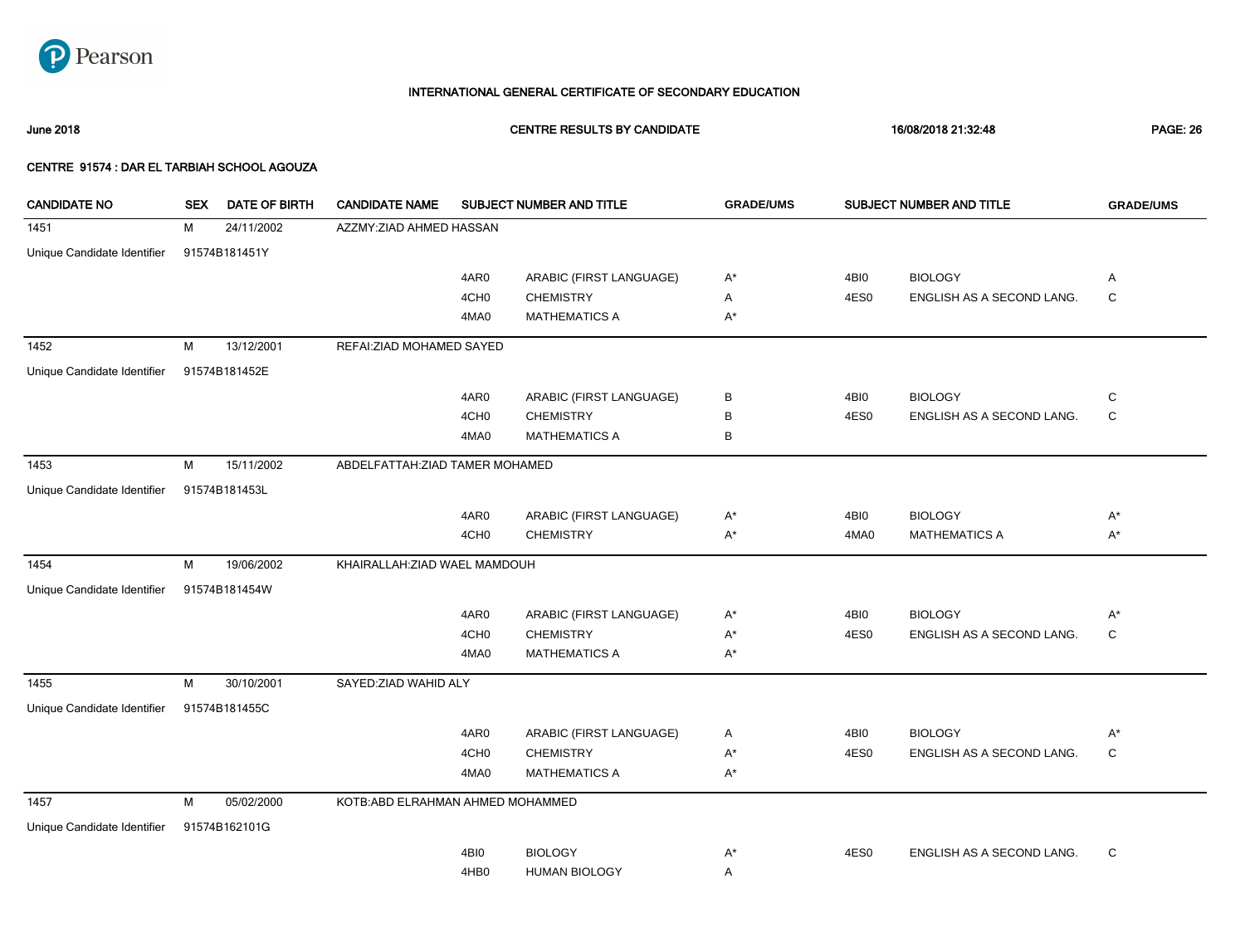

June 2018 CENTRE RESULTS BY CANDIDATE 16/08/2018 21:32:48 PAGE: 26

| <b>CANDIDATE NO</b>         | <b>SEX</b> | <b>DATE OF BIRTH</b> | <b>CANDIDATE NAME</b>             |                  | SUBJECT NUMBER AND TITLE | <b>GRADE/UMS</b> |      | <b>SUBJECT NUMBER AND TITLE</b> | <b>GRADE/UMS</b>     |
|-----------------------------|------------|----------------------|-----------------------------------|------------------|--------------------------|------------------|------|---------------------------------|----------------------|
| 1451                        | м          | 24/11/2002           | AZZMY:ZIAD AHMED HASSAN           |                  |                          |                  |      |                                 |                      |
| Unique Candidate Identifier |            | 91574B181451Y        |                                   |                  |                          |                  |      |                                 |                      |
|                             |            |                      |                                   | 4AR0             | ARABIC (FIRST LANGUAGE)  | $A^*$            | 4BI0 | <b>BIOLOGY</b>                  | Α                    |
|                             |            |                      |                                   | 4CH <sub>0</sub> | <b>CHEMISTRY</b>         | Α                | 4ES0 | ENGLISH AS A SECOND LANG.       | $\mathsf C$          |
|                             |            |                      |                                   | 4MA0             | <b>MATHEMATICS A</b>     | $A^*$            |      |                                 |                      |
| 1452                        | M          | 13/12/2001           | REFAI: ZIAD MOHAMED SAYED         |                  |                          |                  |      |                                 |                      |
| Unique Candidate Identifier |            | 91574B181452E        |                                   |                  |                          |                  |      |                                 |                      |
|                             |            |                      |                                   | 4AR0             | ARABIC (FIRST LANGUAGE)  | в                | 4BI0 | <b>BIOLOGY</b>                  | С                    |
|                             |            |                      |                                   | 4CH <sub>0</sub> | <b>CHEMISTRY</b>         | в                | 4ES0 | ENGLISH AS A SECOND LANG.       | $\mathbf C$          |
|                             |            |                      |                                   | 4MA0             | <b>MATHEMATICS A</b>     | В                |      |                                 |                      |
| 1453                        | M          | 15/11/2002           | ABDELFATTAH: ZIAD TAMER MOHAMED   |                  |                          |                  |      |                                 |                      |
| Unique Candidate Identifier |            | 91574B181453L        |                                   |                  |                          |                  |      |                                 |                      |
|                             |            |                      |                                   | 4AR0             | ARABIC (FIRST LANGUAGE)  | $A^*$            | 4BI0 | <b>BIOLOGY</b>                  | A*                   |
|                             |            |                      |                                   | 4CH <sub>0</sub> | <b>CHEMISTRY</b>         | $A^*$            | 4MA0 | <b>MATHEMATICS A</b>            | $\mathsf{A}^{\star}$ |
| 1454                        | М          | 19/06/2002           | KHAIRALLAH: ZIAD WAEL MAMDOUH     |                  |                          |                  |      |                                 |                      |
| Unique Candidate Identifier |            | 91574B181454W        |                                   |                  |                          |                  |      |                                 |                      |
|                             |            |                      |                                   | 4AR0             | ARABIC (FIRST LANGUAGE)  | $A^*$            | 4BI0 | <b>BIOLOGY</b>                  | $A^*$                |
|                             |            |                      |                                   | 4CH <sub>0</sub> | <b>CHEMISTRY</b>         | $A^*$            | 4ES0 | ENGLISH AS A SECOND LANG.       | $\mathsf C$          |
|                             |            |                      |                                   | 4MA0             | <b>MATHEMATICS A</b>     | $A^*$            |      |                                 |                      |
| 1455                        | M          | 30/10/2001           | SAYED:ZIAD WAHID ALY              |                  |                          |                  |      |                                 |                      |
| Unique Candidate Identifier |            | 91574B181455C        |                                   |                  |                          |                  |      |                                 |                      |
|                             |            |                      |                                   | 4AR0             | ARABIC (FIRST LANGUAGE)  | Α                | 4BI0 | <b>BIOLOGY</b>                  | $A^*$                |
|                             |            |                      |                                   | 4CH <sub>0</sub> | <b>CHEMISTRY</b>         | $A^*$            | 4ES0 | ENGLISH AS A SECOND LANG.       | C                    |
|                             |            |                      |                                   | 4MA0             | <b>MATHEMATICS A</b>     | $A^*$            |      |                                 |                      |
| 1457                        | M          | 05/02/2000           | KOTB: ABD ELRAHMAN AHMED MOHAMMED |                  |                          |                  |      |                                 |                      |
| Unique Candidate Identifier |            | 91574B162101G        |                                   |                  |                          |                  |      |                                 |                      |
|                             |            |                      |                                   | 4BI0             | <b>BIOLOGY</b>           | $A^*$            | 4ES0 | ENGLISH AS A SECOND LANG.       | C                    |
|                             |            |                      |                                   | 4HB0             | <b>HUMAN BIOLOGY</b>     | Α                |      |                                 |                      |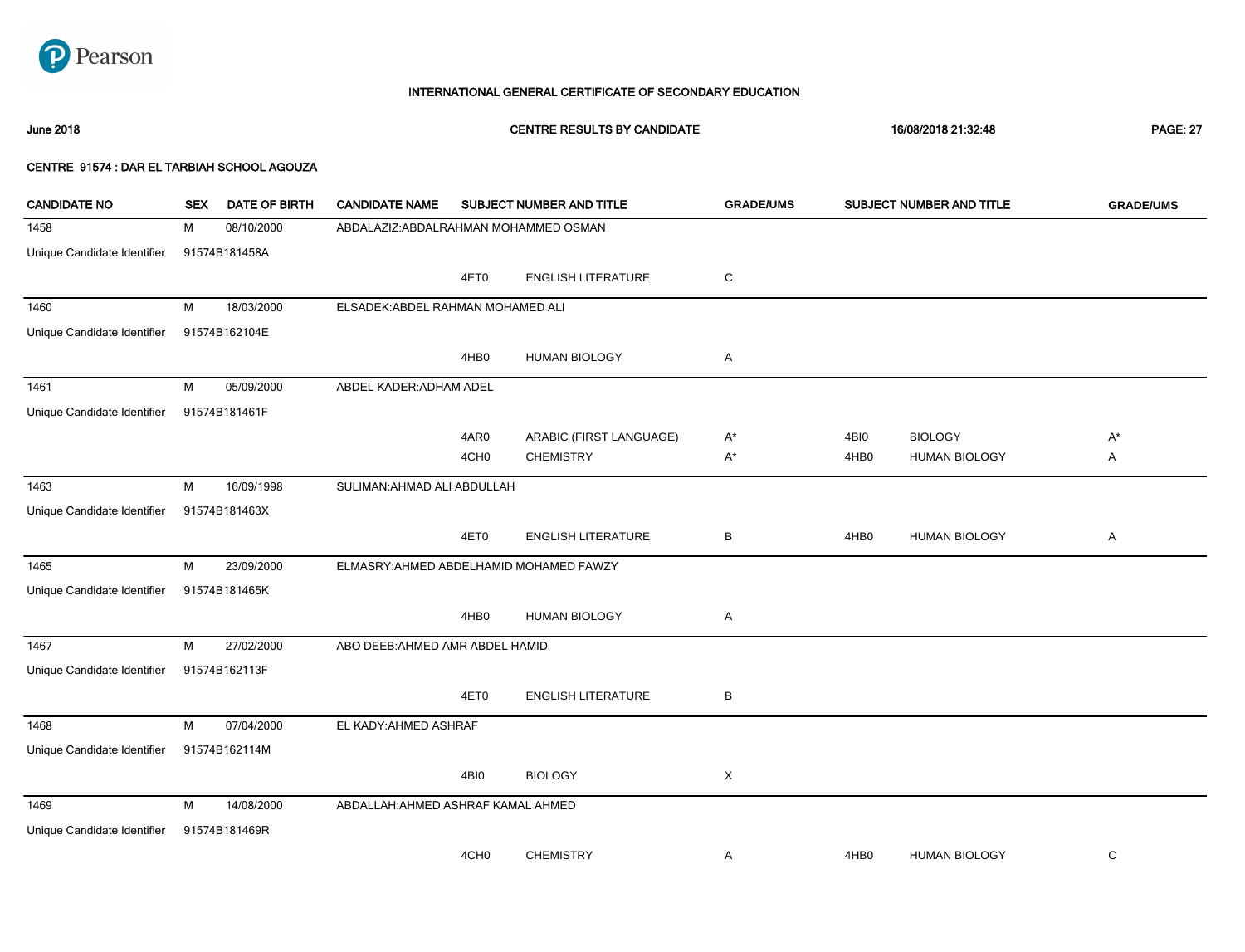

June 2018 CENTRE RESULTS BY CANDIDATE 16/08/2018 21:32:48 PAGE: 27

| <b>CANDIDATE NO</b>         | <b>SEX</b> | <b>DATE OF BIRTH</b> | <b>CANDIDATE NAME</b>                   |                  | SUBJECT NUMBER AND TITLE  | <b>GRADE/UMS</b> |                  | SUBJECT NUMBER AND TITLE | <b>GRADE/UMS</b> |
|-----------------------------|------------|----------------------|-----------------------------------------|------------------|---------------------------|------------------|------------------|--------------------------|------------------|
| 1458                        | М          | 08/10/2000           | ABDALAZIZ: ABDALRAHMAN MOHAMMED OSMAN   |                  |                           |                  |                  |                          |                  |
| Unique Candidate Identifier |            | 91574B181458A        |                                         |                  |                           |                  |                  |                          |                  |
|                             |            |                      |                                         | 4ET0             | <b>ENGLISH LITERATURE</b> | ${\rm C}$        |                  |                          |                  |
| 1460                        | M          | 18/03/2000           | ELSADEK: ABDEL RAHMAN MOHAMED ALI       |                  |                           |                  |                  |                          |                  |
| Unique Candidate Identifier |            | 91574B162104E        |                                         |                  |                           |                  |                  |                          |                  |
|                             |            |                      |                                         | 4HB0             | <b>HUMAN BIOLOGY</b>      | Α                |                  |                          |                  |
| 1461                        | М          | 05/09/2000           | ABDEL KADER: ADHAM ADEL                 |                  |                           |                  |                  |                          |                  |
| Unique Candidate Identifier |            | 91574B181461F        |                                         |                  |                           |                  |                  |                          |                  |
|                             |            |                      |                                         | 4AR0             | ARABIC (FIRST LANGUAGE)   | $A^*$            | 4BI0             | <b>BIOLOGY</b>           | $A^*$            |
|                             |            |                      |                                         | 4CH <sub>0</sub> | <b>CHEMISTRY</b>          | $A^*$            | 4HB <sub>0</sub> | <b>HUMAN BIOLOGY</b>     | Α                |
| 1463                        | М          | 16/09/1998           | SULIMAN: AHMAD ALI ABDULLAH             |                  |                           |                  |                  |                          |                  |
| Unique Candidate Identifier |            | 91574B181463X        |                                         |                  |                           |                  |                  |                          |                  |
|                             |            |                      |                                         | 4ET0             | <b>ENGLISH LITERATURE</b> | В                | 4HB0             | <b>HUMAN BIOLOGY</b>     | Α                |
| 1465                        | M          | 23/09/2000           | ELMASRY: AHMED ABDELHAMID MOHAMED FAWZY |                  |                           |                  |                  |                          |                  |
| Unique Candidate Identifier |            | 91574B181465K        |                                         |                  |                           |                  |                  |                          |                  |
|                             |            |                      |                                         | 4HB0             | <b>HUMAN BIOLOGY</b>      | Α                |                  |                          |                  |
| 1467                        | М          | 27/02/2000           | ABO DEEB: AHMED AMR ABDEL HAMID         |                  |                           |                  |                  |                          |                  |
| Unique Candidate Identifier |            | 91574B162113F        |                                         |                  |                           |                  |                  |                          |                  |
|                             |            |                      |                                         | 4ET0             | <b>ENGLISH LITERATURE</b> | В                |                  |                          |                  |
| 1468                        | М          | 07/04/2000           | EL KADY: AHMED ASHRAF                   |                  |                           |                  |                  |                          |                  |
| Unique Candidate Identifier |            | 91574B162114M        |                                         |                  |                           |                  |                  |                          |                  |
|                             |            |                      |                                         | 4BI0             | <b>BIOLOGY</b>            | X                |                  |                          |                  |
| 1469                        | M          | 14/08/2000           | ABDALLAH: AHMED ASHRAF KAMAL AHMED      |                  |                           |                  |                  |                          |                  |
| Unique Candidate Identifier |            | 91574B181469R        |                                         |                  |                           |                  |                  |                          |                  |
|                             |            |                      |                                         | 4CH <sub>0</sub> | <b>CHEMISTRY</b>          | A                | 4HB <sub>0</sub> | <b>HUMAN BIOLOGY</b>     | C                |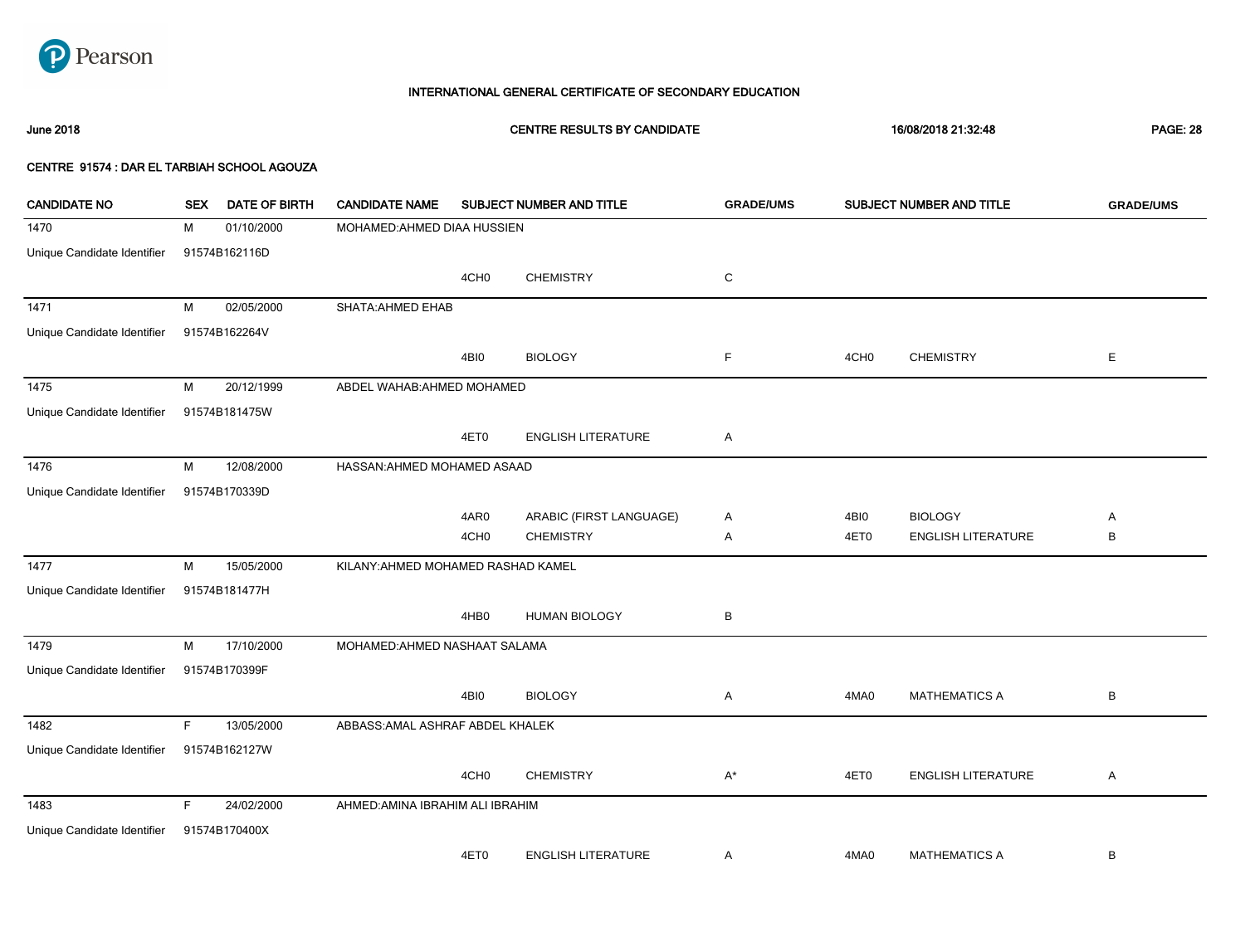

# June 2018 CENTRE RESULTS BY CANDIDATE 16/08/2018 21:32:48 PAGE: 28

| <b>CANDIDATE NO</b>         | <b>SEX</b> | <b>DATE OF BIRTH</b> | <b>CANDIDATE NAME</b>              |                  | SUBJECT NUMBER AND TITLE  | <b>GRADE/UMS</b> |                  | SUBJECT NUMBER AND TITLE  | <b>GRADE/UMS</b> |
|-----------------------------|------------|----------------------|------------------------------------|------------------|---------------------------|------------------|------------------|---------------------------|------------------|
| 1470                        | м          | 01/10/2000           | MOHAMED: AHMED DIAA HUSSIEN        |                  |                           |                  |                  |                           |                  |
| Unique Candidate Identifier |            | 91574B162116D        |                                    |                  |                           |                  |                  |                           |                  |
|                             |            |                      |                                    | 4CH <sub>0</sub> | <b>CHEMISTRY</b>          | C                |                  |                           |                  |
| 1471                        | М          | 02/05/2000           | <b>SHATA: AHMED EHAB</b>           |                  |                           |                  |                  |                           |                  |
| Unique Candidate Identifier |            | 91574B162264V        |                                    |                  |                           |                  |                  |                           |                  |
|                             |            |                      |                                    | 4BI0             | <b>BIOLOGY</b>            | F                | 4CH <sub>0</sub> | <b>CHEMISTRY</b>          | Е                |
| 1475                        | М          | 20/12/1999           | ABDEL WAHAB: AHMED MOHAMED         |                  |                           |                  |                  |                           |                  |
| Unique Candidate Identifier |            | 91574B181475W        |                                    |                  |                           |                  |                  |                           |                  |
|                             |            |                      |                                    | 4ET0             | <b>ENGLISH LITERATURE</b> | Α                |                  |                           |                  |
| 1476                        | М          | 12/08/2000           | HASSAN: AHMED MOHAMED ASAAD        |                  |                           |                  |                  |                           |                  |
| Unique Candidate Identifier |            | 91574B170339D        |                                    |                  |                           |                  |                  |                           |                  |
|                             |            |                      |                                    | 4AR0             | ARABIC (FIRST LANGUAGE)   | Α                | 4BI0             | <b>BIOLOGY</b>            | Α                |
|                             |            |                      |                                    | 4CH <sub>0</sub> | <b>CHEMISTRY</b>          | Α                | 4ET0             | <b>ENGLISH LITERATURE</b> | B                |
| 1477                        | м          | 15/05/2000           | KILANY: AHMED MOHAMED RASHAD KAMEL |                  |                           |                  |                  |                           |                  |
| Unique Candidate Identifier |            | 91574B181477H        |                                    |                  |                           |                  |                  |                           |                  |
|                             |            |                      |                                    | 4HB0             | <b>HUMAN BIOLOGY</b>      | В                |                  |                           |                  |
| 1479                        | М          | 17/10/2000           | MOHAMED: AHMED NASHAAT SALAMA      |                  |                           |                  |                  |                           |                  |
| Unique Candidate Identifier |            | 91574B170399F        |                                    |                  |                           |                  |                  |                           |                  |
|                             |            |                      |                                    | 4BI0             | <b>BIOLOGY</b>            | A                | 4MA0             | <b>MATHEMATICS A</b>      | B                |
| 1482                        | F.         | 13/05/2000           | ABBASS: AMAL ASHRAF ABDEL KHALEK   |                  |                           |                  |                  |                           |                  |
| Unique Candidate Identifier |            | 91574B162127W        |                                    |                  |                           |                  |                  |                           |                  |
|                             |            |                      |                                    | 4CH <sub>0</sub> | <b>CHEMISTRY</b>          | $A^*$            | 4ET0             | <b>ENGLISH LITERATURE</b> | Α                |
| 1483                        | F          | 24/02/2000           | AHMED: AMINA IBRAHIM ALI IBRAHIM   |                  |                           |                  |                  |                           |                  |
| Unique Candidate Identifier |            | 91574B170400X        |                                    |                  |                           |                  |                  |                           |                  |
|                             |            |                      |                                    | 4ET0             | <b>ENGLISH LITERATURE</b> | Α                | 4MA0             | <b>MATHEMATICS A</b>      | B                |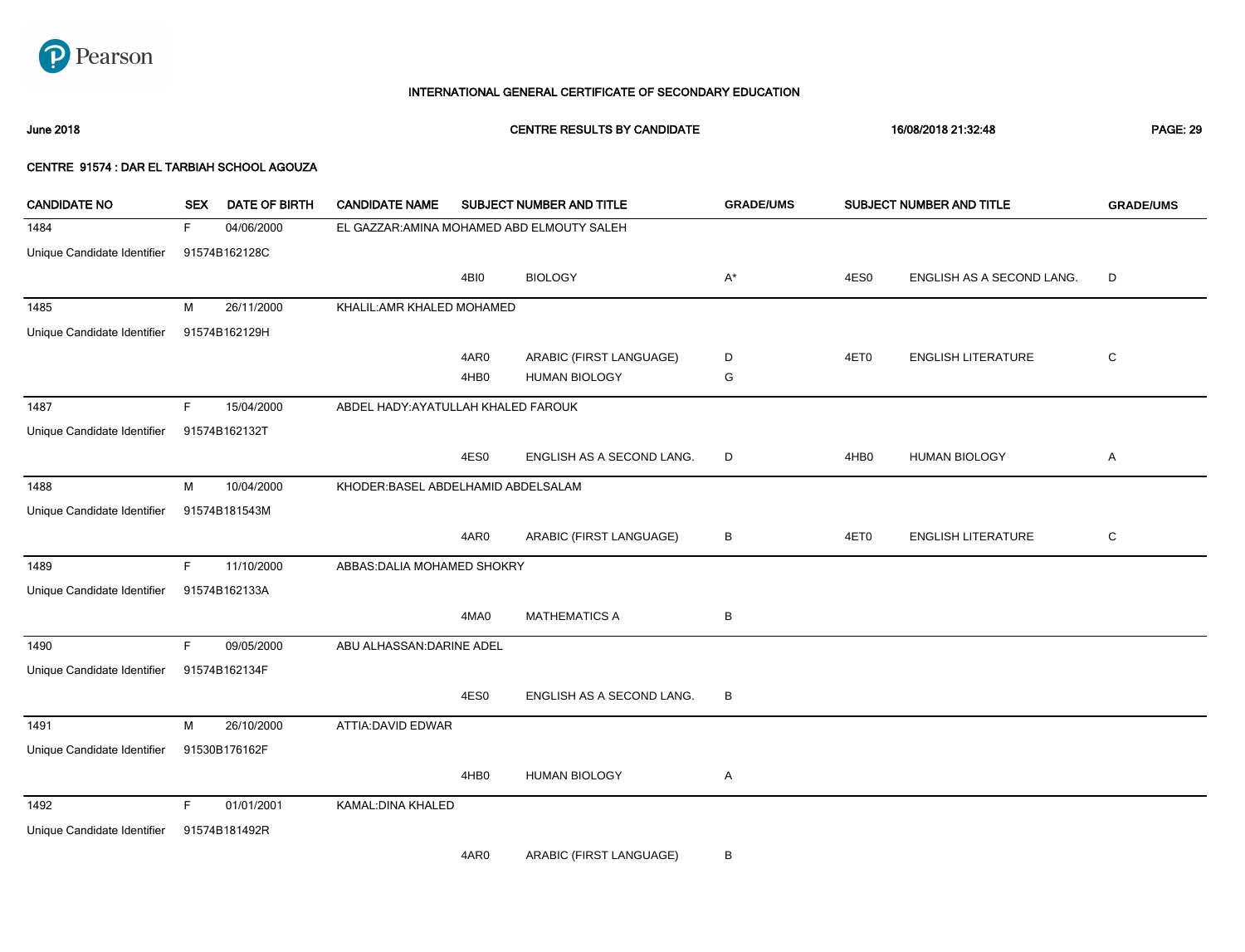

June 2018 CENTRE RESULTS BY CANDIDATE 16/08/2018 21:32:48 PAGE: 29

#### CENTRE 91574 : DAR EL TARBIAH SCHOOL AGOUZA

| <b>CANDIDATE NO</b>         | <b>SEX</b> | <b>DATE OF BIRTH</b> | <b>CANDIDATE NAME</b>                      |      | SUBJECT NUMBER AND TITLE  | <b>GRADE/UMS</b> |      | <b>SUBJECT NUMBER AND TITLE</b> | <b>GRADE/UMS</b> |
|-----------------------------|------------|----------------------|--------------------------------------------|------|---------------------------|------------------|------|---------------------------------|------------------|
| 1484                        | F          | 04/06/2000           | EL GAZZAR: AMINA MOHAMED ABD ELMOUTY SALEH |      |                           |                  |      |                                 |                  |
| Unique Candidate Identifier |            | 91574B162128C        |                                            |      |                           |                  |      |                                 |                  |
|                             |            |                      |                                            | 4BI0 | <b>BIOLOGY</b>            | $A^*$            | 4ES0 | ENGLISH AS A SECOND LANG.       | D                |
| 1485                        | М          | 26/11/2000           | KHALIL: AMR KHALED MOHAMED                 |      |                           |                  |      |                                 |                  |
| Unique Candidate Identifier |            | 91574B162129H        |                                            |      |                           |                  |      |                                 |                  |
|                             |            |                      |                                            | 4AR0 | ARABIC (FIRST LANGUAGE)   | D                | 4ET0 | <b>ENGLISH LITERATURE</b>       | $\mathbf C$      |
|                             |            |                      |                                            | 4HB0 | <b>HUMAN BIOLOGY</b>      | G                |      |                                 |                  |
| 1487                        | F.         | 15/04/2000           | ABDEL HADY: AYATULLAH KHALED FAROUK        |      |                           |                  |      |                                 |                  |
| Unique Candidate Identifier |            | 91574B162132T        |                                            |      |                           |                  |      |                                 |                  |
|                             |            |                      |                                            | 4ES0 | ENGLISH AS A SECOND LANG. | D                | 4HB0 | <b>HUMAN BIOLOGY</b>            | Α                |
| 1488                        | M          | 10/04/2000           | KHODER: BASEL ABDELHAMID ABDELSALAM        |      |                           |                  |      |                                 |                  |
| Unique Candidate Identifier |            | 91574B181543M        |                                            |      |                           |                  |      |                                 |                  |
|                             |            |                      |                                            | 4AR0 | ARABIC (FIRST LANGUAGE)   | в                | 4ET0 | <b>ENGLISH LITERATURE</b>       | C                |
| 1489                        | F          | 11/10/2000           | ABBAS: DALIA MOHAMED SHOKRY                |      |                           |                  |      |                                 |                  |
| Unique Candidate Identifier |            | 91574B162133A        |                                            |      |                           |                  |      |                                 |                  |
|                             |            |                      |                                            | 4MA0 | <b>MATHEMATICS A</b>      | В                |      |                                 |                  |
| 1490                        | F.         | 09/05/2000           | ABU ALHASSAN: DARINE ADEL                  |      |                           |                  |      |                                 |                  |
| Unique Candidate Identifier |            | 91574B162134F        |                                            |      |                           |                  |      |                                 |                  |
|                             |            |                      |                                            | 4ES0 | ENGLISH AS A SECOND LANG. | В                |      |                                 |                  |
| 1491                        | M          | 26/10/2000           | ATTIA: DAVID EDWAR                         |      |                           |                  |      |                                 |                  |
| Unique Candidate Identifier |            | 91530B176162F        |                                            |      |                           |                  |      |                                 |                  |
|                             |            |                      |                                            | 4HB0 | <b>HUMAN BIOLOGY</b>      | Α                |      |                                 |                  |
| 1492                        | F.         | 01/01/2001           | KAMAL: DINA KHALED                         |      |                           |                  |      |                                 |                  |
| Unique Candidate Identifier |            | 91574B181492R        |                                            |      |                           |                  |      |                                 |                  |

4AR0 ARABIC (FIRST LANGUAGE) B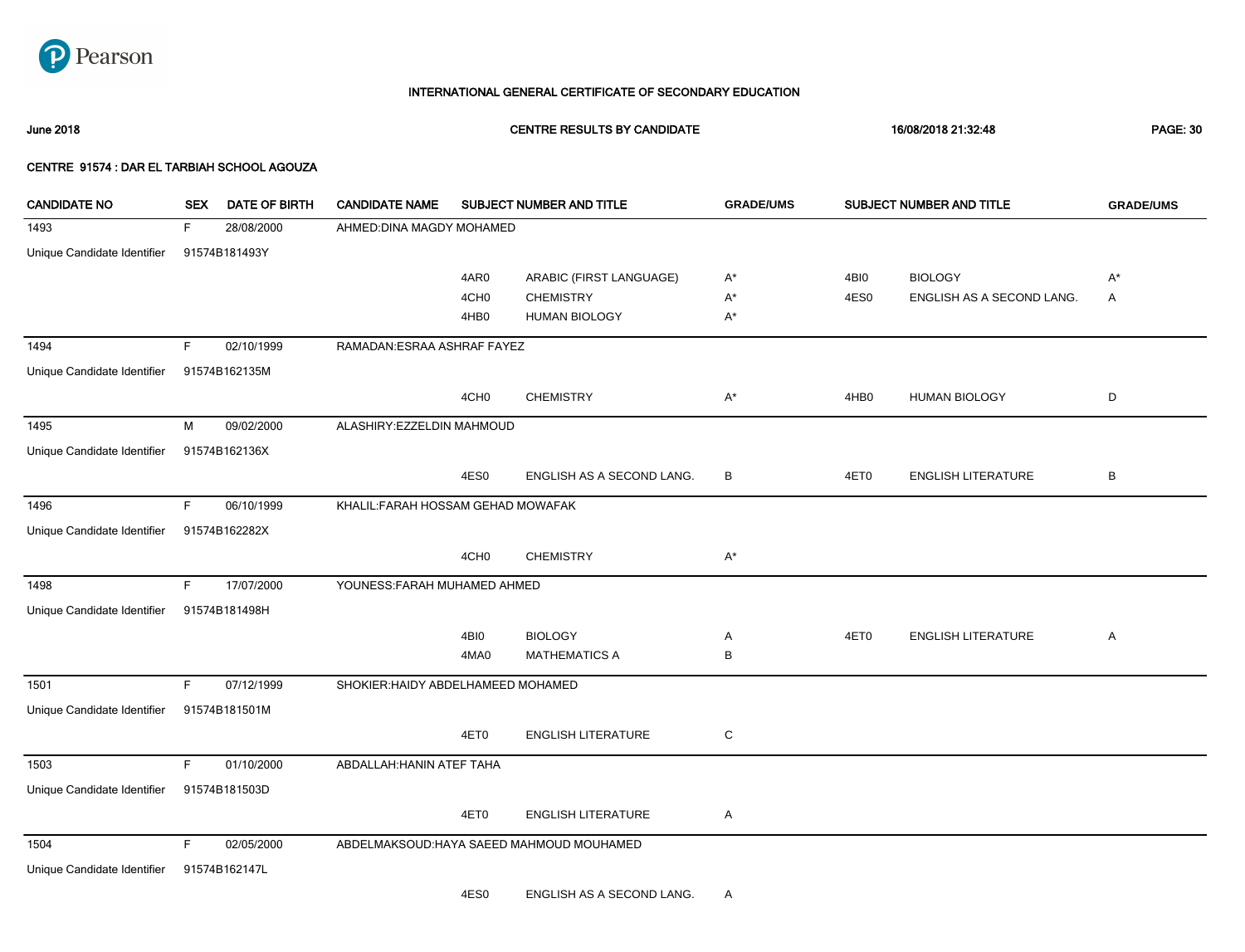

June 2018 CENTRE RESULTS BY CANDIDATE 16/08/2018 21:32:48 PAGE: 30

| <b>CANDIDATE NO</b>         | <b>SEX</b> | <b>DATE OF BIRTH</b> | <b>CANDIDATE NAME</b>              |                  | SUBJECT NUMBER AND TITLE                  | <b>GRADE/UMS</b> |      | SUBJECT NUMBER AND TITLE  | <b>GRADE/UMS</b> |
|-----------------------------|------------|----------------------|------------------------------------|------------------|-------------------------------------------|------------------|------|---------------------------|------------------|
| 1493                        | F.         | 28/08/2000           | AHMED: DINA MAGDY MOHAMED          |                  |                                           |                  |      |                           |                  |
| Unique Candidate Identifier |            | 91574B181493Y        |                                    |                  |                                           |                  |      |                           |                  |
|                             |            |                      |                                    | 4AR0             | ARABIC (FIRST LANGUAGE)                   | A*               | 4BI0 | <b>BIOLOGY</b>            | $A^*$            |
|                             |            |                      |                                    | 4CH <sub>0</sub> | <b>CHEMISTRY</b>                          | $A^*$            | 4ES0 | ENGLISH AS A SECOND LANG. | A                |
|                             |            |                      |                                    | 4HB <sub>0</sub> | <b>HUMAN BIOLOGY</b>                      | A*               |      |                           |                  |
| 1494                        | F.         | 02/10/1999           | RAMADAN: ESRAA ASHRAF FAYEZ        |                  |                                           |                  |      |                           |                  |
| Unique Candidate Identifier |            | 91574B162135M        |                                    |                  |                                           |                  |      |                           |                  |
|                             |            |                      |                                    | 4CH <sub>0</sub> | <b>CHEMISTRY</b>                          | $A^*$            | 4HB0 | <b>HUMAN BIOLOGY</b>      | D                |
| 1495                        | M          | 09/02/2000           | ALASHIRY:EZZELDIN MAHMOUD          |                  |                                           |                  |      |                           |                  |
| Unique Candidate Identifier |            | 91574B162136X        |                                    |                  |                                           |                  |      |                           |                  |
|                             |            |                      |                                    | 4ES0             | ENGLISH AS A SECOND LANG.                 | В                | 4ET0 | <b>ENGLISH LITERATURE</b> | $\sf B$          |
| 1496                        | F.         | 06/10/1999           | KHALIL: FARAH HOSSAM GEHAD MOWAFAK |                  |                                           |                  |      |                           |                  |
| Unique Candidate Identifier |            | 91574B162282X        |                                    |                  |                                           |                  |      |                           |                  |
|                             |            |                      |                                    | 4CH <sub>0</sub> | <b>CHEMISTRY</b>                          | $A^*$            |      |                           |                  |
| 1498                        | F.         | 17/07/2000           | YOUNESS: FARAH MUHAMED AHMED       |                  |                                           |                  |      |                           |                  |
| Unique Candidate Identifier |            | 91574B181498H        |                                    |                  |                                           |                  |      |                           |                  |
|                             |            |                      |                                    | 4BI0             | <b>BIOLOGY</b>                            | Α                | 4ET0 | <b>ENGLISH LITERATURE</b> | Α                |
|                             |            |                      |                                    | 4MA0             | <b>MATHEMATICS A</b>                      | B                |      |                           |                  |
| 1501                        | F.         | 07/12/1999           | SHOKIER: HAIDY ABDELHAMEED MOHAMED |                  |                                           |                  |      |                           |                  |
| Unique Candidate Identifier |            | 91574B181501M        |                                    |                  |                                           |                  |      |                           |                  |
|                             |            |                      |                                    | 4ET0             | <b>ENGLISH LITERATURE</b>                 | C                |      |                           |                  |
| 1503                        | F.         | 01/10/2000           | ABDALLAH: HANIN ATEF TAHA          |                  |                                           |                  |      |                           |                  |
| Unique Candidate Identifier |            | 91574B181503D        |                                    |                  |                                           |                  |      |                           |                  |
|                             |            |                      |                                    | 4ET0             | <b>ENGLISH LITERATURE</b>                 | Α                |      |                           |                  |
| 1504                        | F.         | 02/05/2000           |                                    |                  | ABDELMAKSOUD: HAYA SAEED MAHMOUD MOUHAMED |                  |      |                           |                  |
| Unique Candidate Identifier |            | 91574B162147L        |                                    |                  |                                           |                  |      |                           |                  |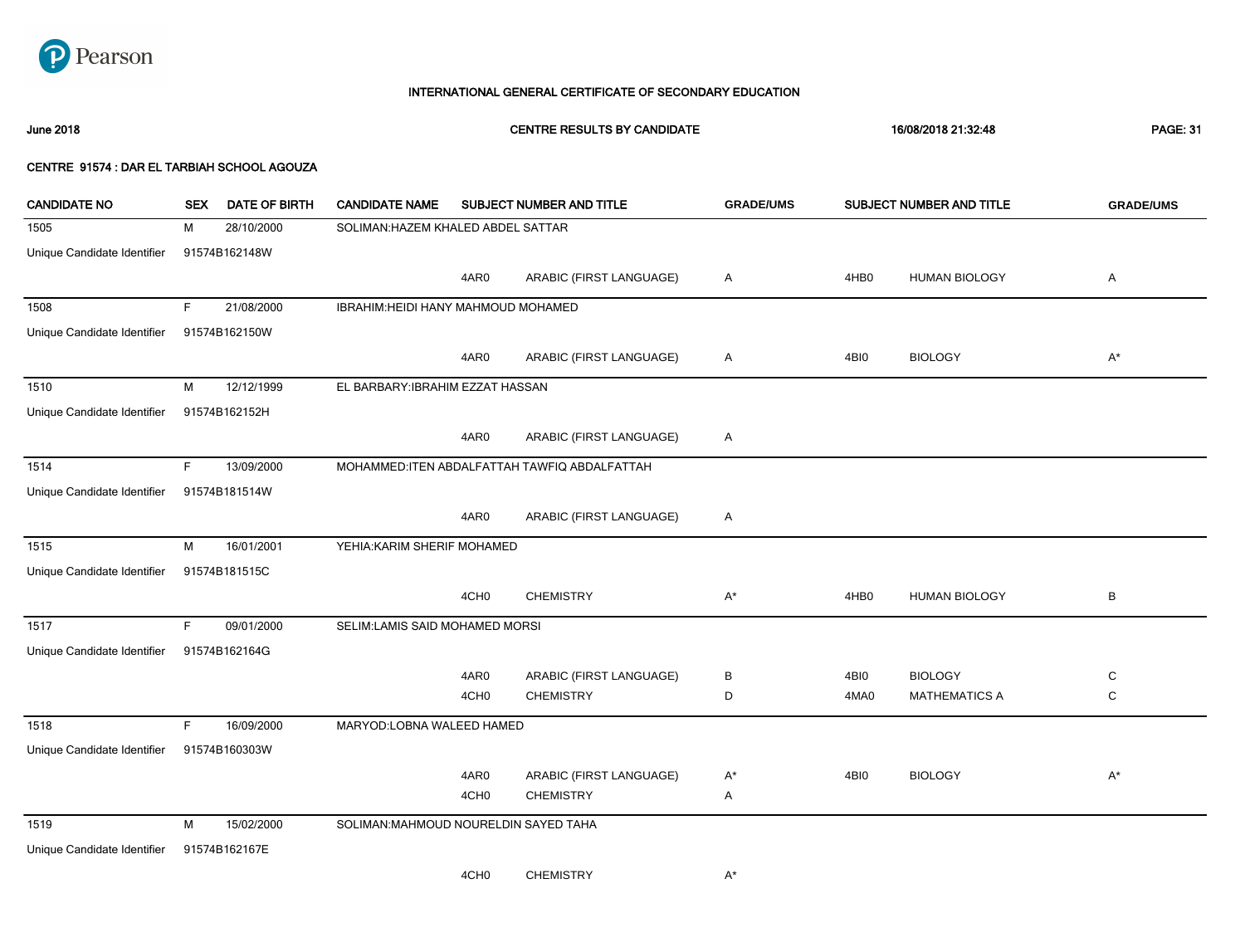

June 2018 CENTRE RESULTS BY CANDIDATE 16/08/2018 21:32:48 PAGE: 31

| <b>CANDIDATE NO</b>         | <b>SEX</b> | <b>DATE OF BIRTH</b> | <b>CANDIDATE NAME</b>                 |                  | SUBJECT NUMBER AND TITLE                      | <b>GRADE/UMS</b> |                  | SUBJECT NUMBER AND TITLE | <b>GRADE/UMS</b> |
|-----------------------------|------------|----------------------|---------------------------------------|------------------|-----------------------------------------------|------------------|------------------|--------------------------|------------------|
| 1505                        | М          | 28/10/2000           | SOLIMAN: HAZEM KHALED ABDEL SATTAR    |                  |                                               |                  |                  |                          |                  |
| Unique Candidate Identifier |            | 91574B162148W        |                                       |                  |                                               |                  |                  |                          |                  |
|                             |            |                      |                                       | 4AR0             | ARABIC (FIRST LANGUAGE)                       | Α                | 4HB <sub>0</sub> | <b>HUMAN BIOLOGY</b>     | Α                |
| 1508                        | F          | 21/08/2000           | IBRAHIM: HEIDI HANY MAHMOUD MOHAMED   |                  |                                               |                  |                  |                          |                  |
| Unique Candidate Identifier |            | 91574B162150W        |                                       |                  |                                               |                  |                  |                          |                  |
|                             |            |                      |                                       | 4AR0             | ARABIC (FIRST LANGUAGE)                       | A                | 4BI0             | <b>BIOLOGY</b>           | $A^*$            |
| 1510                        | M          | 12/12/1999           | EL BARBARY: IBRAHIM EZZAT HASSAN      |                  |                                               |                  |                  |                          |                  |
| Unique Candidate Identifier |            | 91574B162152H        |                                       |                  |                                               |                  |                  |                          |                  |
|                             |            |                      |                                       | 4AR0             | ARABIC (FIRST LANGUAGE)                       | Α                |                  |                          |                  |
| 1514                        | F.         | 13/09/2000           |                                       |                  | MOHAMMED: ITEN ABDALFATTAH TAWFIQ ABDALFATTAH |                  |                  |                          |                  |
| Unique Candidate Identifier |            | 91574B181514W        |                                       |                  |                                               |                  |                  |                          |                  |
|                             |            |                      |                                       | 4AR0             | ARABIC (FIRST LANGUAGE)                       | A                |                  |                          |                  |
| 1515                        | М          | 16/01/2001           | YEHIA: KARIM SHERIF MOHAMED           |                  |                                               |                  |                  |                          |                  |
| Unique Candidate Identifier |            | 91574B181515C        |                                       |                  |                                               |                  |                  |                          |                  |
|                             |            |                      |                                       | 4CH <sub>0</sub> | <b>CHEMISTRY</b>                              | $A^*$            | 4HB <sub>0</sub> | <b>HUMAN BIOLOGY</b>     | В                |
| 1517                        | F.         | 09/01/2000           | SELIM:LAMIS SAID MOHAMED MORSI        |                  |                                               |                  |                  |                          |                  |
| Unique Candidate Identifier |            | 91574B162164G        |                                       |                  |                                               |                  |                  |                          |                  |
|                             |            |                      |                                       | 4AR0             | ARABIC (FIRST LANGUAGE)                       | В                | 4BI0             | <b>BIOLOGY</b>           | С                |
|                             |            |                      |                                       | 4CH <sub>0</sub> | <b>CHEMISTRY</b>                              | D                | 4MA0             | <b>MATHEMATICS A</b>     | C                |
| 1518                        | F.         | 16/09/2000           | MARYOD:LOBNA WALEED HAMED             |                  |                                               |                  |                  |                          |                  |
| Unique Candidate Identifier |            | 91574B160303W        |                                       |                  |                                               |                  |                  |                          |                  |
|                             |            |                      |                                       | 4AR0             | ARABIC (FIRST LANGUAGE)                       | A*               | 4BI0             | <b>BIOLOGY</b>           | $\mathsf{A}^*$   |
|                             |            |                      |                                       | 4CH <sub>0</sub> | <b>CHEMISTRY</b>                              | Α                |                  |                          |                  |
| 1519                        | M          | 15/02/2000           | SOLIMAN: MAHMOUD NOURELDIN SAYED TAHA |                  |                                               |                  |                  |                          |                  |
| Unique Candidate Identifier |            | 91574B162167E        |                                       |                  |                                               |                  |                  |                          |                  |
|                             |            |                      |                                       | 4CH <sub>0</sub> | <b>CHEMISTRY</b>                              | A*               |                  |                          |                  |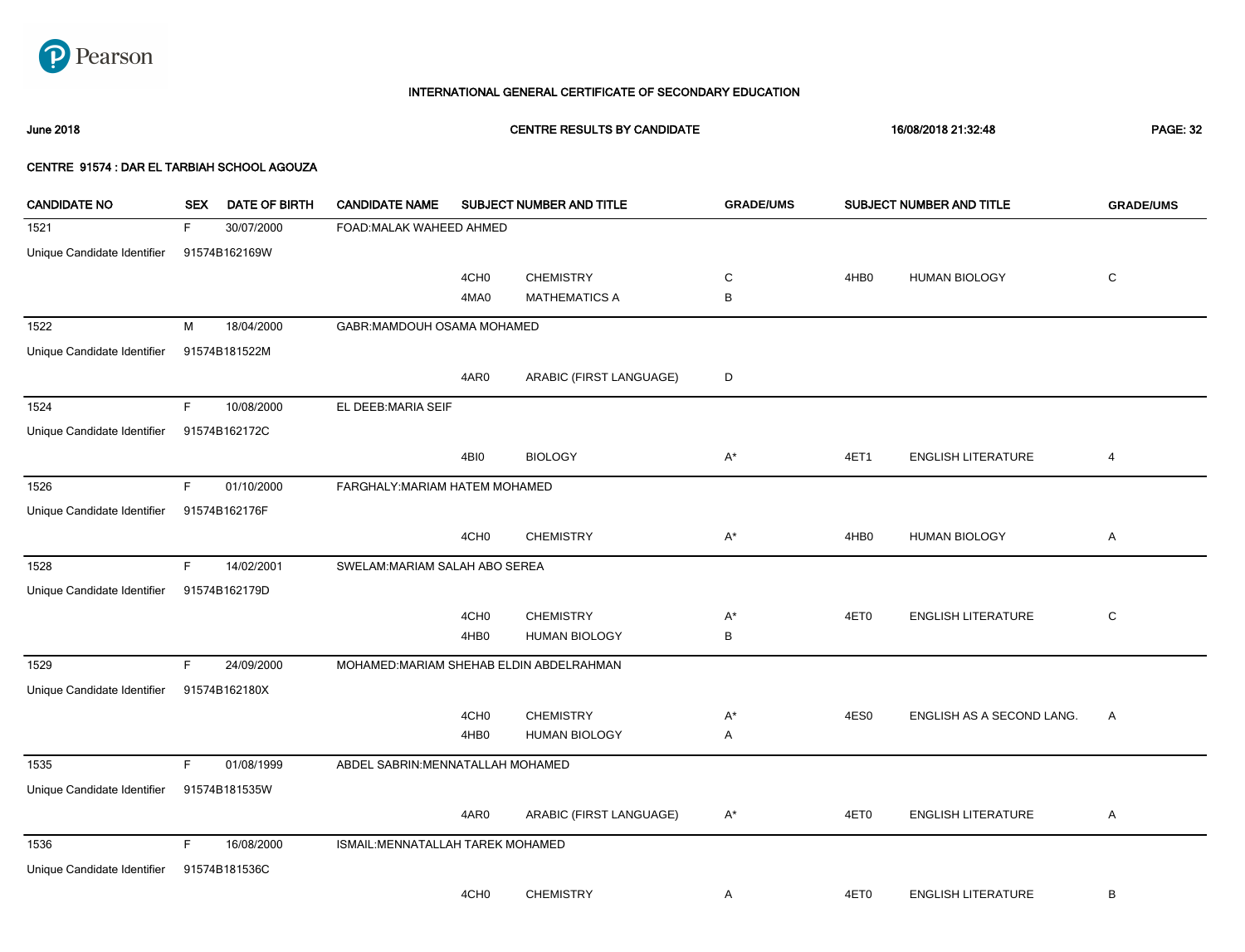

June 2018 CENTRE RESULTS BY CANDIDATE 16/08/2018 21:32:48 PAGE: 32

| <b>CANDIDATE NO</b>         | <b>SEX</b> | <b>DATE OF BIRTH</b> | <b>CANDIDATE NAME</b>                    |                  | SUBJECT NUMBER AND TITLE | <b>GRADE/UMS</b> |                  | <b>SUBJECT NUMBER AND TITLE</b> | <b>GRADE/UMS</b> |
|-----------------------------|------------|----------------------|------------------------------------------|------------------|--------------------------|------------------|------------------|---------------------------------|------------------|
| 1521                        | F.         | 30/07/2000           | FOAD: MALAK WAHEED AHMED                 |                  |                          |                  |                  |                                 |                  |
| Unique Candidate Identifier |            | 91574B162169W        |                                          |                  |                          |                  |                  |                                 |                  |
|                             |            |                      |                                          | 4CH <sub>0</sub> | <b>CHEMISTRY</b>         | C                | 4HB <sub>0</sub> | <b>HUMAN BIOLOGY</b>            | $\mathbf C$      |
|                             |            |                      |                                          | 4MA0             | <b>MATHEMATICS A</b>     | В                |                  |                                 |                  |
| 1522                        | M          | 18/04/2000           | GABR: MAMDOUH OSAMA MOHAMED              |                  |                          |                  |                  |                                 |                  |
| Unique Candidate Identifier |            | 91574B181522M        |                                          |                  |                          |                  |                  |                                 |                  |
|                             |            |                      |                                          | 4AR0             | ARABIC (FIRST LANGUAGE)  | D                |                  |                                 |                  |
| 1524                        | F          | 10/08/2000           | EL DEEB:MARIA SEIF                       |                  |                          |                  |                  |                                 |                  |
| Unique Candidate Identifier |            | 91574B162172C        |                                          |                  |                          |                  |                  |                                 |                  |
|                             |            |                      |                                          | 4BI0             | <b>BIOLOGY</b>           | $A^*$            | 4ET1             | <b>ENGLISH LITERATURE</b>       | 4                |
| 1526                        | F.         | 01/10/2000           | FARGHALY: MARIAM HATEM MOHAMED           |                  |                          |                  |                  |                                 |                  |
| Unique Candidate Identifier |            | 91574B162176F        |                                          |                  |                          |                  |                  |                                 |                  |
|                             |            |                      |                                          | 4CH <sub>0</sub> | <b>CHEMISTRY</b>         | $A^*$            | 4HB <sub>0</sub> | <b>HUMAN BIOLOGY</b>            | Α                |
| 1528                        | F.         | 14/02/2001           | SWELAM: MARIAM SALAH ABO SEREA           |                  |                          |                  |                  |                                 |                  |
| Unique Candidate Identifier |            | 91574B162179D        |                                          |                  |                          |                  |                  |                                 |                  |
|                             |            |                      |                                          | 4CH <sub>0</sub> | <b>CHEMISTRY</b>         | $A^*$            | 4ET0             | <b>ENGLISH LITERATURE</b>       | C                |
|                             |            |                      |                                          | 4HB0             | <b>HUMAN BIOLOGY</b>     | В                |                  |                                 |                  |
| 1529                        | F          | 24/09/2000           | MOHAMED: MARIAM SHEHAB ELDIN ABDELRAHMAN |                  |                          |                  |                  |                                 |                  |
| Unique Candidate Identifier |            | 91574B162180X        |                                          |                  |                          |                  |                  |                                 |                  |
|                             |            |                      |                                          | 4CH <sub>0</sub> | <b>CHEMISTRY</b>         | $A^*$            | 4ES0             | ENGLISH AS A SECOND LANG.       | Α                |
|                             |            |                      |                                          | 4HB0             | <b>HUMAN BIOLOGY</b>     | Α                |                  |                                 |                  |
| 1535                        | F.         | 01/08/1999           | ABDEL SABRIN: MENNATALLAH MOHAMED        |                  |                          |                  |                  |                                 |                  |
| Unique Candidate Identifier |            | 91574B181535W        |                                          |                  |                          |                  |                  |                                 |                  |
|                             |            |                      |                                          | 4AR0             | ARABIC (FIRST LANGUAGE)  | A*               | 4ET0             | <b>ENGLISH LITERATURE</b>       | Α                |
| 1536                        | F.         | 16/08/2000           | ISMAIL: MENNATALLAH TAREK MOHAMED        |                  |                          |                  |                  |                                 |                  |
| Unique Candidate Identifier |            | 91574B181536C        |                                          |                  |                          |                  |                  |                                 |                  |
|                             |            |                      |                                          | 4CH <sub>0</sub> | <b>CHEMISTRY</b>         | Α                | 4ET0             | <b>ENGLISH LITERATURE</b>       | В                |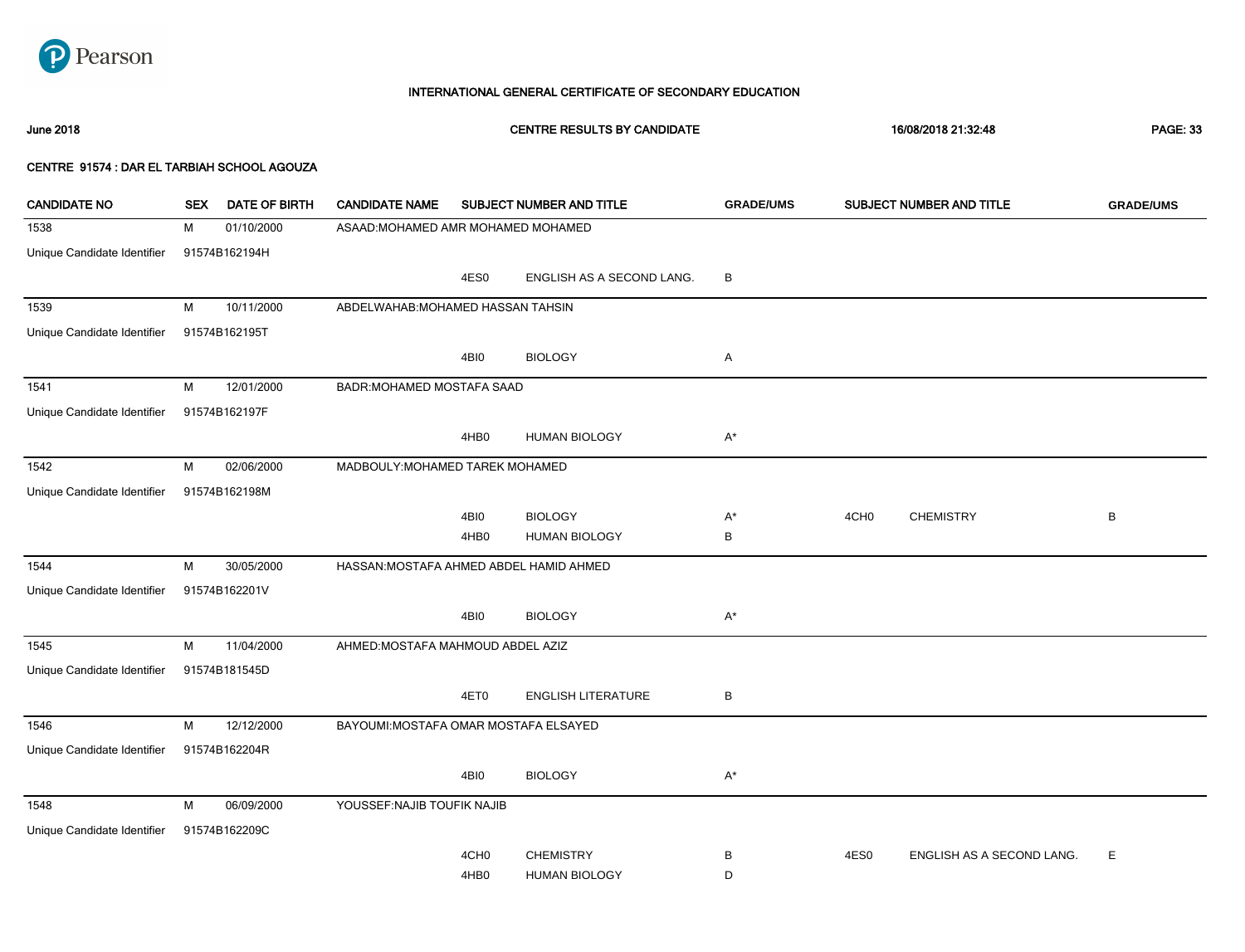

June 2018 CENTRE RESULTS BY CANDIDATE 16/08/2018 21:32:48 PAGE: 33

| <b>CANDIDATE NO</b>         | <b>SEX</b> | <b>DATE OF BIRTH</b> | <b>CANDIDATE NAME</b>                   |                  | SUBJECT NUMBER AND TITLE  | <b>GRADE/UMS</b> |                  | SUBJECT NUMBER AND TITLE  | <b>GRADE/UMS</b> |
|-----------------------------|------------|----------------------|-----------------------------------------|------------------|---------------------------|------------------|------------------|---------------------------|------------------|
| 1538                        | М          | 01/10/2000           | ASAAD: MOHAMED AMR MOHAMED MOHAMED      |                  |                           |                  |                  |                           |                  |
| Unique Candidate Identifier |            | 91574B162194H        |                                         |                  |                           |                  |                  |                           |                  |
|                             |            |                      |                                         | 4ES0             | ENGLISH AS A SECOND LANG. | B                |                  |                           |                  |
| 1539                        | М          | 10/11/2000           | ABDELWAHAB: MOHAMED HASSAN TAHSIN       |                  |                           |                  |                  |                           |                  |
| Unique Candidate Identifier |            | 91574B162195T        |                                         |                  |                           |                  |                  |                           |                  |
|                             |            |                      |                                         | 4BI0             | <b>BIOLOGY</b>            | Α                |                  |                           |                  |
| 1541                        | М          | 12/01/2000           | BADR: MOHAMED MOSTAFA SAAD              |                  |                           |                  |                  |                           |                  |
| Unique Candidate Identifier |            | 91574B162197F        |                                         |                  |                           |                  |                  |                           |                  |
|                             |            |                      |                                         | 4HB0             | <b>HUMAN BIOLOGY</b>      | $A^*$            |                  |                           |                  |
| 1542                        | М          | 02/06/2000           | MADBOULY: MOHAMED TAREK MOHAMED         |                  |                           |                  |                  |                           |                  |
| Unique Candidate Identifier |            | 91574B162198M        |                                         |                  |                           |                  |                  |                           |                  |
|                             |            |                      |                                         | 4BI0             | <b>BIOLOGY</b>            | $A^*$            | 4CH <sub>0</sub> | <b>CHEMISTRY</b>          | B                |
|                             |            |                      |                                         | 4HB <sub>0</sub> | <b>HUMAN BIOLOGY</b>      | В                |                  |                           |                  |
| 1544                        | M          | 30/05/2000           | HASSAN: MOSTAFA AHMED ABDEL HAMID AHMED |                  |                           |                  |                  |                           |                  |
| Unique Candidate Identifier |            | 91574B162201V        |                                         |                  |                           |                  |                  |                           |                  |
|                             |            |                      |                                         | 4BI0             | <b>BIOLOGY</b>            | $A^*$            |                  |                           |                  |
| 1545                        | М          | 11/04/2000           | AHMED: MOSTAFA MAHMOUD ABDEL AZIZ       |                  |                           |                  |                  |                           |                  |
| Unique Candidate Identifier |            | 91574B181545D        |                                         |                  |                           |                  |                  |                           |                  |
|                             |            |                      |                                         | 4ET0             | <b>ENGLISH LITERATURE</b> | B                |                  |                           |                  |
| 1546                        | М          | 12/12/2000           | BAYOUMI: MOSTAFA OMAR MOSTAFA ELSAYED   |                  |                           |                  |                  |                           |                  |
| Unique Candidate Identifier |            | 91574B162204R        |                                         |                  |                           |                  |                  |                           |                  |
|                             |            |                      |                                         | 4BI0             | <b>BIOLOGY</b>            | $A^*$            |                  |                           |                  |
| 1548                        | М          | 06/09/2000           | YOUSSEF: NAJIB TOUFIK NAJIB             |                  |                           |                  |                  |                           |                  |
| Unique Candidate Identifier |            | 91574B162209C        |                                         |                  |                           |                  |                  |                           |                  |
|                             |            |                      |                                         | 4CH <sub>0</sub> | <b>CHEMISTRY</b>          | В                | 4ES0             | ENGLISH AS A SECOND LANG. | Е                |
|                             |            |                      |                                         | 4HB <sub>0</sub> | <b>HUMAN BIOLOGY</b>      | D                |                  |                           |                  |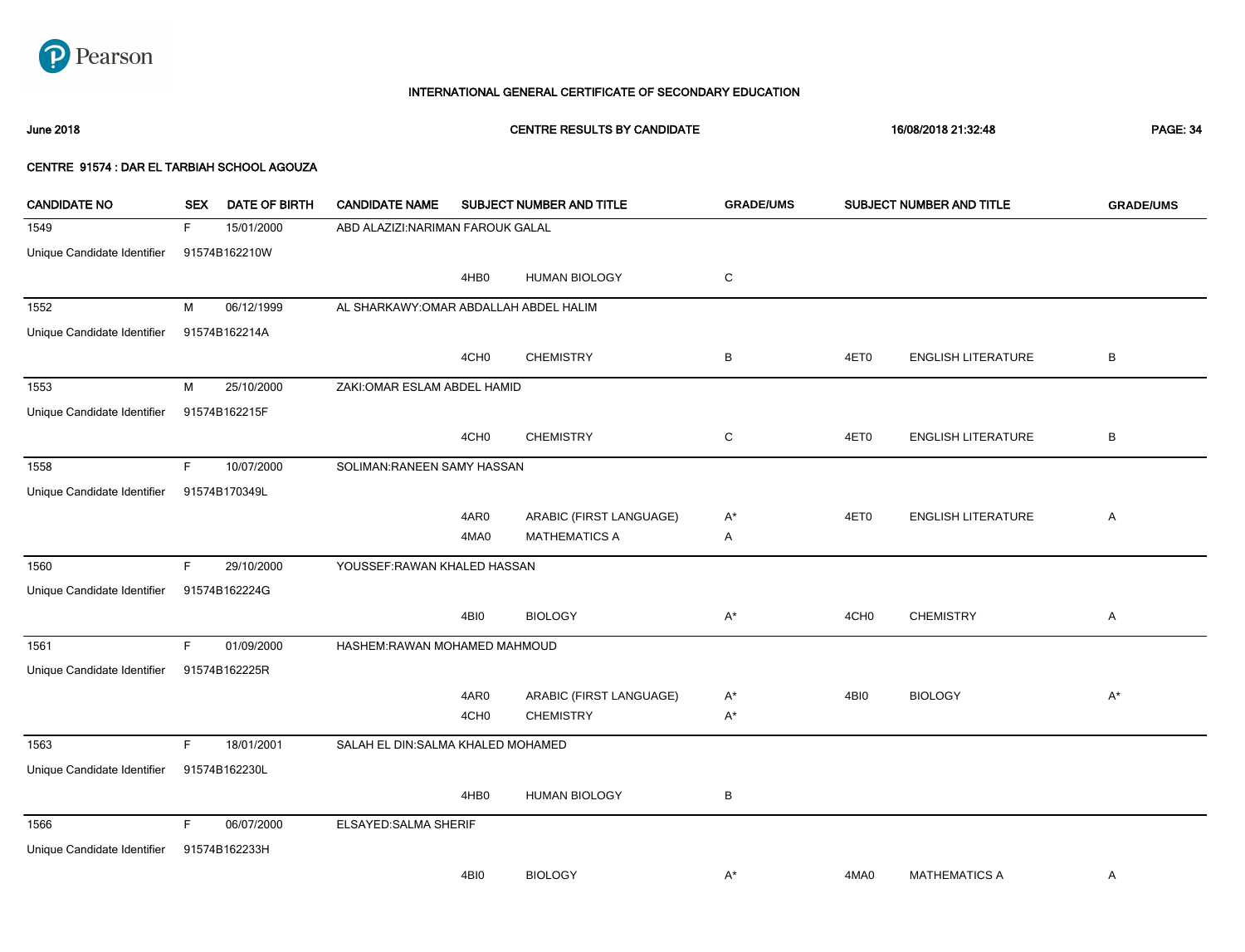

June 2018 CENTRE RESULTS BY CANDIDATE 16/08/2018 21:32:48 PAGE: 34

| <b>CANDIDATE NO</b>         | <b>SEX</b> | <b>DATE OF BIRTH</b> | <b>CANDIDATE NAME</b>                  |                  | SUBJECT NUMBER AND TITLE | <b>GRADE/UMS</b> |                  | SUBJECT NUMBER AND TITLE  | <b>GRADE/UMS</b> |
|-----------------------------|------------|----------------------|----------------------------------------|------------------|--------------------------|------------------|------------------|---------------------------|------------------|
| 1549                        | F.         | 15/01/2000           | ABD ALAZIZI: NARIMAN FAROUK GALAL      |                  |                          |                  |                  |                           |                  |
| Unique Candidate Identifier |            | 91574B162210W        |                                        |                  |                          |                  |                  |                           |                  |
|                             |            |                      |                                        | 4HB0             | <b>HUMAN BIOLOGY</b>     | C                |                  |                           |                  |
| 1552                        | M          | 06/12/1999           | AL SHARKAWY: OMAR ABDALLAH ABDEL HALIM |                  |                          |                  |                  |                           |                  |
| Unique Candidate Identifier |            | 91574B162214A        |                                        |                  |                          |                  |                  |                           |                  |
|                             |            |                      |                                        | 4CH <sub>0</sub> | <b>CHEMISTRY</b>         | в                | 4ET0             | <b>ENGLISH LITERATURE</b> | В                |
| 1553                        | M          | 25/10/2000           | ZAKI: OMAR ESLAM ABDEL HAMID           |                  |                          |                  |                  |                           |                  |
| Unique Candidate Identifier |            | 91574B162215F        |                                        |                  |                          |                  |                  |                           |                  |
|                             |            |                      |                                        | 4CH <sub>0</sub> | <b>CHEMISTRY</b>         | C                | 4ET0             | <b>ENGLISH LITERATURE</b> | B                |
| 1558                        | F.         | 10/07/2000           | SOLIMAN: RANEEN SAMY HASSAN            |                  |                          |                  |                  |                           |                  |
| Unique Candidate Identifier |            | 91574B170349L        |                                        |                  |                          |                  |                  |                           |                  |
|                             |            |                      |                                        | 4AR0             | ARABIC (FIRST LANGUAGE)  | A*               | 4ET0             | <b>ENGLISH LITERATURE</b> | $\mathsf{A}$     |
|                             |            |                      |                                        | 4MA0             | <b>MATHEMATICS A</b>     | Α                |                  |                           |                  |
| 1560                        | F.         | 29/10/2000           | YOUSSEF: RAWAN KHALED HASSAN           |                  |                          |                  |                  |                           |                  |
| Unique Candidate Identifier |            | 91574B162224G        |                                        |                  |                          |                  |                  |                           |                  |
|                             |            |                      |                                        | 4BI0             | <b>BIOLOGY</b>           | $A^*$            | 4CH <sub>0</sub> | <b>CHEMISTRY</b>          | Α                |
| 1561                        | F.         | 01/09/2000           | HASHEM:RAWAN MOHAMED MAHMOUD           |                  |                          |                  |                  |                           |                  |
| Unique Candidate Identifier |            | 91574B162225R        |                                        |                  |                          |                  |                  |                           |                  |
|                             |            |                      |                                        | 4AR0             | ARABIC (FIRST LANGUAGE)  | A*               | 4BI0             | <b>BIOLOGY</b>            | $A^*$            |
|                             |            |                      |                                        | 4CH <sub>0</sub> | <b>CHEMISTRY</b>         | A*               |                  |                           |                  |
| 1563                        | F.         | 18/01/2001           | SALAH EL DIN: SALMA KHALED MOHAMED     |                  |                          |                  |                  |                           |                  |
| Unique Candidate Identifier |            | 91574B162230L        |                                        |                  |                          |                  |                  |                           |                  |
|                             |            |                      |                                        | 4HB <sub>0</sub> | <b>HUMAN BIOLOGY</b>     | В                |                  |                           |                  |
| 1566                        | F.         | 06/07/2000           | ELSAYED: SALMA SHERIF                  |                  |                          |                  |                  |                           |                  |
| Unique Candidate Identifier |            | 91574B162233H        |                                        |                  |                          |                  |                  |                           |                  |
|                             |            |                      |                                        | 4BI0             | <b>BIOLOGY</b>           | A*               | 4MA0             | <b>MATHEMATICS A</b>      | A                |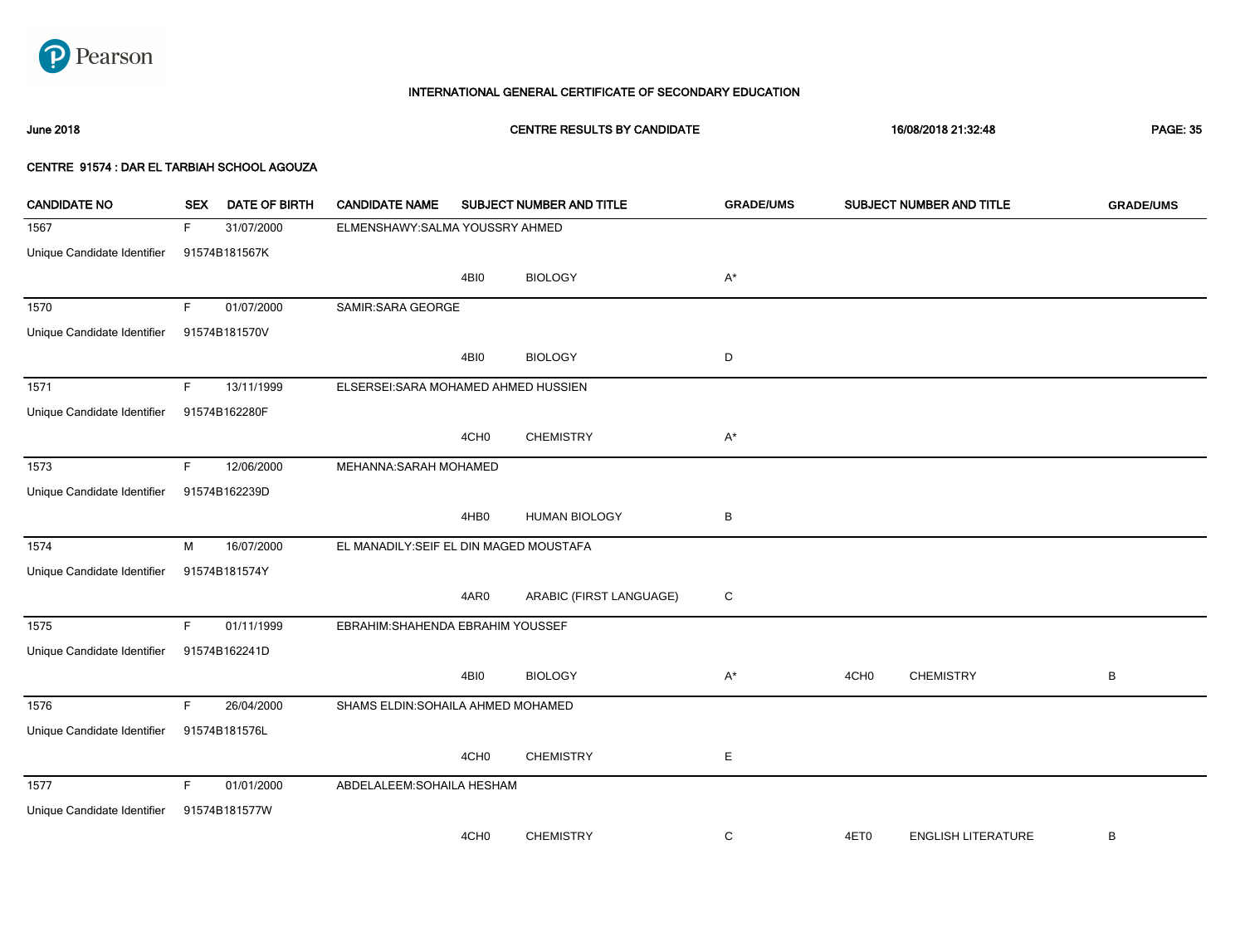

# June 2018 CENTRE RESULTS BY CANDIDATE 16/08/2018 21:32:48 PAGE: 35

| <b>CANDIDATE NO</b>         | <b>SEX</b> | <b>DATE OF BIRTH</b> | <b>CANDIDATE NAME</b>                   |                  | SUBJECT NUMBER AND TITLE | <b>GRADE/UMS</b> |                  | SUBJECT NUMBER AND TITLE  | <b>GRADE/UMS</b> |
|-----------------------------|------------|----------------------|-----------------------------------------|------------------|--------------------------|------------------|------------------|---------------------------|------------------|
| 1567                        | F.         | 31/07/2000           | ELMENSHAWY: SALMA YOUSSRY AHMED         |                  |                          |                  |                  |                           |                  |
| Unique Candidate Identifier |            | 91574B181567K        |                                         |                  |                          |                  |                  |                           |                  |
|                             |            |                      |                                         | 4BI0             | <b>BIOLOGY</b>           | A*               |                  |                           |                  |
| 1570                        | F.         | 01/07/2000           | SAMIR: SARA GEORGE                      |                  |                          |                  |                  |                           |                  |
| Unique Candidate Identifier |            | 91574B181570V        |                                         |                  |                          |                  |                  |                           |                  |
|                             |            |                      |                                         | 4BI0             | <b>BIOLOGY</b>           | D                |                  |                           |                  |
| 1571                        | F          | 13/11/1999           | ELSERSEI: SARA MOHAMED AHMED HUSSIEN    |                  |                          |                  |                  |                           |                  |
| Unique Candidate Identifier |            | 91574B162280F        |                                         |                  |                          |                  |                  |                           |                  |
|                             |            |                      |                                         | 4CH <sub>0</sub> | <b>CHEMISTRY</b>         | $A^*$            |                  |                           |                  |
| 1573                        | F.         | 12/06/2000           | MEHANNA: SARAH MOHAMED                  |                  |                          |                  |                  |                           |                  |
| Unique Candidate Identifier |            | 91574B162239D        |                                         |                  |                          |                  |                  |                           |                  |
|                             |            |                      |                                         | 4HB0             | <b>HUMAN BIOLOGY</b>     | В                |                  |                           |                  |
| 1574                        | M          | 16/07/2000           | EL MANADILY: SEIF EL DIN MAGED MOUSTAFA |                  |                          |                  |                  |                           |                  |
| Unique Candidate Identifier |            | 91574B181574Y        |                                         |                  |                          |                  |                  |                           |                  |
|                             |            |                      |                                         | 4AR0             | ARABIC (FIRST LANGUAGE)  | C                |                  |                           |                  |
| 1575                        | F.         | 01/11/1999           | EBRAHIM: SHAHENDA EBRAHIM YOUSSEF       |                  |                          |                  |                  |                           |                  |
| Unique Candidate Identifier |            | 91574B162241D        |                                         |                  |                          |                  |                  |                           |                  |
|                             |            |                      |                                         | 4BI0             | <b>BIOLOGY</b>           | $A^*$            | 4CH <sub>0</sub> | <b>CHEMISTRY</b>          | В                |
| 1576                        | F.         | 26/04/2000           | SHAMS ELDIN: SOHAILA AHMED MOHAMED      |                  |                          |                  |                  |                           |                  |
| Unique Candidate Identifier |            | 91574B181576L        |                                         |                  |                          |                  |                  |                           |                  |
|                             |            |                      |                                         | 4CH <sub>0</sub> | <b>CHEMISTRY</b>         | Е                |                  |                           |                  |
| 1577                        | F.         | 01/01/2000           | ABDELALEEM: SOHAILA HESHAM              |                  |                          |                  |                  |                           |                  |
| Unique Candidate Identifier |            | 91574B181577W        |                                         |                  |                          |                  |                  |                           |                  |
|                             |            |                      |                                         | 4CH <sub>0</sub> | <b>CHEMISTRY</b>         | C                | 4ET0             | <b>ENGLISH LITERATURE</b> | В                |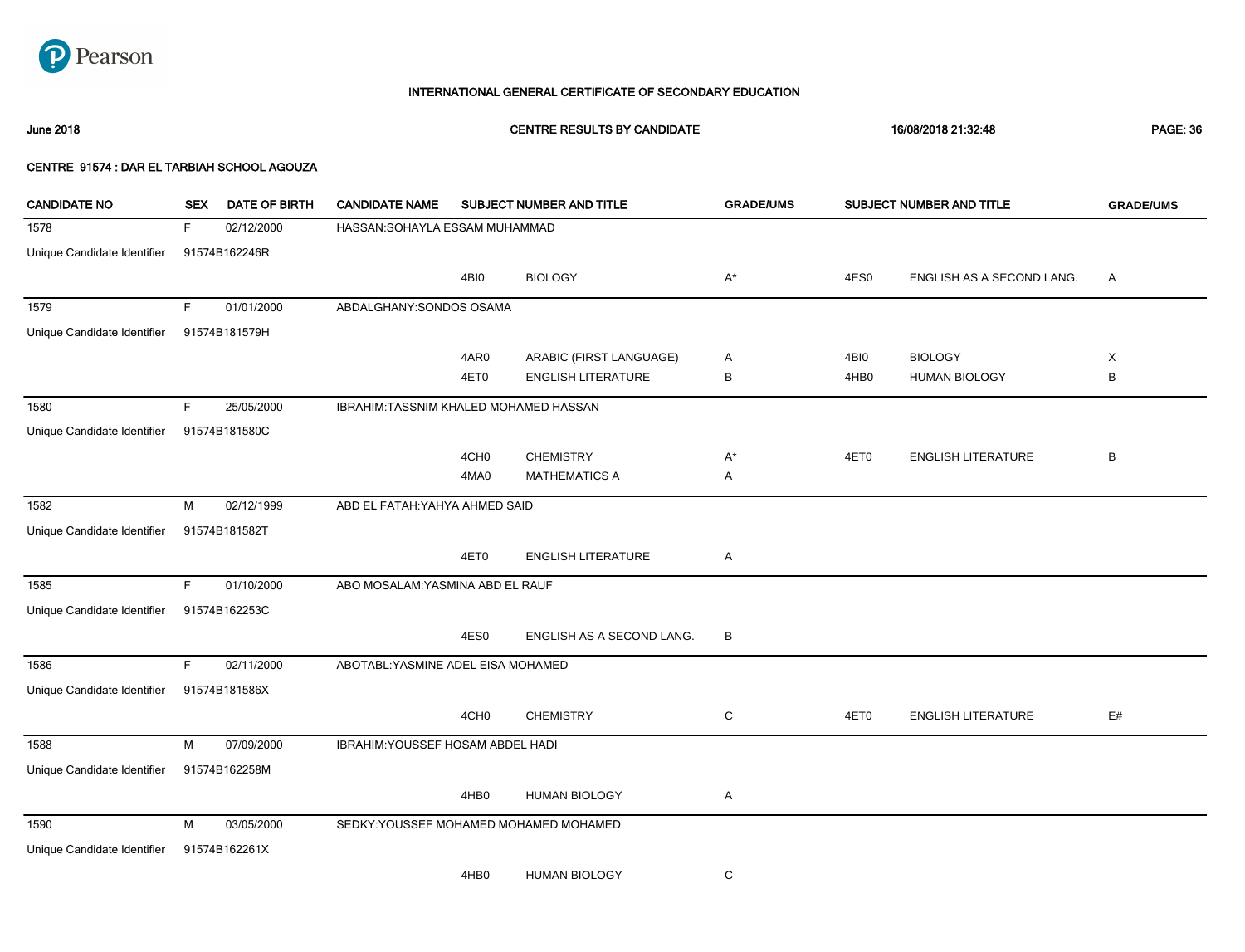

June 2018 CENTRE RESULTS BY CANDIDATE 16/08/2018 21:32:48 PAGE: 36

| <b>CANDIDATE NO</b>         | <b>SEX</b> | <b>DATE OF BIRTH</b> | <b>CANDIDATE NAME</b>                  |                  | SUBJECT NUMBER AND TITLE  | <b>GRADE/UMS</b> |                  | SUBJECT NUMBER AND TITLE  | <b>GRADE/UMS</b> |
|-----------------------------|------------|----------------------|----------------------------------------|------------------|---------------------------|------------------|------------------|---------------------------|------------------|
| 1578                        | F.         | 02/12/2000           | HASSAN: SOHAYLA ESSAM MUHAMMAD         |                  |                           |                  |                  |                           |                  |
| Unique Candidate Identifier |            | 91574B162246R        |                                        |                  |                           |                  |                  |                           |                  |
|                             |            |                      |                                        | 4BI0             | <b>BIOLOGY</b>            | $A^*$            | 4ES0             | ENGLISH AS A SECOND LANG. | Α                |
| 1579                        | F.         | 01/01/2000           | ABDALGHANY: SONDOS OSAMA               |                  |                           |                  |                  |                           |                  |
| Unique Candidate Identifier |            | 91574B181579H        |                                        |                  |                           |                  |                  |                           |                  |
|                             |            |                      |                                        | 4AR0             | ARABIC (FIRST LANGUAGE)   | Α                | 4BI0             | <b>BIOLOGY</b>            | X                |
|                             |            |                      |                                        | 4ET0             | <b>ENGLISH LITERATURE</b> | В                | 4HB <sub>0</sub> | <b>HUMAN BIOLOGY</b>      | В                |
| 1580                        | F.         | 25/05/2000           | IBRAHIM:TASSNIM KHALED MOHAMED HASSAN  |                  |                           |                  |                  |                           |                  |
| Unique Candidate Identifier |            | 91574B181580C        |                                        |                  |                           |                  |                  |                           |                  |
|                             |            |                      |                                        | 4CH <sub>0</sub> | <b>CHEMISTRY</b>          | $A^*$            | 4ET0             | <b>ENGLISH LITERATURE</b> | B                |
|                             |            |                      |                                        | 4MA0             | <b>MATHEMATICS A</b>      | Α                |                  |                           |                  |
| 1582                        | M          | 02/12/1999           | ABD EL FATAH: YAHYA AHMED SAID         |                  |                           |                  |                  |                           |                  |
| Unique Candidate Identifier |            | 91574B181582T        |                                        |                  |                           |                  |                  |                           |                  |
|                             |            |                      |                                        | 4ET0             | <b>ENGLISH LITERATURE</b> | Α                |                  |                           |                  |
| 1585                        | F.         | 01/10/2000           | ABO MOSALAM: YASMINA ABD EL RAUF       |                  |                           |                  |                  |                           |                  |
| Unique Candidate Identifier |            | 91574B162253C        |                                        |                  |                           |                  |                  |                           |                  |
|                             |            |                      |                                        | 4ES0             | ENGLISH AS A SECOND LANG. | В                |                  |                           |                  |
| 1586                        | F          | 02/11/2000           | ABOTABL: YASMINE ADEL EISA MOHAMED     |                  |                           |                  |                  |                           |                  |
| Unique Candidate Identifier |            | 91574B181586X        |                                        |                  |                           |                  |                  |                           |                  |
|                             |            |                      |                                        | 4CH <sub>0</sub> | <b>CHEMISTRY</b>          | $\mathbf C$      | 4ET0             | <b>ENGLISH LITERATURE</b> | $\mathsf{E}\#$   |
| 1588                        | M          | 07/09/2000           | IBRAHIM: YOUSSEF HOSAM ABDEL HADI      |                  |                           |                  |                  |                           |                  |
| Unique Candidate Identifier |            | 91574B162258M        |                                        |                  |                           |                  |                  |                           |                  |
|                             |            |                      |                                        | 4HB0             | <b>HUMAN BIOLOGY</b>      | Α                |                  |                           |                  |
| 1590                        | M          | 03/05/2000           | SEDKY: YOUSSEF MOHAMED MOHAMED MOHAMED |                  |                           |                  |                  |                           |                  |
| Unique Candidate Identifier |            | 91574B162261X        |                                        |                  |                           |                  |                  |                           |                  |
|                             |            |                      |                                        | 4HB <sub>0</sub> | <b>HUMAN BIOLOGY</b>      | С                |                  |                           |                  |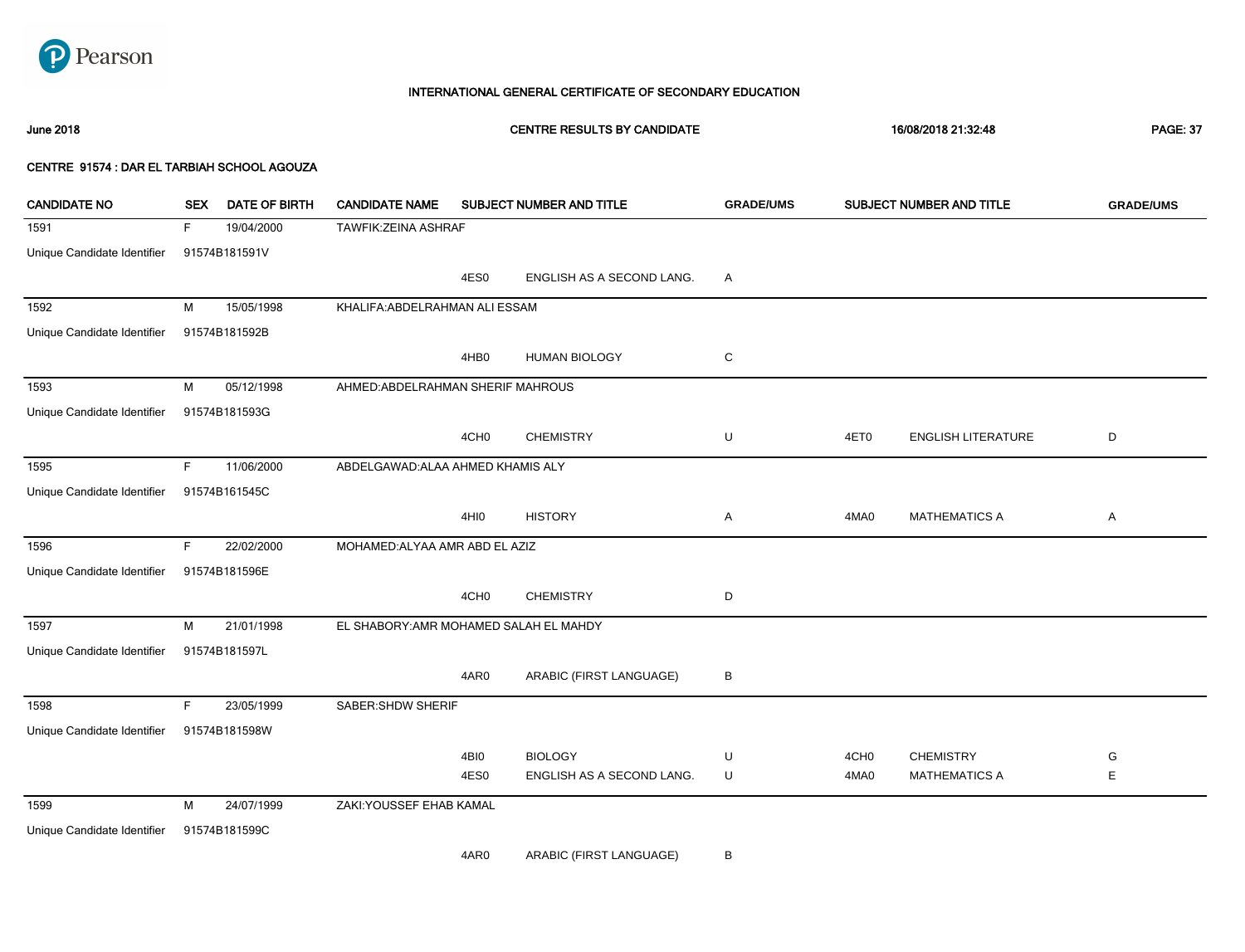

# 1591 F 19/04/2000 TAWFIK:ZEINA ASHRAF Unique Candidate Identifier 91574B181591V 4ES0 ENGLISH AS A SECOND LANG. A 1592 M 15/05/1998 KHALIFA:ABDELRAHMAN ALI ESSAM Unique Candidate Identifier 91574B181592B 4HB0 HUMAN BIOLOGY C 1593 M 05/12/1998 AHMED:ABDELRAHMAN SHERIF MAHROUS Unique Candidate Identifier 91574B181593G 4CH0 CHEMISTRY U 4ET0 ENGLISH LITERATURE D 1595 F 11/06/2000 ABDELGAWAD:ALAA AHMED KHAMIS ALY Unique Candidate Identifier 91574B161545C 4HI0 HISTORY A 4MA0 MATHEMATICS A A 1596 F 22/02/2000 MOHAMED:ALYAA AMR ABD EL AZIZ Unique Candidate Identifier 91574B181596E 4CH0 CHEMISTRY D 1597 M 21/01/1998 EL SHABORY:AMR MOHAMED SALAH EL MAHDY Unique Candidate Identifier 91574B181597L 4AR0 ARABIC (FIRST LANGUAGE) B 1598 F 23/05/1999 SABER:SHDW SHERIF Unique Candidate Identifier 91574B181598W 4BI0 BIOLOGY U 4ES0 ENGLISH AS A SECOND LANG. U 4CH0 CHEMISTRY G 4MA0 MATHEMATICS A E 1599 M 24/07/1999 ZAKI:YOUSSEF EHAB KAMAL Unique Candidate Identifier 91574B181599C June 2018 CENTRE RESULTS BY CANDIDATE 16/08/2018 21:32:48 PAGE: 37 CENTRE 91574 : DAR EL TARBIAH SCHOOL AGOUZA CANDIDATE NO SEX DATE OF BIRTH CANDIDATE NAME SUBJECT NUMBER AND TITLE **GRADE/UMS** SUBJECT NUMBER AND TITLE **GRADE/UMS**

4AR0 ARABIC (FIRST LANGUAGE) B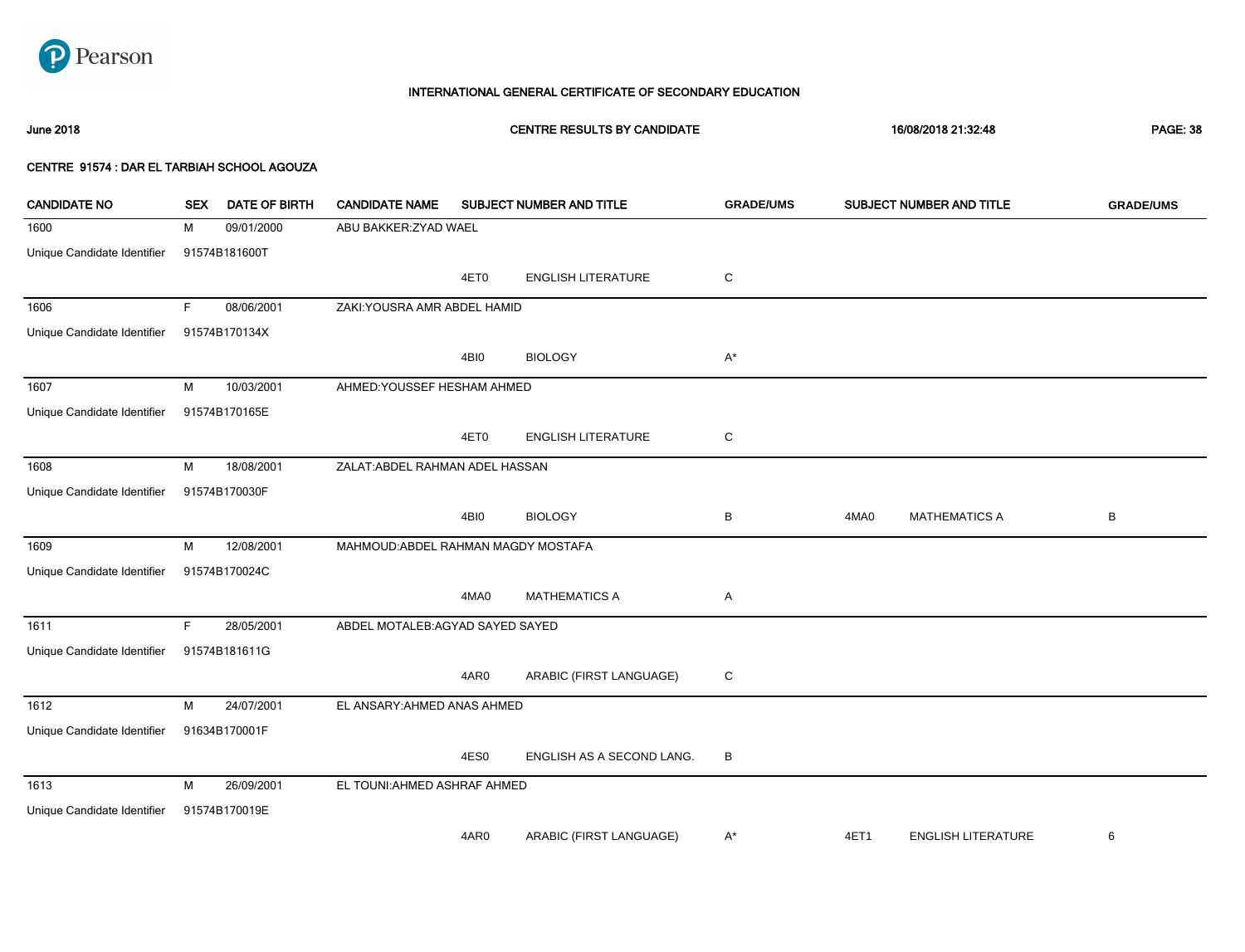

# June 2018 CENTRE RESULTS BY CANDIDATE 16/08/2018 21:32:48 PAGE: 38

| <b>CANDIDATE NO</b>         | <b>SEX</b> | <b>DATE OF BIRTH</b> | <b>CANDIDATE NAME</b>               |      | SUBJECT NUMBER AND TITLE  | <b>GRADE/UMS</b> |      | SUBJECT NUMBER AND TITLE  | <b>GRADE/UMS</b> |
|-----------------------------|------------|----------------------|-------------------------------------|------|---------------------------|------------------|------|---------------------------|------------------|
| 1600                        | М          | 09/01/2000           | ABU BAKKER: ZYAD WAEL               |      |                           |                  |      |                           |                  |
| Unique Candidate Identifier |            | 91574B181600T        |                                     |      |                           |                  |      |                           |                  |
|                             |            |                      |                                     | 4ET0 | <b>ENGLISH LITERATURE</b> | C                |      |                           |                  |
| 1606                        | F.         | 08/06/2001           | ZAKI: YOUSRA AMR ABDEL HAMID        |      |                           |                  |      |                           |                  |
| Unique Candidate Identifier |            | 91574B170134X        |                                     |      |                           |                  |      |                           |                  |
|                             |            |                      |                                     | 4BI0 | <b>BIOLOGY</b>            | $A^*$            |      |                           |                  |
| 1607                        | M          | 10/03/2001           | AHMED: YOUSSEF HESHAM AHMED         |      |                           |                  |      |                           |                  |
| Unique Candidate Identifier |            | 91574B170165E        |                                     |      |                           |                  |      |                           |                  |
|                             |            |                      |                                     | 4ET0 | <b>ENGLISH LITERATURE</b> | $\mathbf C$      |      |                           |                  |
| 1608                        | M          | 18/08/2001           | ZALAT: ABDEL RAHMAN ADEL HASSAN     |      |                           |                  |      |                           |                  |
| Unique Candidate Identifier |            | 91574B170030F        |                                     |      |                           |                  |      |                           |                  |
|                             |            |                      |                                     | 4BI0 | <b>BIOLOGY</b>            | в                | 4MA0 | <b>MATHEMATICS A</b>      | В                |
| 1609                        | M          | 12/08/2001           | MAHMOUD: ABDEL RAHMAN MAGDY MOSTAFA |      |                           |                  |      |                           |                  |
| Unique Candidate Identifier |            | 91574B170024C        |                                     |      |                           |                  |      |                           |                  |
|                             |            |                      |                                     | 4MA0 | <b>MATHEMATICS A</b>      | Α                |      |                           |                  |
| 1611                        | F.         | 28/05/2001           | ABDEL MOTALEB:AGYAD SAYED SAYED     |      |                           |                  |      |                           |                  |
| Unique Candidate Identifier |            | 91574B181611G        |                                     |      |                           |                  |      |                           |                  |
|                             |            |                      |                                     | 4AR0 | ARABIC (FIRST LANGUAGE)   | C                |      |                           |                  |
| 1612                        | M          | 24/07/2001           | EL ANSARY: AHMED ANAS AHMED         |      |                           |                  |      |                           |                  |
| Unique Candidate Identifier |            | 91634B170001F        |                                     |      |                           |                  |      |                           |                  |
|                             |            |                      |                                     | 4ES0 | ENGLISH AS A SECOND LANG. | B                |      |                           |                  |
| 1613                        | M          | 26/09/2001           | EL TOUNI: AHMED ASHRAF AHMED        |      |                           |                  |      |                           |                  |
| Unique Candidate Identifier |            | 91574B170019E        |                                     |      |                           |                  |      |                           |                  |
|                             |            |                      |                                     | 4AR0 | ARABIC (FIRST LANGUAGE)   | A*               | 4ET1 | <b>ENGLISH LITERATURE</b> | 6                |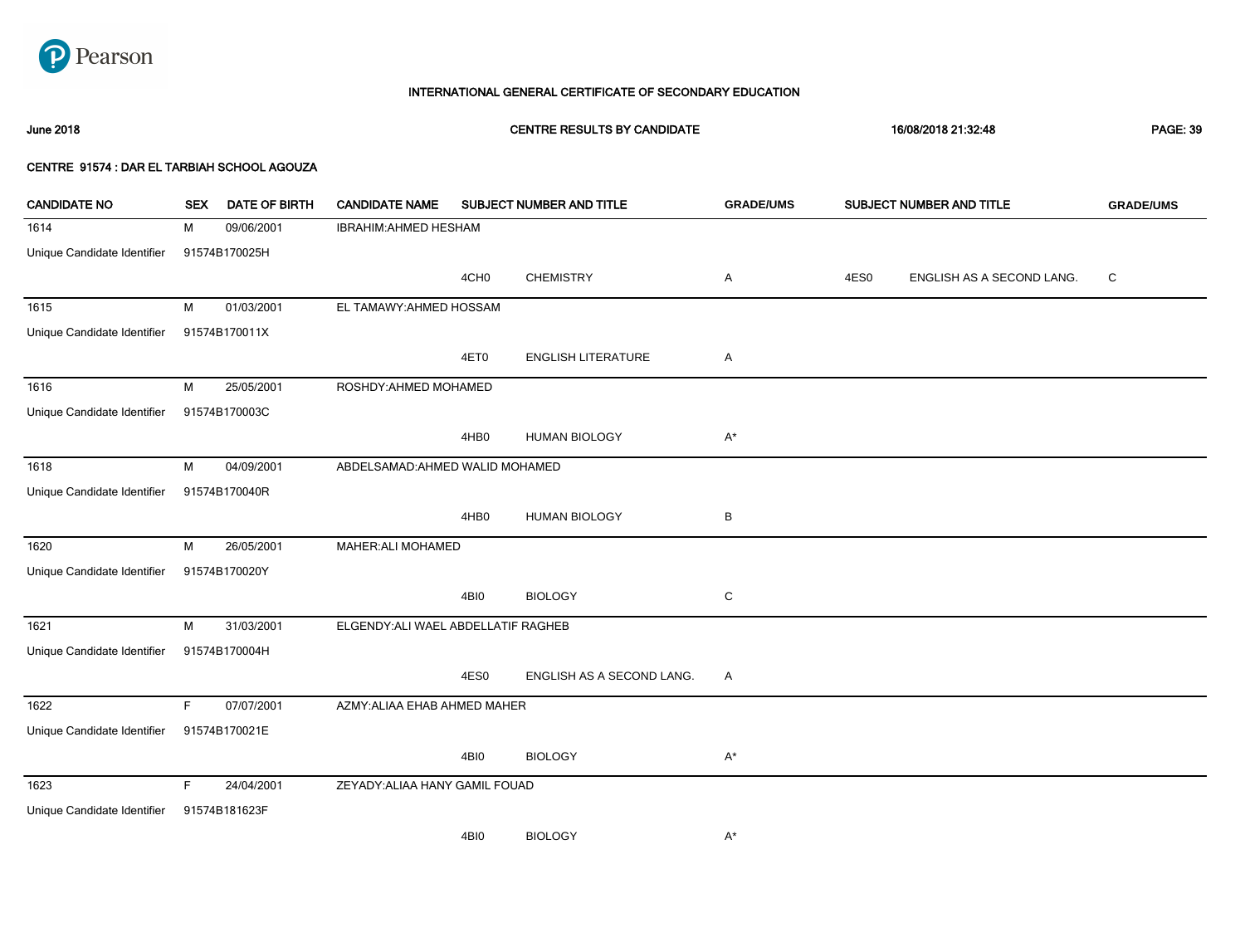

June 2018 CENTRE RESULTS BY CANDIDATE 16/08/2018 21:32:48 PAGE: 39

| <b>CANDIDATE NO</b>         | <b>SEX</b>  | <b>DATE OF BIRTH</b> | <b>CANDIDATE NAME</b>               |                  | SUBJECT NUMBER AND TITLE  | <b>GRADE/UMS</b> |      | SUBJECT NUMBER AND TITLE  | <b>GRADE/UMS</b> |
|-----------------------------|-------------|----------------------|-------------------------------------|------------------|---------------------------|------------------|------|---------------------------|------------------|
| 1614                        | М           | 09/06/2001           | IBRAHIM: AHMED HESHAM               |                  |                           |                  |      |                           |                  |
| Unique Candidate Identifier |             | 91574B170025H        |                                     |                  |                           |                  |      |                           |                  |
|                             |             |                      |                                     | 4CH <sub>0</sub> | <b>CHEMISTRY</b>          | A                | 4ES0 | ENGLISH AS A SECOND LANG. | C                |
| 1615                        | м           | 01/03/2001           | EL TAMAWY: AHMED HOSSAM             |                  |                           |                  |      |                           |                  |
| Unique Candidate Identifier |             | 91574B170011X        |                                     |                  |                           |                  |      |                           |                  |
|                             |             |                      |                                     | 4ET0             | <b>ENGLISH LITERATURE</b> | Α                |      |                           |                  |
| 1616                        | М           | 25/05/2001           | ROSHDY: AHMED MOHAMED               |                  |                           |                  |      |                           |                  |
| Unique Candidate Identifier |             | 91574B170003C        |                                     |                  |                           |                  |      |                           |                  |
|                             |             |                      |                                     | 4HB0             | <b>HUMAN BIOLOGY</b>      | $A^*$            |      |                           |                  |
| 1618                        | М           | 04/09/2001           | ABDELSAMAD: AHMED WALID MOHAMED     |                  |                           |                  |      |                           |                  |
| Unique Candidate Identifier |             | 91574B170040R        |                                     |                  |                           |                  |      |                           |                  |
|                             |             |                      |                                     | 4HB0             | <b>HUMAN BIOLOGY</b>      | В                |      |                           |                  |
| 1620                        | м           | 26/05/2001           | MAHER: ALI MOHAMED                  |                  |                           |                  |      |                           |                  |
| Unique Candidate Identifier |             | 91574B170020Y        |                                     |                  |                           |                  |      |                           |                  |
|                             |             |                      |                                     | 4BI0             | <b>BIOLOGY</b>            | ${\rm C}$        |      |                           |                  |
| 1621                        | М           | 31/03/2001           | ELGENDY: ALI WAEL ABDELLATIF RAGHEB |                  |                           |                  |      |                           |                  |
| Unique Candidate Identifier |             | 91574B170004H        |                                     |                  |                           |                  |      |                           |                  |
|                             |             |                      |                                     | 4ES0             | ENGLISH AS A SECOND LANG. | Α                |      |                           |                  |
| 1622                        | $\mathsf F$ | 07/07/2001           | AZMY: ALIAA EHAB AHMED MAHER        |                  |                           |                  |      |                           |                  |
| Unique Candidate Identifier |             | 91574B170021E        |                                     |                  |                           |                  |      |                           |                  |
|                             |             |                      |                                     | 4BI0             | <b>BIOLOGY</b>            | $A^*$            |      |                           |                  |
| 1623                        | F           | 24/04/2001           | ZEYADY: ALIAA HANY GAMIL FOUAD      |                  |                           |                  |      |                           |                  |
| Unique Candidate Identifier |             | 91574B181623F        |                                     |                  |                           |                  |      |                           |                  |
|                             |             |                      |                                     | 4BI0             | <b>BIOLOGY</b>            | $A^*$            |      |                           |                  |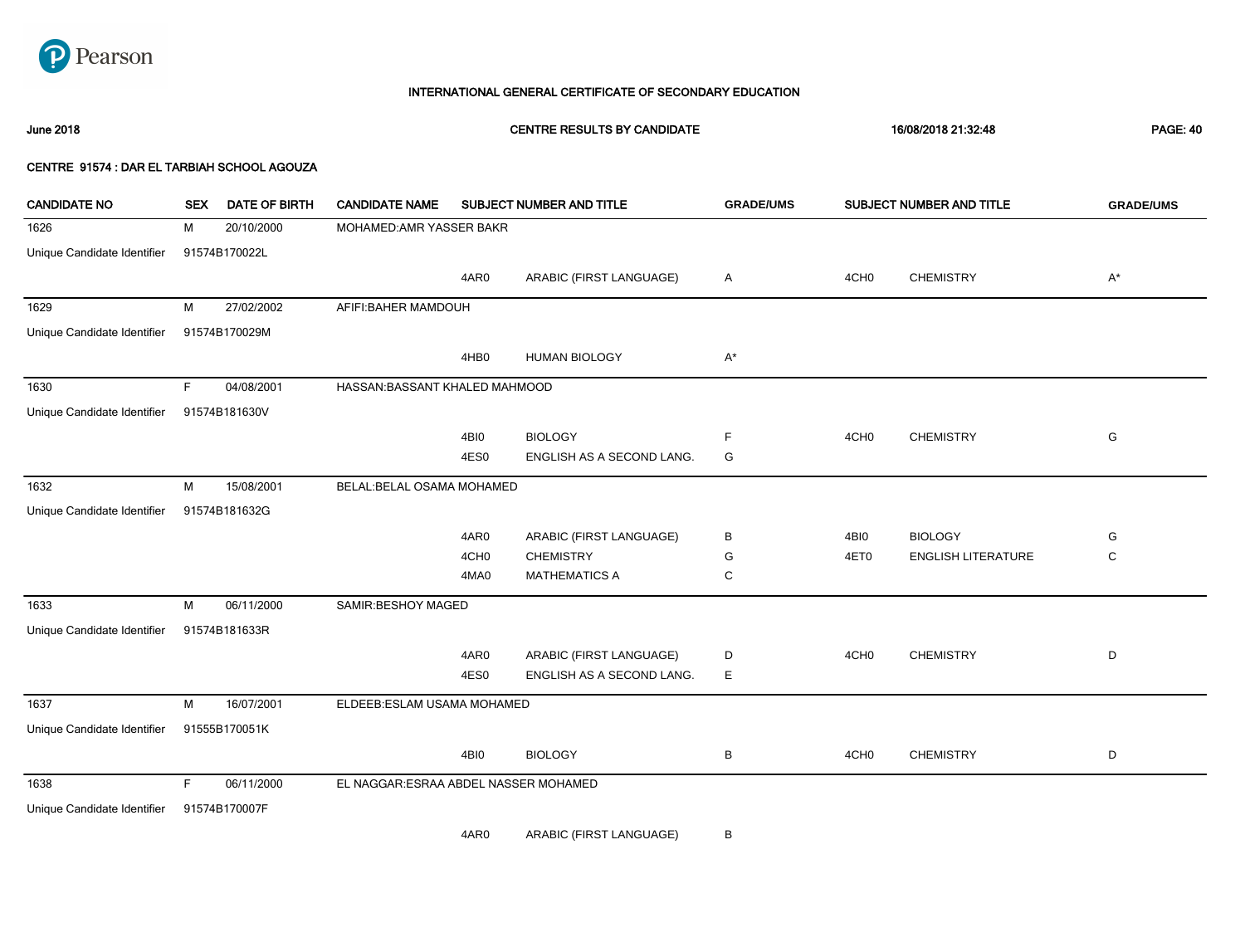

June 2018 CENTRE RESULTS BY CANDIDATE 16/08/2018 21:32:48 PAGE: 40

### CENTRE 91574 : DAR EL TARBIAH SCHOOL AGOUZA

| <b>CANDIDATE NO</b>         | <b>SEX</b> | <b>DATE OF BIRTH</b> | <b>CANDIDATE NAME</b>                 |                       | SUBJECT NUMBER AND TITLE          | <b>GRADE/UMS</b><br>SUBJECT NUMBER AND TITLE |                  |                           | <b>GRADE/UMS</b> |
|-----------------------------|------------|----------------------|---------------------------------------|-----------------------|-----------------------------------|----------------------------------------------|------------------|---------------------------|------------------|
| 1626                        | М          | 20/10/2000           | MOHAMED: AMR YASSER BAKR              |                       |                                   |                                              |                  |                           |                  |
| Unique Candidate Identifier |            | 91574B170022L        |                                       |                       |                                   |                                              |                  |                           |                  |
|                             |            |                      |                                       | 4AR0                  | ARABIC (FIRST LANGUAGE)           | Α                                            | 4CH <sub>0</sub> | <b>CHEMISTRY</b>          | $A^*$            |
| 1629                        | м          | 27/02/2002           | AFIFI: BAHER MAMDOUH                  |                       |                                   |                                              |                  |                           |                  |
| Unique Candidate Identifier |            | 91574B170029M        |                                       |                       |                                   |                                              |                  |                           |                  |
|                             |            |                      |                                       | 4HB0                  | <b>HUMAN BIOLOGY</b>              | $\mathsf{A}^\star$                           |                  |                           |                  |
| 1630                        | F.         | 04/08/2001           | HASSAN: BASSANT KHALED MAHMOOD        |                       |                                   |                                              |                  |                           |                  |
| Unique Candidate Identifier |            | 91574B181630V        |                                       |                       |                                   |                                              |                  |                           |                  |
|                             |            |                      |                                       | 4BI0                  | <b>BIOLOGY</b>                    | F                                            | 4CH <sub>0</sub> | <b>CHEMISTRY</b>          | G                |
|                             |            |                      |                                       | 4ES0                  | ENGLISH AS A SECOND LANG.         | G                                            |                  |                           |                  |
| 1632                        | М          | 15/08/2001           | BELAL: BELAL OSAMA MOHAMED            |                       |                                   |                                              |                  |                           |                  |
| Unique Candidate Identifier |            | 91574B181632G        |                                       |                       |                                   |                                              |                  |                           |                  |
|                             |            |                      |                                       | 4AR0                  | ARABIC (FIRST LANGUAGE)           | В                                            | 4BI0             | <b>BIOLOGY</b>            | G                |
|                             |            |                      |                                       | 4CH <sub>0</sub>      | <b>CHEMISTRY</b>                  | G                                            | 4ET0             | <b>ENGLISH LITERATURE</b> | C                |
|                             |            |                      |                                       | 4MA0                  | <b>MATHEMATICS A</b>              | C                                            |                  |                           |                  |
| 1633                        | М          | 06/11/2000           | SAMIR: BESHOY MAGED                   |                       |                                   |                                              |                  |                           |                  |
| Unique Candidate Identifier |            | 91574B181633R        |                                       |                       |                                   |                                              |                  |                           |                  |
|                             |            |                      |                                       | 4AR0                  | ARABIC (FIRST LANGUAGE)           | D                                            | 4CH <sub>0</sub> | <b>CHEMISTRY</b>          | D                |
|                             |            |                      |                                       | 4ES0                  | ENGLISH AS A SECOND LANG.         | Е                                            |                  |                           |                  |
| 1637                        | М          | 16/07/2001           | ELDEEB:ESLAM USAMA MOHAMED            |                       |                                   |                                              |                  |                           |                  |
| Unique Candidate Identifier |            | 91555B170051K        |                                       |                       |                                   |                                              |                  |                           |                  |
|                             |            |                      |                                       | 4BI0                  | <b>BIOLOGY</b>                    | В                                            | 4CH <sub>0</sub> | <b>CHEMISTRY</b>          | D                |
| 1638                        | F          | 06/11/2000           | EL NAGGAR: ESRAA ABDEL NASSER MOHAMED |                       |                                   |                                              |                  |                           |                  |
| Unique Candidate Identifier |            | 91574B170007F        |                                       |                       |                                   |                                              |                  |                           |                  |
|                             |            |                      |                                       | $\cdot$ $\sim$ $\sim$ | $1.51510 \times 10.0711101110001$ |                                              |                  |                           |                  |

4AR0 ARABIC (FIRST LANGUAGE) B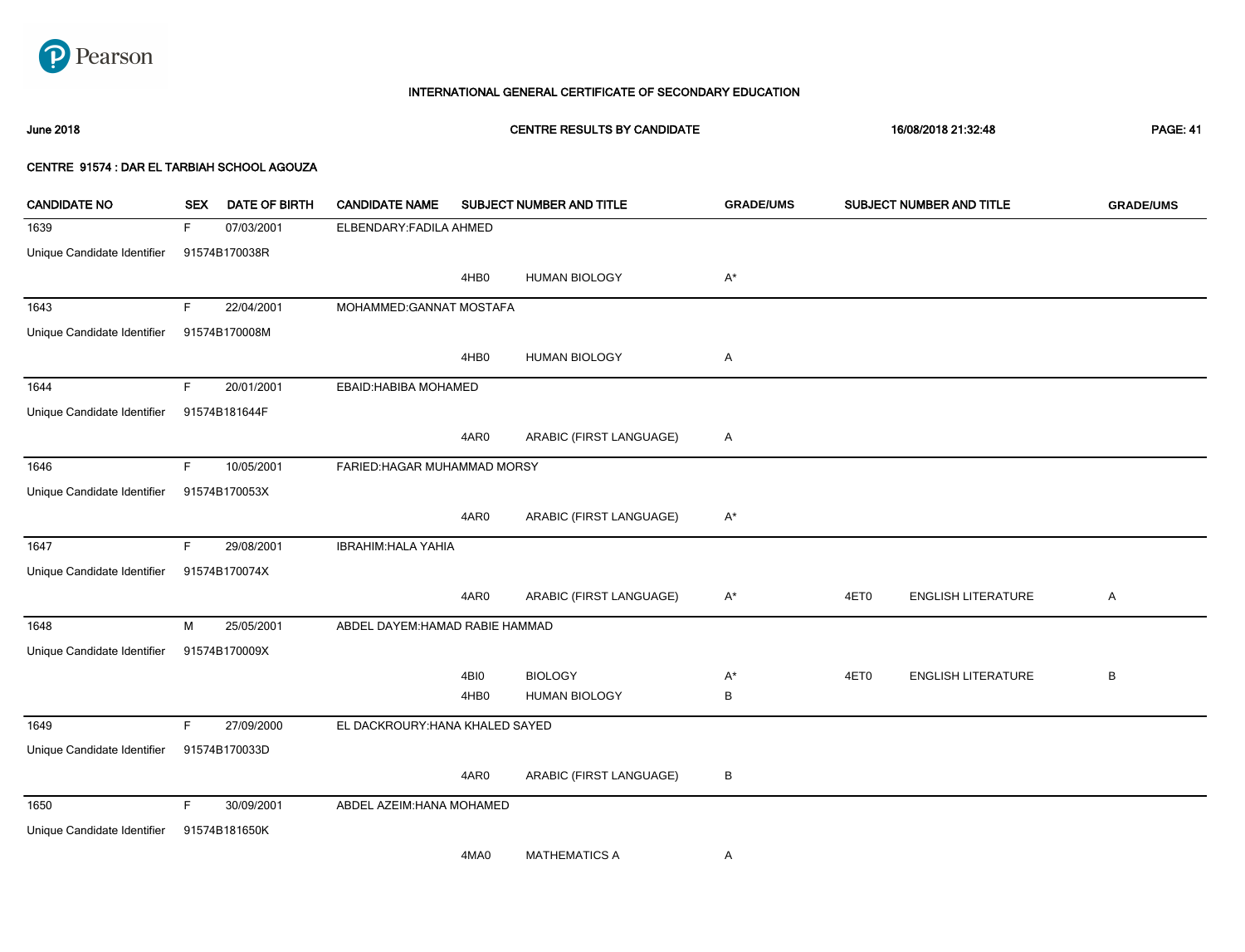

# 1639 F 07/03/2001 ELBENDARY:FADILA AHMED Unique Candidate Identifier 91574B170038R 4HB0 HUMAN BIOLOGY A\* 1643 F 22/04/2001 MOHAMMED:GANNAT MOSTAFA Unique Candidate Identifier 91574B170008M 4HB0 HUMAN BIOLOGY A 1644 F 20/01/2001 EBAID:HABIBA MOHAMED Unique Candidate Identifier 91574B181644F 4AR0 ARABIC (FIRST LANGUAGE) A 1646 F 10/05/2001 FARIED:HAGAR MUHAMMAD MORSY Unique Candidate Identifier 91574B170053X 4AR0 ARABIC (FIRST LANGUAGE) A\* 1647 F 29/08/2001 IBRAHIM:HALA YAHIA Unique Candidate Identifier 91574B170074X 4AR0 ARABIC (FIRST LANGUAGE) A\* 4ET0 ENGLISH LITERATURE A 1648 M 25/05/2001 ABDEL DAYEM:HAMAD RABIE HAMMAD Unique Candidate Identifier 91574B170009X 4BI0 BIOLOGY A\* 4HB0 HUMAN BIOLOGY B 4ET0 ENGLISH LITERATURE B 1649 F 27/09/2000 EL DACKROURY:HANA KHALED SAYED Unique Candidate Identifier 91574B170033D 4AR0 ARABIC (FIRST LANGUAGE) B 1650 F 30/09/2001 ABDEL AZEIM:HANA MOHAMED Unique Candidate Identifier 91574B181650K 4MA0 MATHEMATICS A A June 2018 CENTRE RESULTS BY CANDIDATE 16/08/2018 21:32:48 PAGE: 41 CENTRE 91574 : DAR EL TARBIAH SCHOOL AGOUZA CANDIDATE NO SEX DATE OF BIRTH CANDIDATE NAME SUBJECT NUMBER AND TITLE **GRADE/UMS** SUBJECT NUMBER AND TITLE **GRADE/UMS**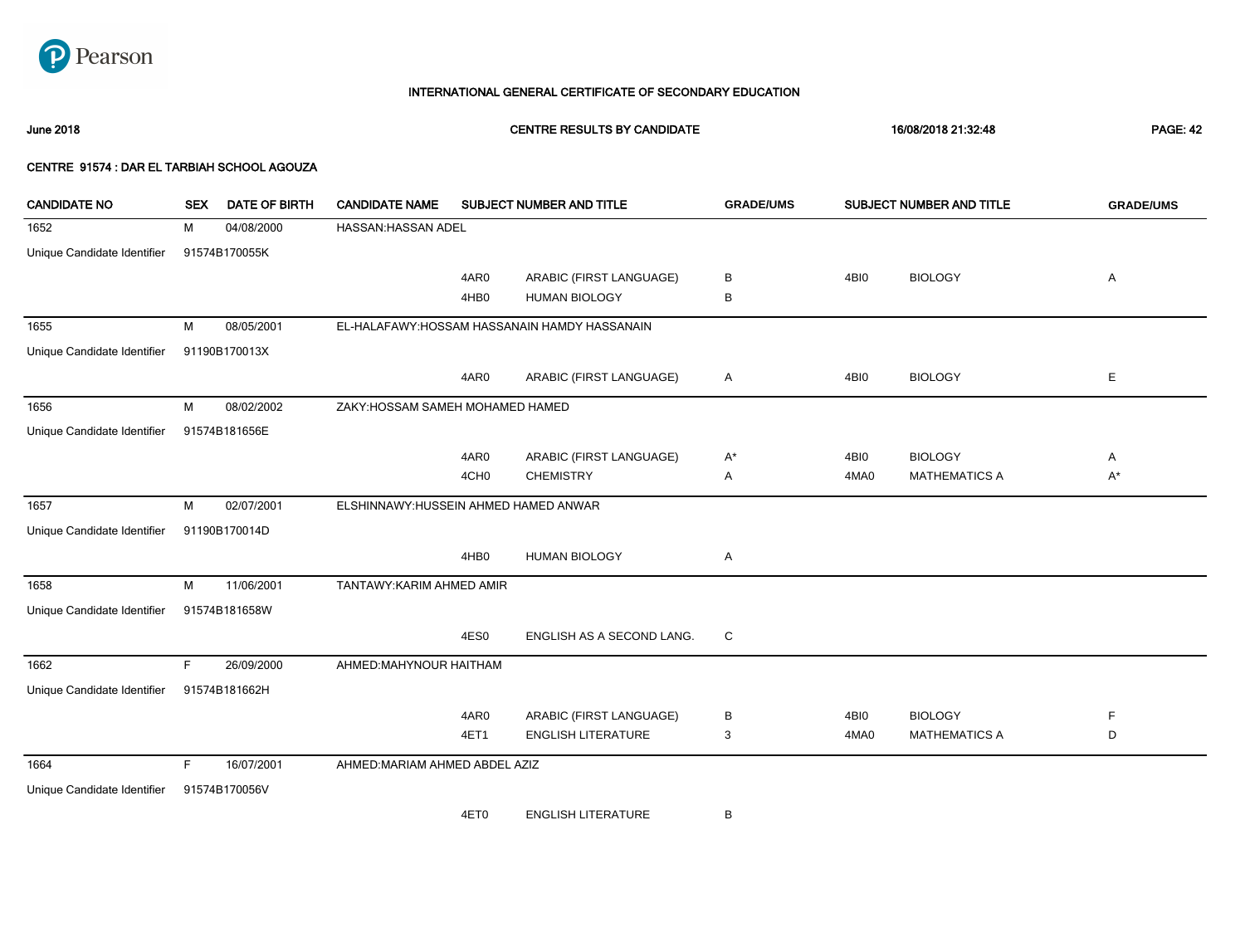

June 2018 CENTRE RESULTS BY CANDIDATE 16/08/2018 21:32:48 PAGE: 42

| <b>CANDIDATE NO</b>         | <b>SEX</b> | <b>DATE OF BIRTH</b> | <b>CANDIDATE NAME</b>                 |                  | SUBJECT NUMBER AND TITLE                      | <b>GRADE/UMS</b> | SUBJECT NUMBER AND TITLE |                      | <b>GRADE/UMS</b> |
|-----------------------------|------------|----------------------|---------------------------------------|------------------|-----------------------------------------------|------------------|--------------------------|----------------------|------------------|
| 1652                        | м          | 04/08/2000           | <b>HASSAN: HASSAN ADEL</b>            |                  |                                               |                  |                          |                      |                  |
| Unique Candidate Identifier |            | 91574B170055K        |                                       |                  |                                               |                  |                          |                      |                  |
|                             |            |                      |                                       | 4AR0             | ARABIC (FIRST LANGUAGE)                       | В                | 4BI0                     | <b>BIOLOGY</b>       | Α                |
|                             |            |                      |                                       | 4HB0             | <b>HUMAN BIOLOGY</b>                          | в                |                          |                      |                  |
| 1655                        | M          | 08/05/2001           |                                       |                  | EL-HALAFAWY: HOSSAM HASSANAIN HAMDY HASSANAIN |                  |                          |                      |                  |
| Unique Candidate Identifier |            | 91190B170013X        |                                       |                  |                                               |                  |                          |                      |                  |
|                             |            |                      |                                       | 4AR0             | ARABIC (FIRST LANGUAGE)                       | Α                | 4BI0                     | <b>BIOLOGY</b>       | E                |
| 1656                        | М          | 08/02/2002           | ZAKY: HOSSAM SAMEH MOHAMED HAMED      |                  |                                               |                  |                          |                      |                  |
| Unique Candidate Identifier |            | 91574B181656E        |                                       |                  |                                               |                  |                          |                      |                  |
|                             |            |                      |                                       | 4AR0             | ARABIC (FIRST LANGUAGE)                       | A*               | 4BI0                     | <b>BIOLOGY</b>       | Α                |
|                             |            |                      |                                       | 4CH <sub>0</sub> | <b>CHEMISTRY</b>                              | Α                | 4MA0                     | <b>MATHEMATICS A</b> | $A^*$            |
| 1657                        | м          | 02/07/2001           | ELSHINNAWY: HUSSEIN AHMED HAMED ANWAR |                  |                                               |                  |                          |                      |                  |
| Unique Candidate Identifier |            | 91190B170014D        |                                       |                  |                                               |                  |                          |                      |                  |
|                             |            |                      |                                       | 4HB0             | <b>HUMAN BIOLOGY</b>                          | Α                |                          |                      |                  |
| 1658                        | М          | 11/06/2001           | TANTAWY: KARIM AHMED AMIR             |                  |                                               |                  |                          |                      |                  |
| Unique Candidate Identifier |            | 91574B181658W        |                                       |                  |                                               |                  |                          |                      |                  |
|                             |            |                      |                                       | 4ES0             | ENGLISH AS A SECOND LANG.                     | C                |                          |                      |                  |
| 1662                        | F.         | 26/09/2000           | AHMED:MAHYNOUR HAITHAM                |                  |                                               |                  |                          |                      |                  |
| Unique Candidate Identifier |            | 91574B181662H        |                                       |                  |                                               |                  |                          |                      |                  |
|                             |            |                      |                                       | 4AR0             | ARABIC (FIRST LANGUAGE)                       | В                | 4BI0                     | <b>BIOLOGY</b>       | $\mathsf F$      |
|                             |            |                      |                                       | 4ET1             | <b>ENGLISH LITERATURE</b>                     | 3                | 4MA0                     | <b>MATHEMATICS A</b> | D                |
| 1664                        | F.         | 16/07/2001           | AHMED: MARIAM AHMED ABDEL AZIZ        |                  |                                               |                  |                          |                      |                  |
| Unique Candidate Identifier |            | 91574B170056V        |                                       |                  |                                               |                  |                          |                      |                  |
|                             |            |                      |                                       | 4ET0             | <b>ENGLISH LITERATURE</b>                     | В                |                          |                      |                  |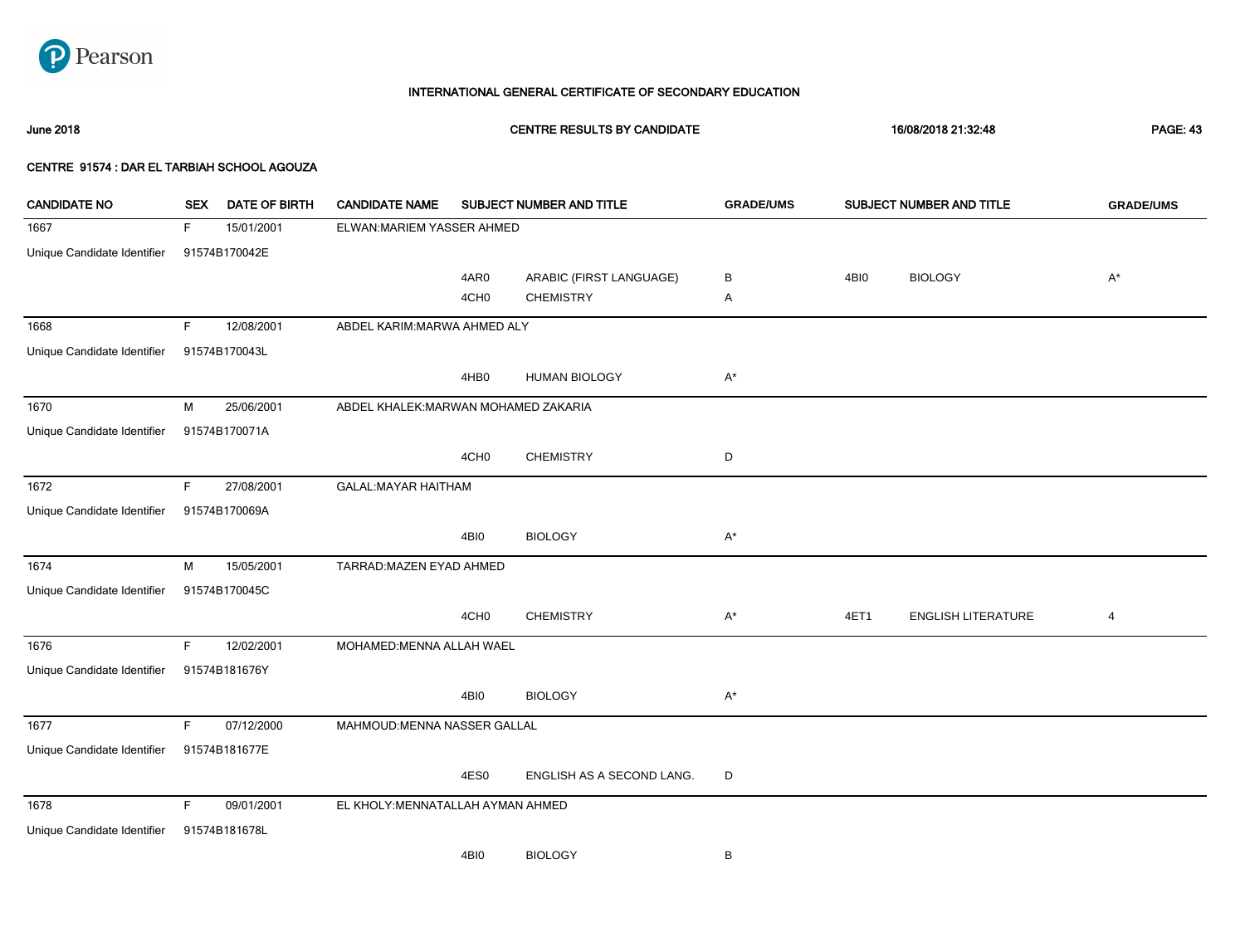

June 2018 CENTRE RESULTS BY CANDIDATE 16/08/2018 21:32:48 PAGE: 43

| <b>CANDIDATE NO</b>         | <b>SEX</b> | <b>DATE OF BIRTH</b> | <b>CANDIDATE NAME</b>                |                  | SUBJECT NUMBER AND TITLE  | <b>GRADE/UMS</b>   | SUBJECT NUMBER AND TITLE | <b>GRADE/UMS</b>          |                    |
|-----------------------------|------------|----------------------|--------------------------------------|------------------|---------------------------|--------------------|--------------------------|---------------------------|--------------------|
| 1667                        | F.         | 15/01/2001           | ELWAN: MARIEM YASSER AHMED           |                  |                           |                    |                          |                           |                    |
| Unique Candidate Identifier |            | 91574B170042E        |                                      |                  |                           |                    |                          |                           |                    |
|                             |            |                      |                                      | 4AR0             | ARABIC (FIRST LANGUAGE)   | В                  | 4BI0                     | <b>BIOLOGY</b>            | $\mathsf{A}^\star$ |
|                             |            |                      |                                      | 4CH <sub>0</sub> | <b>CHEMISTRY</b>          | Α                  |                          |                           |                    |
| 1668                        | F.         | 12/08/2001           | ABDEL KARIM: MARWA AHMED ALY         |                  |                           |                    |                          |                           |                    |
| Unique Candidate Identifier |            | 91574B170043L        |                                      |                  |                           |                    |                          |                           |                    |
|                             |            |                      |                                      | 4HB0             | <b>HUMAN BIOLOGY</b>      | $\mathsf{A}^\star$ |                          |                           |                    |
| 1670                        | M          | 25/06/2001           | ABDEL KHALEK: MARWAN MOHAMED ZAKARIA |                  |                           |                    |                          |                           |                    |
| Unique Candidate Identifier |            | 91574B170071A        |                                      |                  |                           |                    |                          |                           |                    |
|                             |            |                      |                                      | 4CH <sub>0</sub> | <b>CHEMISTRY</b>          | D                  |                          |                           |                    |
| 1672                        | F.         | 27/08/2001           | <b>GALAL:MAYAR HAITHAM</b>           |                  |                           |                    |                          |                           |                    |
| Unique Candidate Identifier |            | 91574B170069A        |                                      |                  |                           |                    |                          |                           |                    |
|                             |            |                      |                                      | 4BI0             | <b>BIOLOGY</b>            | $A^*$              |                          |                           |                    |
| 1674                        | М          | 15/05/2001           | TARRAD: MAZEN EYAD AHMED             |                  |                           |                    |                          |                           |                    |
| Unique Candidate Identifier |            | 91574B170045C        |                                      |                  |                           |                    |                          |                           |                    |
|                             |            |                      |                                      | 4CH <sub>0</sub> | <b>CHEMISTRY</b>          | $A^*$              | 4ET1                     | <b>ENGLISH LITERATURE</b> | $\overline{a}$     |
| 1676                        | F.         | 12/02/2001           | MOHAMED: MENNA ALLAH WAEL            |                  |                           |                    |                          |                           |                    |
| Unique Candidate Identifier |            | 91574B181676Y        |                                      |                  |                           |                    |                          |                           |                    |
|                             |            |                      |                                      | 4BI0             | <b>BIOLOGY</b>            | $A^*$              |                          |                           |                    |
| 1677                        | F.         | 07/12/2000           | MAHMOUD: MENNA NASSER GALLAL         |                  |                           |                    |                          |                           |                    |
| Unique Candidate Identifier |            | 91574B181677E        |                                      |                  |                           |                    |                          |                           |                    |
|                             |            |                      |                                      | 4ES0             | ENGLISH AS A SECOND LANG. | D                  |                          |                           |                    |
| 1678                        | F.         | 09/01/2001           | EL KHOLY: MENNATALLAH AYMAN AHMED    |                  |                           |                    |                          |                           |                    |
| Unique Candidate Identifier |            | 91574B181678L        |                                      |                  |                           |                    |                          |                           |                    |
|                             |            |                      |                                      | 4BI0             | <b>BIOLOGY</b>            | В                  |                          |                           |                    |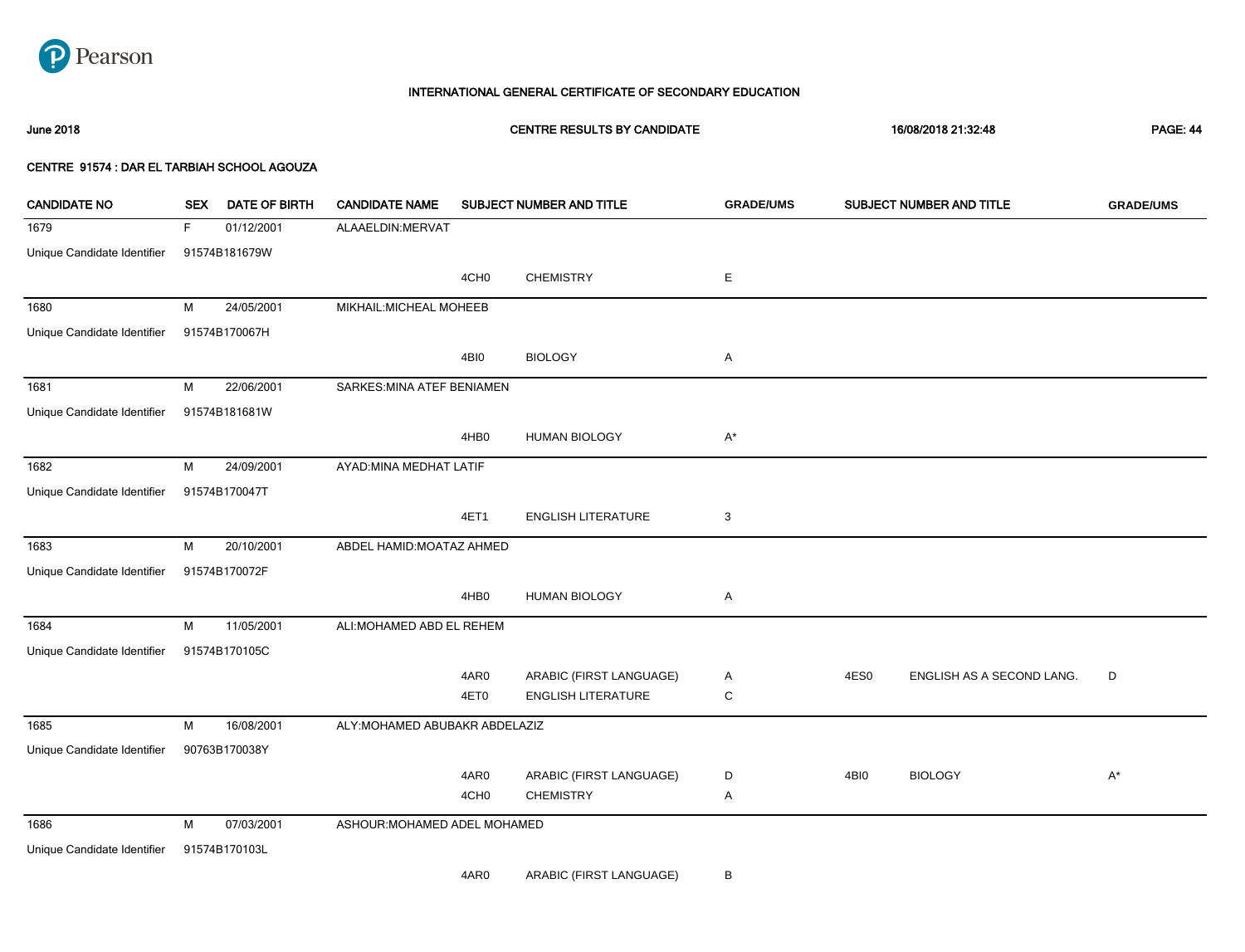

## June 2018 CENTRE RESULTS BY CANDIDATE 16/08/2018 21:32:48 PAGE: 44

| <b>CANDIDATE NO</b>         | <b>SEX</b>  | <b>DATE OF BIRTH</b> | <b>CANDIDATE NAME</b>          |                  | SUBJECT NUMBER AND TITLE  | <b>GRADE/UMS</b>   |      | SUBJECT NUMBER AND TITLE  | <b>GRADE/UMS</b> |
|-----------------------------|-------------|----------------------|--------------------------------|------------------|---------------------------|--------------------|------|---------------------------|------------------|
| 1679                        | $\mathsf F$ | 01/12/2001           | ALAAELDIN: MERVAT              |                  |                           |                    |      |                           |                  |
| Unique Candidate Identifier |             | 91574B181679W        |                                |                  |                           |                    |      |                           |                  |
|                             |             |                      |                                | 4CH <sub>0</sub> | <b>CHEMISTRY</b>          | E                  |      |                           |                  |
| 1680                        | M           | 24/05/2001           | MIKHAIL: MICHEAL MOHEEB        |                  |                           |                    |      |                           |                  |
| Unique Candidate Identifier |             | 91574B170067H        |                                |                  |                           |                    |      |                           |                  |
|                             |             |                      |                                | 4BI0             | <b>BIOLOGY</b>            | Α                  |      |                           |                  |
| 1681                        | M           | 22/06/2001           | SARKES: MINA ATEF BENIAMEN     |                  |                           |                    |      |                           |                  |
| Unique Candidate Identifier |             | 91574B181681W        |                                |                  |                           |                    |      |                           |                  |
|                             |             |                      |                                | 4HB0             | <b>HUMAN BIOLOGY</b>      | $\mathsf{A}^\star$ |      |                           |                  |
| 1682                        | M           | 24/09/2001           | AYAD: MINA MEDHAT LATIF        |                  |                           |                    |      |                           |                  |
| Unique Candidate Identifier |             | 91574B170047T        |                                |                  |                           |                    |      |                           |                  |
|                             |             |                      |                                | 4ET1             | <b>ENGLISH LITERATURE</b> | 3                  |      |                           |                  |
| 1683                        | M           | 20/10/2001           | ABDEL HAMID: MOATAZ AHMED      |                  |                           |                    |      |                           |                  |
| Unique Candidate Identifier |             | 91574B170072F        |                                |                  |                           |                    |      |                           |                  |
|                             |             |                      |                                | 4HB0             | <b>HUMAN BIOLOGY</b>      | Α                  |      |                           |                  |
| 1684                        | M           | 11/05/2001           | ALI: MOHAMED ABD EL REHEM      |                  |                           |                    |      |                           |                  |
| Unique Candidate Identifier |             | 91574B170105C        |                                |                  |                           |                    |      |                           |                  |
|                             |             |                      |                                | 4AR0             | ARABIC (FIRST LANGUAGE)   | Α                  | 4ES0 | ENGLISH AS A SECOND LANG. | D                |
|                             |             |                      |                                | 4ET0             | <b>ENGLISH LITERATURE</b> | $\mathsf C$        |      |                           |                  |
| 1685                        | M           | 16/08/2001           | ALY: MOHAMED ABUBAKR ABDELAZIZ |                  |                           |                    |      |                           |                  |
| Unique Candidate Identifier |             | 90763B170038Y        |                                |                  |                           |                    |      |                           |                  |
|                             |             |                      |                                | 4AR0             | ARABIC (FIRST LANGUAGE)   | D                  | 4BI0 | <b>BIOLOGY</b>            | $A^*$            |
|                             |             |                      |                                | 4CH <sub>0</sub> | <b>CHEMISTRY</b>          | Α                  |      |                           |                  |
| 1686                        | M           | 07/03/2001           | ASHOUR: MOHAMED ADEL MOHAMED   |                  |                           |                    |      |                           |                  |
| Unique Candidate Identifier |             | 91574B170103L        |                                |                  |                           |                    |      |                           |                  |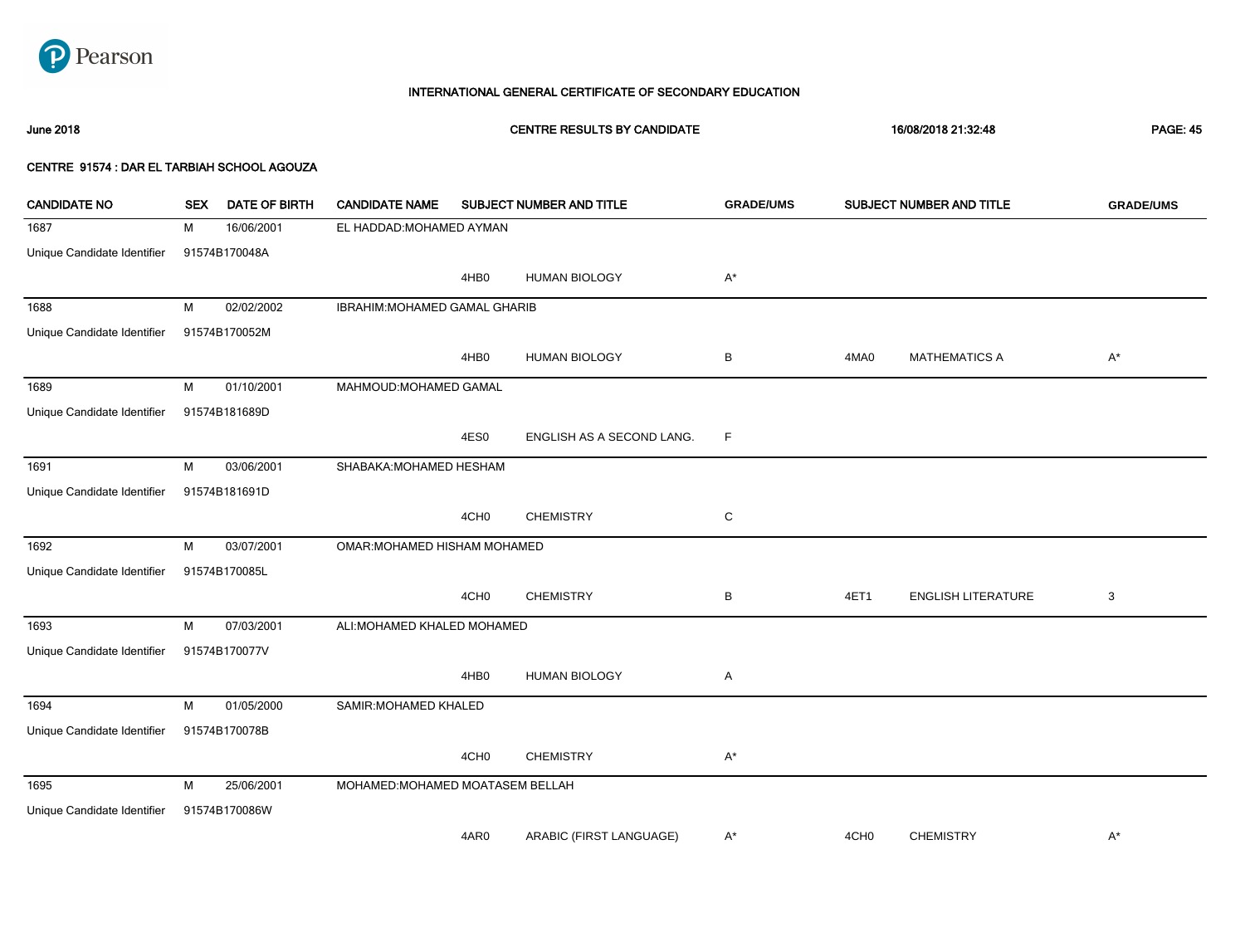

# June 2018 CENTRE RESULTS BY CANDIDATE 16/08/2018 21:32:48 PAGE: 45 CENTRE 91574 : DAR EL TARBIAH SCHOOL AGOUZA CANDIDATE NO SEX DATE OF BIRTH CANDIDATE NAME SUBJECT NUMBER AND TITLE **GRADE/UMS** SUBJECT NUMBER AND TITLE **GRADE/UMS**

| 1687                        | 16/06/2001<br>м | EL HADDAD: MOHAMED AYMAN         |                           |             |                  |                           |       |
|-----------------------------|-----------------|----------------------------------|---------------------------|-------------|------------------|---------------------------|-------|
| Unique Candidate Identifier | 91574B170048A   |                                  |                           |             |                  |                           |       |
|                             |                 | 4HB0                             | <b>HUMAN BIOLOGY</b>      | $A^*$       |                  |                           |       |
| 1688                        | 02/02/2002<br>M | IBRAHIM: MOHAMED GAMAL GHARIB    |                           |             |                  |                           |       |
| Unique Candidate Identifier | 91574B170052M   |                                  |                           |             |                  |                           |       |
|                             |                 | 4HB0                             | <b>HUMAN BIOLOGY</b>      | В           | 4MA0             | <b>MATHEMATICS A</b>      | $A^*$ |
| 1689                        | M<br>01/10/2001 | MAHMOUD: MOHAMED GAMAL           |                           |             |                  |                           |       |
| Unique Candidate Identifier | 91574B181689D   |                                  |                           |             |                  |                           |       |
|                             |                 | 4ES0                             | ENGLISH AS A SECOND LANG. | $\mathsf F$ |                  |                           |       |
| 1691                        | M<br>03/06/2001 | SHABAKA: MOHAMED HESHAM          |                           |             |                  |                           |       |
| Unique Candidate Identifier | 91574B181691D   |                                  |                           |             |                  |                           |       |
|                             |                 | 4CH <sub>0</sub>                 | <b>CHEMISTRY</b>          | C           |                  |                           |       |
| 1692                        | 03/07/2001<br>M | OMAR: MOHAMED HISHAM MOHAMED     |                           |             |                  |                           |       |
| Unique Candidate Identifier | 91574B170085L   |                                  |                           |             |                  |                           |       |
|                             |                 | 4CH <sub>0</sub>                 | <b>CHEMISTRY</b>          | В           | 4ET1             | <b>ENGLISH LITERATURE</b> | 3     |
| 1693                        | M<br>07/03/2001 | ALI: MOHAMED KHALED MOHAMED      |                           |             |                  |                           |       |
| Unique Candidate Identifier | 91574B170077V   |                                  |                           |             |                  |                           |       |
|                             |                 | 4HB <sub>0</sub>                 | <b>HUMAN BIOLOGY</b>      | Α           |                  |                           |       |
| 1694                        | M<br>01/05/2000 | SAMIR: MOHAMED KHALED            |                           |             |                  |                           |       |
| Unique Candidate Identifier | 91574B170078B   |                                  |                           |             |                  |                           |       |
|                             |                 | 4CH <sub>0</sub>                 | <b>CHEMISTRY</b>          | $A^*$       |                  |                           |       |
| 1695                        | 25/06/2001<br>M | MOHAMED: MOHAMED MOATASEM BELLAH |                           |             |                  |                           |       |
| Unique Candidate Identifier | 91574B170086W   |                                  |                           |             |                  |                           |       |
|                             |                 | 4AR0                             | ARABIC (FIRST LANGUAGE)   | $A^*$       | 4CH <sub>0</sub> | <b>CHEMISTRY</b>          | $A^*$ |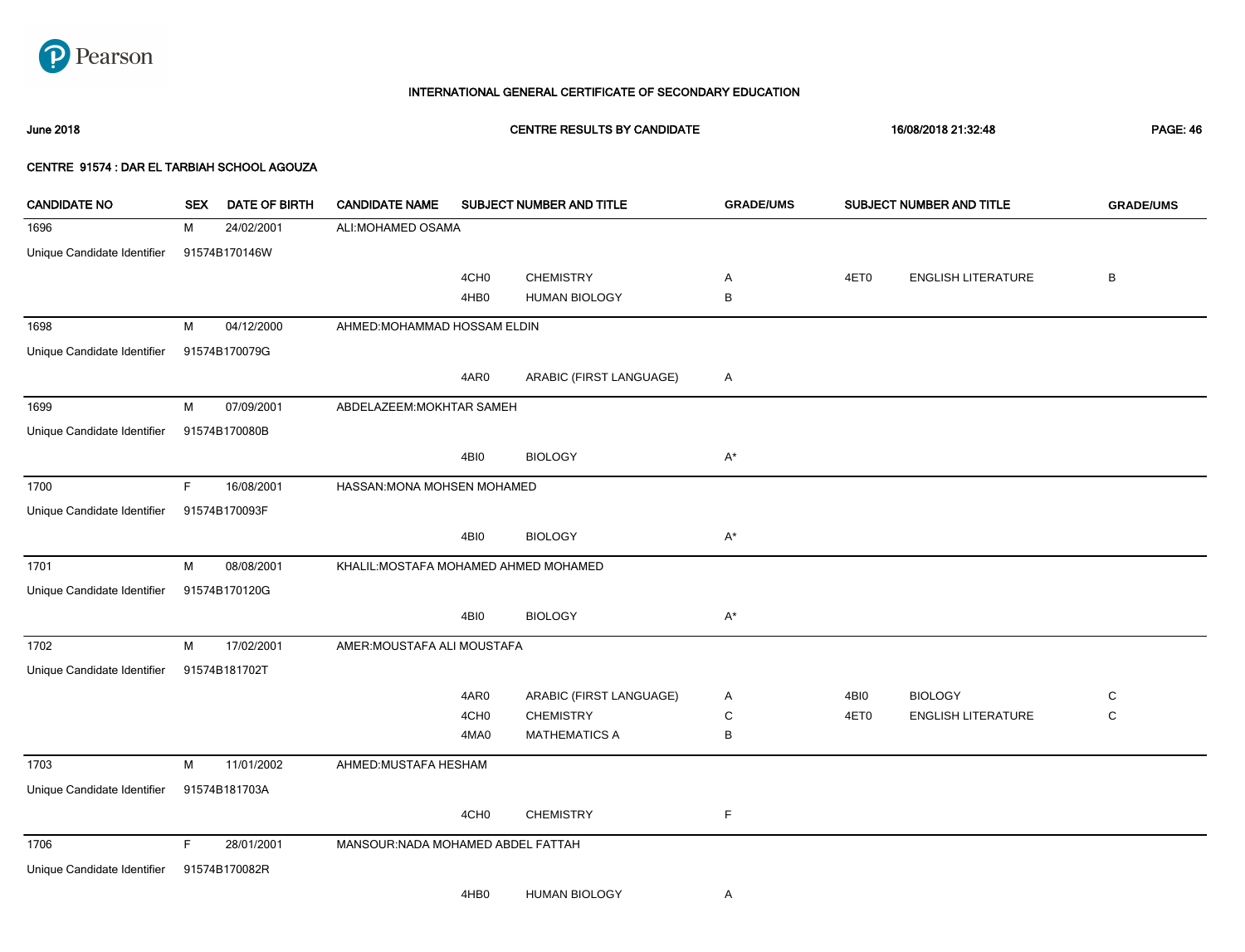

June 2018 CENTRE RESULTS BY CANDIDATE 16/08/2018 21:32:48 PAGE: 46

| <b>CANDIDATE NO</b>         | <b>SEX</b>  | <b>DATE OF BIRTH</b> | <b>CANDIDATE NAME</b>                 |                  | SUBJECT NUMBER AND TITLE | <b>GRADE/UMS</b> | SUBJECT NUMBER AND TITLE |                           |         |
|-----------------------------|-------------|----------------------|---------------------------------------|------------------|--------------------------|------------------|--------------------------|---------------------------|---------|
| 1696                        | М           | 24/02/2001           | ALI: MOHAMED OSAMA                    |                  |                          |                  |                          |                           |         |
| Unique Candidate Identifier |             | 91574B170146W        |                                       |                  |                          |                  |                          |                           |         |
|                             |             |                      |                                       | 4CH <sub>0</sub> | <b>CHEMISTRY</b>         | Α                | 4ET0                     | <b>ENGLISH LITERATURE</b> | $\sf B$ |
|                             |             |                      |                                       | 4HB0             | <b>HUMAN BIOLOGY</b>     | В                |                          |                           |         |
| 1698                        | M           | 04/12/2000           | AHMED: MOHAMMAD HOSSAM ELDIN          |                  |                          |                  |                          |                           |         |
| Unique Candidate Identifier |             | 91574B170079G        |                                       |                  |                          |                  |                          |                           |         |
|                             |             |                      |                                       | 4AR0             | ARABIC (FIRST LANGUAGE)  | A                |                          |                           |         |
| 1699                        | M           | 07/09/2001           | ABDELAZEEM: MOKHTAR SAMEH             |                  |                          |                  |                          |                           |         |
| Unique Candidate Identifier |             | 91574B170080B        |                                       |                  |                          |                  |                          |                           |         |
|                             |             |                      |                                       | 4BI0             | <b>BIOLOGY</b>           | $A^*$            |                          |                           |         |
| 1700                        | $\mathsf F$ | 16/08/2001           | HASSAN: MONA MOHSEN MOHAMED           |                  |                          |                  |                          |                           |         |
| Unique Candidate Identifier |             | 91574B170093F        |                                       |                  |                          |                  |                          |                           |         |
|                             |             |                      |                                       | 4BI0             | <b>BIOLOGY</b>           | $A^*$            |                          |                           |         |
| 1701                        | M           | 08/08/2001           | KHALIL: MOSTAFA MOHAMED AHMED MOHAMED |                  |                          |                  |                          |                           |         |
| Unique Candidate Identifier |             | 91574B170120G        |                                       |                  |                          |                  |                          |                           |         |
|                             |             |                      |                                       | 4BI0             | <b>BIOLOGY</b>           | $A^*$            |                          |                           |         |
| 1702                        | M           | 17/02/2001           | AMER: MOUSTAFA ALI MOUSTAFA           |                  |                          |                  |                          |                           |         |
| Unique Candidate Identifier |             | 91574B181702T        |                                       |                  |                          |                  |                          |                           |         |
|                             |             |                      |                                       | 4AR0             | ARABIC (FIRST LANGUAGE)  | Α                | 4BI0                     | <b>BIOLOGY</b>            | С       |
|                             |             |                      |                                       | 4CH <sub>0</sub> | <b>CHEMISTRY</b>         | С                | 4ET0                     | <b>ENGLISH LITERATURE</b> | C       |
|                             |             |                      |                                       | 4MA0             | <b>MATHEMATICS A</b>     | В                |                          |                           |         |
| 1703                        | M           | 11/01/2002           | AHMED: MUSTAFA HESHAM                 |                  |                          |                  |                          |                           |         |
| Unique Candidate Identifier |             | 91574B181703A        |                                       |                  |                          |                  |                          |                           |         |
|                             |             |                      |                                       | 4CH <sub>0</sub> | <b>CHEMISTRY</b>         | F                |                          |                           |         |
| 1706                        | F           | 28/01/2001           | MANSOUR: NADA MOHAMED ABDEL FATTAH    |                  |                          |                  |                          |                           |         |
| Unique Candidate Identifier |             | 91574B170082R        |                                       |                  |                          |                  |                          |                           |         |
|                             |             |                      |                                       | 4HB0             | <b>HUMAN BIOLOGY</b>     | A                |                          |                           |         |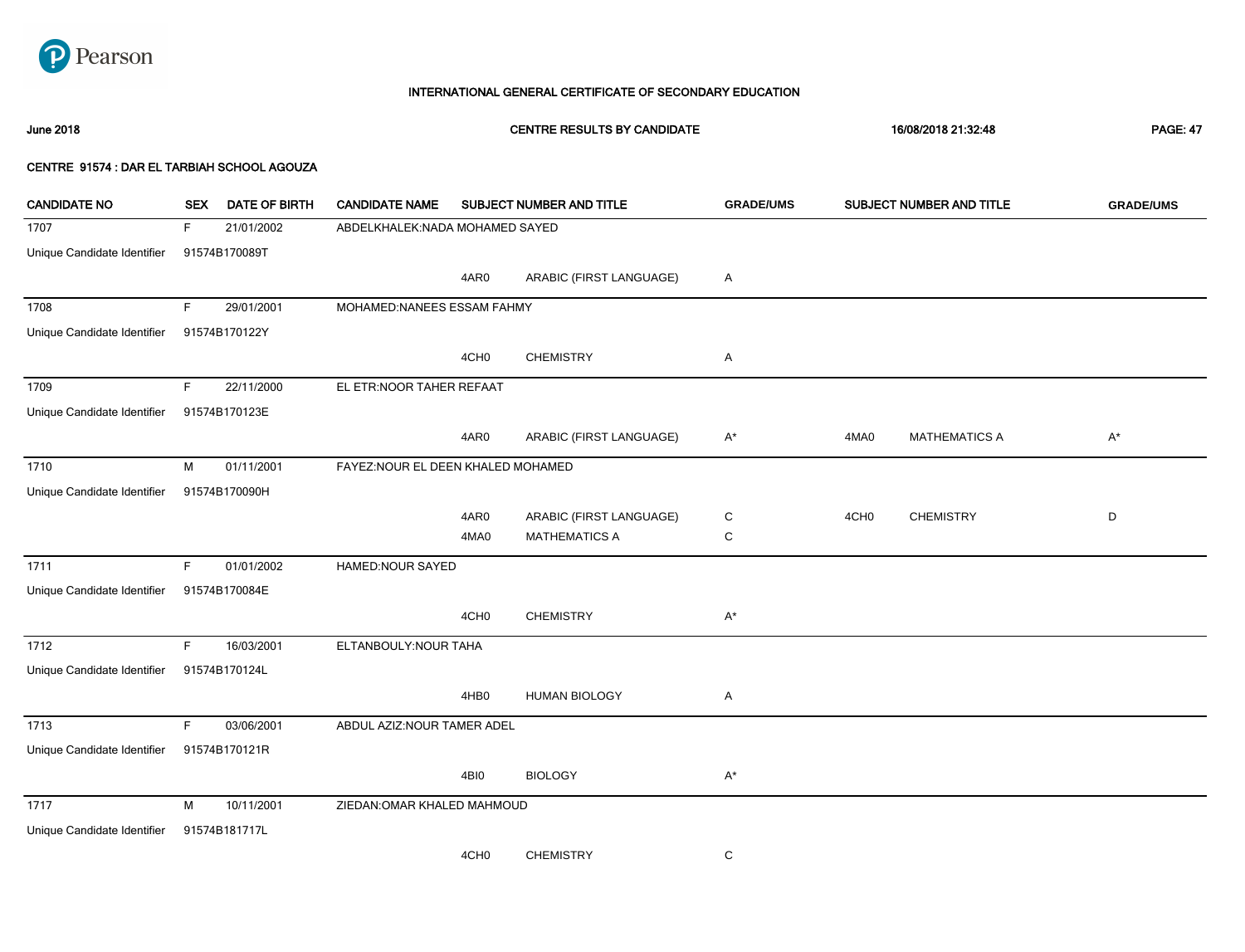

# 1707 F 21/01/2002 ABDELKHALEK:NADA MOHAMED SAYED Unique Candidate Identifier 91574B170089T 4AR0 ARABIC (FIRST LANGUAGE) A 1708 F 29/01/2001 MOHAMED:NANEES ESSAM FAHMY Unique Candidate Identifier 91574B170122Y 4CH0 CHEMISTRY A 1709 F 22/11/2000 EL ETR:NOOR TAHER REFAAT Unique Candidate Identifier 91574B170123E 4AR0 ARABIC (FIRST LANGUAGE) A\* 4MA0 MATHEMATICS A A\* 1710 M 01/11/2001 FAYEZ:NOUR EL DEEN KHALED MOHAMED Unique Candidate Identifier 91574B170090H 4AR0 ARABIC (FIRST LANGUAGE) C 4MA0 MATHEMATICS A C 4CH0 CHEMISTRY D 1711 F 01/01/2002 HAMED:NOUR SAYED Unique Candidate Identifier 91574B170084E 4CH0 CHEMISTRY A\* 1712 F 16/03/2001 ELTANBOULY:NOUR TAHA Unique Candidate Identifier 91574B170124L 4HB0 HUMAN BIOLOGY A 1713 F 03/06/2001 ABDUL AZIZ:NOUR TAMER ADEL Unique Candidate Identifier 91574B170121R 4BI0 BIOLOGY A\* 1717 M 10/11/2001 ZIEDAN:OMAR KHALED MAHMOUD Unique Candidate Identifier 91574B181717L 4CH0 CHEMISTRY C June 2018 CENTRE RESULTS BY CANDIDATE 16/08/2018 21:32:48 PAGE: 47 CENTRE 91574 : DAR EL TARBIAH SCHOOL AGOUZA CANDIDATE NO SEX DATE OF BIRTH CANDIDATE NAME SUBJECT NUMBER AND TITLE **GRADE/UMS** SUBJECT NUMBER AND TITLE **GRADE/UMS**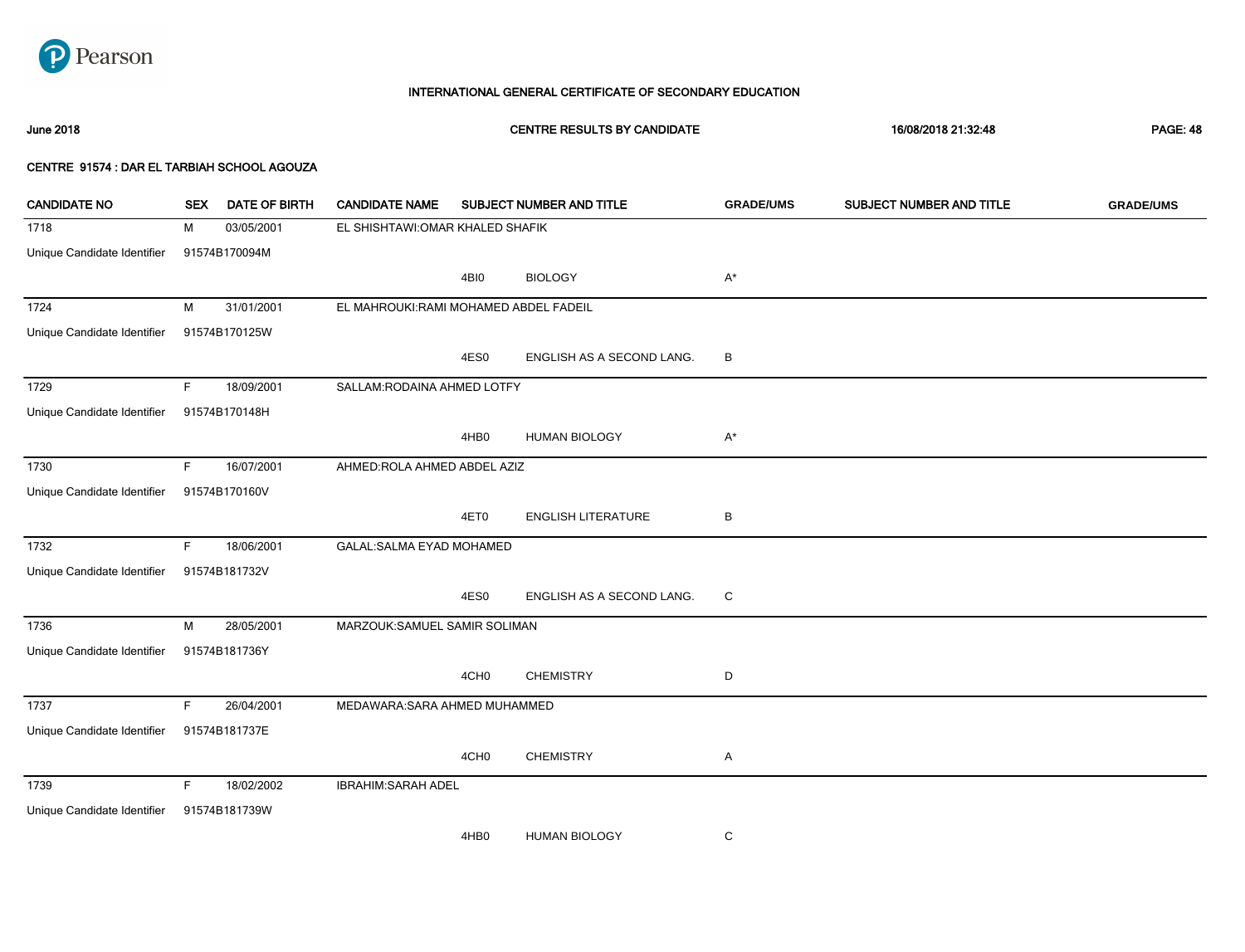

# June 2018 CENTRE RESULTS BY CANDIDATE 16/08/2018 21:32:48 PAGE: 48

| <b>CANDIDATE NO</b>         | <b>SEX</b> | <b>DATE OF BIRTH</b> | <b>CANDIDATE NAME</b>                 |                  | SUBJECT NUMBER AND TITLE  | <b>GRADE/UMS</b> | SUBJECT NUMBER AND TITLE | <b>GRADE/UMS</b> |
|-----------------------------|------------|----------------------|---------------------------------------|------------------|---------------------------|------------------|--------------------------|------------------|
| 1718                        | М          | 03/05/2001           | EL SHISHTAWI: OMAR KHALED SHAFIK      |                  |                           |                  |                          |                  |
| Unique Candidate Identifier |            | 91574B170094M        |                                       |                  |                           |                  |                          |                  |
|                             |            |                      |                                       | 4BI0             | <b>BIOLOGY</b>            | A*               |                          |                  |
| 1724                        | M          | 31/01/2001           | EL MAHROUKI:RAMI MOHAMED ABDEL FADEIL |                  |                           |                  |                          |                  |
| Unique Candidate Identifier |            | 91574B170125W        |                                       |                  |                           |                  |                          |                  |
|                             |            |                      |                                       | 4ES0             | ENGLISH AS A SECOND LANG. | в                |                          |                  |
| 1729                        | F.         | 18/09/2001           | SALLAM: RODAINA AHMED LOTFY           |                  |                           |                  |                          |                  |
| Unique Candidate Identifier |            | 91574B170148H        |                                       |                  |                           |                  |                          |                  |
|                             |            |                      |                                       | 4HB0             | <b>HUMAN BIOLOGY</b>      | A*               |                          |                  |
| 1730                        | F.         | 16/07/2001           | AHMED:ROLA AHMED ABDEL AZIZ           |                  |                           |                  |                          |                  |
| Unique Candidate Identifier |            | 91574B170160V        |                                       |                  |                           |                  |                          |                  |
|                             |            |                      |                                       | 4ET0             | <b>ENGLISH LITERATURE</b> | B                |                          |                  |
| 1732                        | F.         | 18/06/2001           | GALAL: SALMA EYAD MOHAMED             |                  |                           |                  |                          |                  |
| Unique Candidate Identifier |            | 91574B181732V        |                                       |                  |                           |                  |                          |                  |
|                             |            |                      |                                       | 4ES0             | ENGLISH AS A SECOND LANG. | C                |                          |                  |
| 1736                        | M          | 28/05/2001           | MARZOUK:SAMUEL SAMIR SOLIMAN          |                  |                           |                  |                          |                  |
| Unique Candidate Identifier |            | 91574B181736Y        |                                       |                  |                           |                  |                          |                  |
|                             |            |                      |                                       | 4CH <sub>0</sub> | <b>CHEMISTRY</b>          | D                |                          |                  |
| 1737                        | F.         | 26/04/2001           | MEDAWARA: SARA AHMED MUHAMMED         |                  |                           |                  |                          |                  |
| Unique Candidate Identifier |            | 91574B181737E        |                                       |                  |                           |                  |                          |                  |
|                             |            |                      |                                       | 4CH <sub>0</sub> | <b>CHEMISTRY</b>          | Α                |                          |                  |
| 1739                        | F.         | 18/02/2002           | <b>IBRAHIM: SARAH ADEL</b>            |                  |                           |                  |                          |                  |
| Unique Candidate Identifier |            | 91574B181739W        |                                       |                  |                           |                  |                          |                  |
|                             |            |                      |                                       | 4HB0             | <b>HUMAN BIOLOGY</b>      | С                |                          |                  |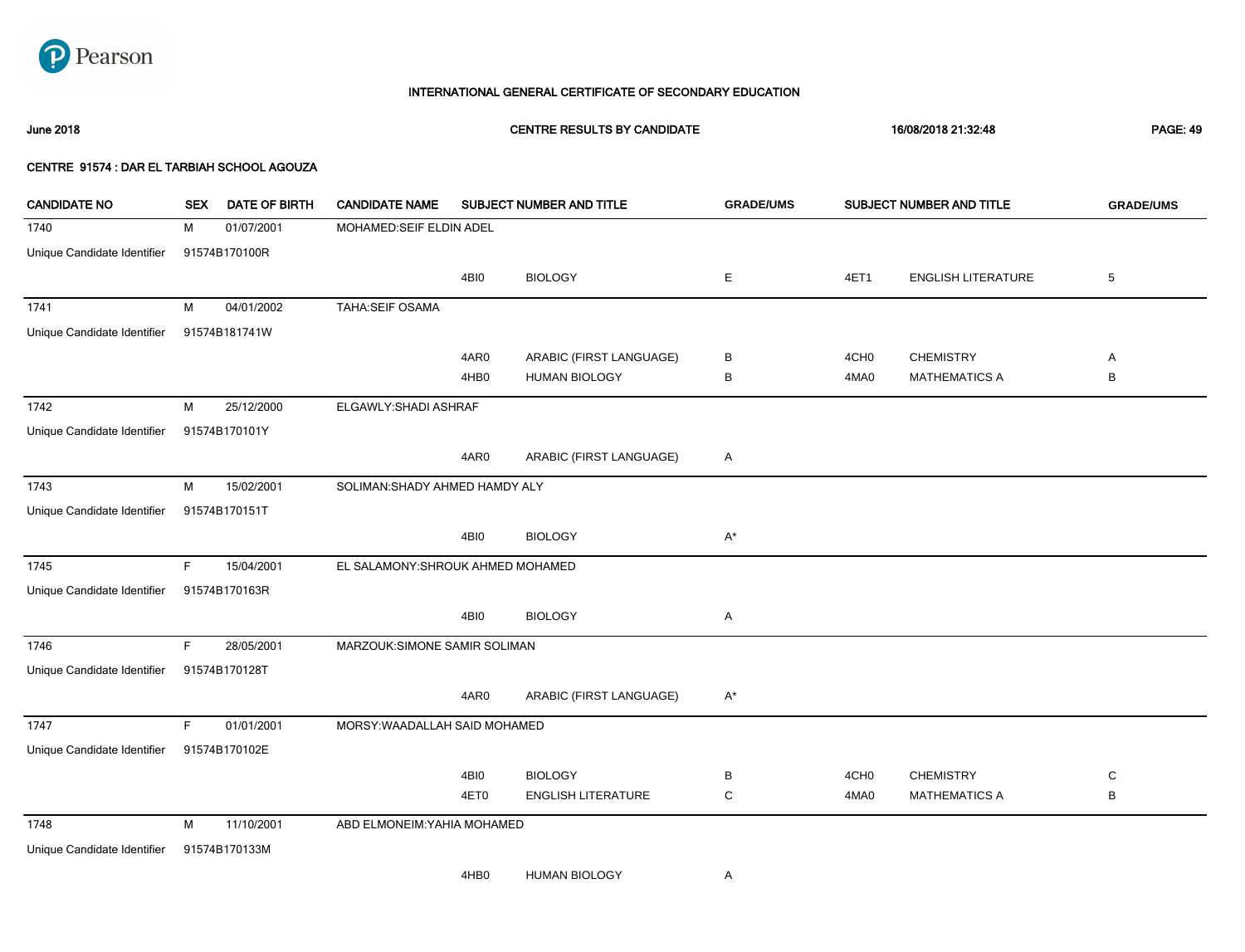

June 2018 CENTRE RESULTS BY CANDIDATE 16/08/2018 21:32:48 PAGE: 49

| <b>CANDIDATE NO</b>         | <b>SEX</b> | <b>DATE OF BIRTH</b> | <b>CANDIDATE NAME</b>             |      | SUBJECT NUMBER AND TITLE | <b>GRADE/UMS</b> |                  | SUBJECT NUMBER AND TITLE  | <b>GRADE/UMS</b> |
|-----------------------------|------------|----------------------|-----------------------------------|------|--------------------------|------------------|------------------|---------------------------|------------------|
| 1740                        | M          | 01/07/2001           | MOHAMED:SEIF ELDIN ADEL           |      |                          |                  |                  |                           |                  |
| Unique Candidate Identifier |            | 91574B170100R        |                                   |      |                          |                  |                  |                           |                  |
|                             |            |                      |                                   | 4BI0 | <b>BIOLOGY</b>           | Ε                | 4ET1             | <b>ENGLISH LITERATURE</b> | $\,$ 5 $\,$      |
| 1741                        | M          | 04/01/2002           | TAHA:SEIF OSAMA                   |      |                          |                  |                  |                           |                  |
| Unique Candidate Identifier |            | 91574B181741W        |                                   |      |                          |                  |                  |                           |                  |
|                             |            |                      |                                   | 4AR0 | ARABIC (FIRST LANGUAGE)  | В                | 4CH <sub>0</sub> | <b>CHEMISTRY</b>          | Α                |
|                             |            |                      |                                   | 4HB0 | <b>HUMAN BIOLOGY</b>     | В                | 4MA0             | <b>MATHEMATICS A</b>      | B                |
| 1742                        | M          | 25/12/2000           | ELGAWLY: SHADI ASHRAF             |      |                          |                  |                  |                           |                  |
| Unique Candidate Identifier |            | 91574B170101Y        |                                   |      |                          |                  |                  |                           |                  |
|                             |            |                      |                                   | 4AR0 | ARABIC (FIRST LANGUAGE)  | A                |                  |                           |                  |
| 1743                        | M          | 15/02/2001           | SOLIMAN: SHADY AHMED HAMDY ALY    |      |                          |                  |                  |                           |                  |
| Unique Candidate Identifier |            | 91574B170151T        |                                   |      |                          |                  |                  |                           |                  |
|                             |            |                      |                                   | 4BI0 | <b>BIOLOGY</b>           | $A^*$            |                  |                           |                  |
| 1745                        | F.         | 15/04/2001           | EL SALAMONY: SHROUK AHMED MOHAMED |      |                          |                  |                  |                           |                  |
| Unique Candidate Identifier |            | 91574B170163R        |                                   |      |                          |                  |                  |                           |                  |
|                             |            |                      |                                   | 4BI0 | <b>BIOLOGY</b>           | A                |                  |                           |                  |
| 1746                        | F.         | 28/05/2001           | MARZOUK:SIMONE SAMIR SOLIMAN      |      |                          |                  |                  |                           |                  |
| Unique Candidate Identifier |            | 91574B170128T        |                                   |      |                          |                  |                  |                           |                  |
|                             |            |                      |                                   | 4AR0 | ARABIC (FIRST LANGUAGE)  | $A^*$            |                  |                           |                  |
| 1747                        | F.         | 01/01/2001           | MORSY: WAADALLAH SAID MOHAMED     |      |                          |                  |                  |                           |                  |
| Unique Candidate Identifier |            | 91574B170102E        |                                   |      |                          |                  |                  |                           |                  |
|                             |            |                      |                                   | 4BI0 | <b>BIOLOGY</b>           | В                | 4CH <sub>0</sub> | <b>CHEMISTRY</b>          | C                |
|                             |            |                      |                                   | 4ET0 | ENGLISH LITERATURE       | $\mathsf C$      | 4MA0             | <b>MATHEMATICS A</b>      | B                |
| 1748                        | M          | 11/10/2001           | ABD ELMONEIM: YAHIA MOHAMED       |      |                          |                  |                  |                           |                  |
| Unique Candidate Identifier |            | 91574B170133M        |                                   |      |                          |                  |                  |                           |                  |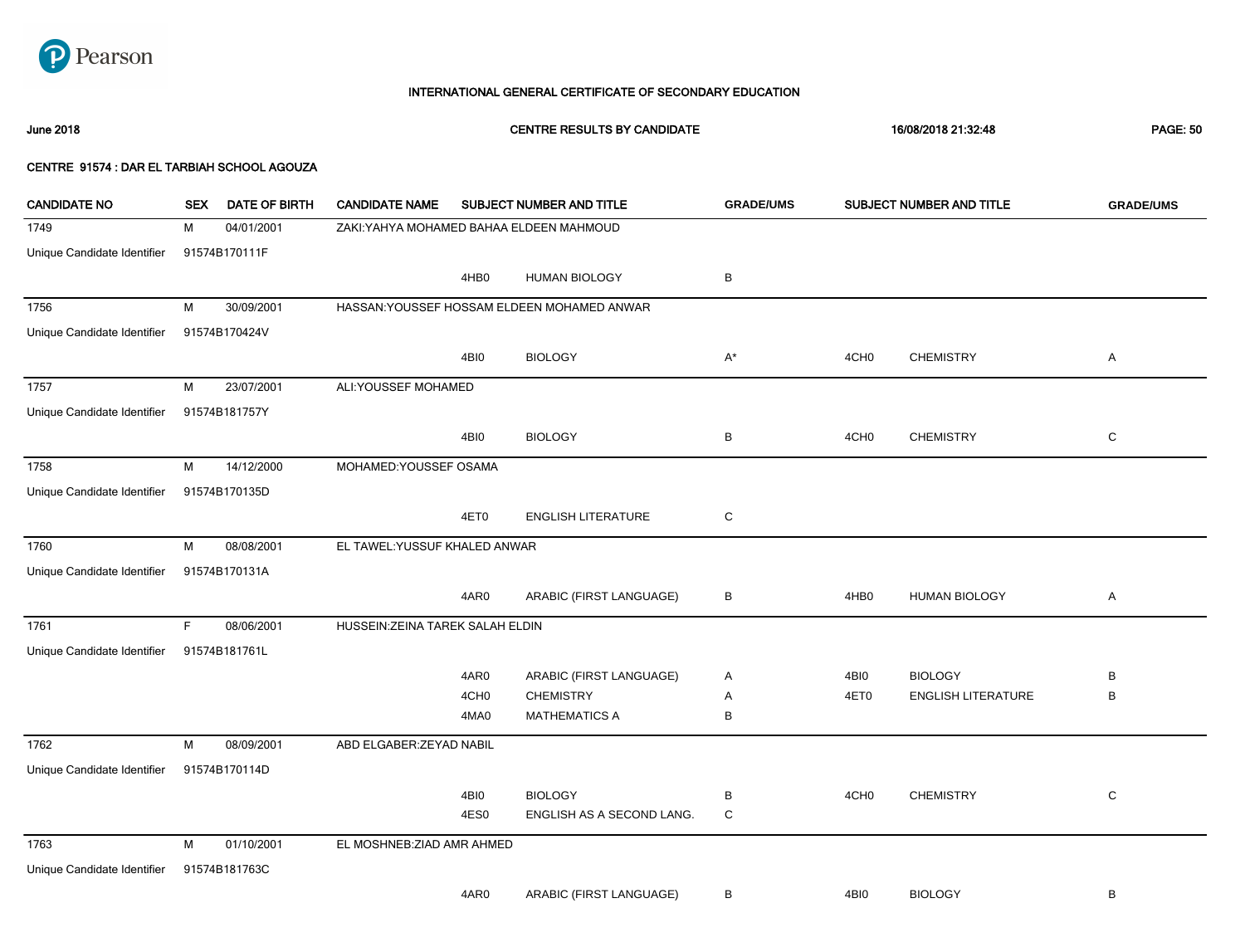

June 2018 CENTRE RESULTS BY CANDIDATE 16/08/2018 21:32:48 PAGE: 50

| <b>CANDIDATE NO</b>         | <b>SEX</b> | DATE OF BIRTH | <b>CANDIDATE NAME</b>                    |                  | SUBJECT NUMBER AND TITLE                    | <b>GRADE/UMS</b> |                  | SUBJECT NUMBER AND TITLE  | <b>GRADE/UMS</b> |
|-----------------------------|------------|---------------|------------------------------------------|------------------|---------------------------------------------|------------------|------------------|---------------------------|------------------|
| 1749                        | M          | 04/01/2001    | ZAKI: YAHYA MOHAMED BAHAA ELDEEN MAHMOUD |                  |                                             |                  |                  |                           |                  |
| Unique Candidate Identifier |            | 91574B170111F |                                          |                  |                                             |                  |                  |                           |                  |
|                             |            |               |                                          | 4HB0             | <b>HUMAN BIOLOGY</b>                        | В                |                  |                           |                  |
| 1756                        | M          | 30/09/2001    |                                          |                  | HASSAN: YOUSSEF HOSSAM ELDEEN MOHAMED ANWAR |                  |                  |                           |                  |
| Unique Candidate Identifier |            | 91574B170424V |                                          |                  |                                             |                  |                  |                           |                  |
|                             |            |               |                                          | 4BI0             | <b>BIOLOGY</b>                              | A*               | 4CH <sub>0</sub> | <b>CHEMISTRY</b>          | Α                |
| 1757                        | M          | 23/07/2001    | ALI:YOUSSEF MOHAMED                      |                  |                                             |                  |                  |                           |                  |
| Unique Candidate Identifier |            | 91574B181757Y |                                          |                  |                                             |                  |                  |                           |                  |
|                             |            |               |                                          | 4BI0             | <b>BIOLOGY</b>                              | В                | 4CH <sub>0</sub> | <b>CHEMISTRY</b>          | C                |
| 1758                        | M          | 14/12/2000    | MOHAMED: YOUSSEF OSAMA                   |                  |                                             |                  |                  |                           |                  |
| Unique Candidate Identifier |            | 91574B170135D |                                          |                  |                                             |                  |                  |                           |                  |
|                             |            |               |                                          | 4ET0             | <b>ENGLISH LITERATURE</b>                   | $\mathbf C$      |                  |                           |                  |
| 1760                        | M          | 08/08/2001    | EL TAWEL: YUSSUF KHALED ANWAR            |                  |                                             |                  |                  |                           |                  |
| Unique Candidate Identifier |            | 91574B170131A |                                          |                  |                                             |                  |                  |                           |                  |
|                             |            |               |                                          | 4AR0             | ARABIC (FIRST LANGUAGE)                     | В                | 4HB <sub>0</sub> | <b>HUMAN BIOLOGY</b>      | Α                |
| 1761                        | F.         | 08/06/2001    | HUSSEIN: ZEINA TAREK SALAH ELDIN         |                  |                                             |                  |                  |                           |                  |
| Unique Candidate Identifier |            | 91574B181761L |                                          |                  |                                             |                  |                  |                           |                  |
|                             |            |               |                                          | 4AR0             | ARABIC (FIRST LANGUAGE)                     | Α                | 4BI0             | <b>BIOLOGY</b>            | В                |
|                             |            |               |                                          | 4CH <sub>0</sub> | <b>CHEMISTRY</b>                            | Α                | 4ET0             | <b>ENGLISH LITERATURE</b> | B                |
|                             |            |               |                                          | 4MA0             | <b>MATHEMATICS A</b>                        | В                |                  |                           |                  |
| 1762                        | M          | 08/09/2001    | ABD ELGABER: ZEYAD NABIL                 |                  |                                             |                  |                  |                           |                  |
| Unique Candidate Identifier |            | 91574B170114D |                                          |                  |                                             |                  |                  |                           |                  |
|                             |            |               |                                          | 4BI0             | <b>BIOLOGY</b>                              | В                | 4CH <sub>0</sub> | <b>CHEMISTRY</b>          | $\mathbf C$      |
|                             |            |               |                                          | 4ES0             | ENGLISH AS A SECOND LANG.                   | $\mathsf C$      |                  |                           |                  |
| 1763                        | M          | 01/10/2001    | EL MOSHNEB: ZIAD AMR AHMED               |                  |                                             |                  |                  |                           |                  |
| Unique Candidate Identifier |            | 91574B181763C |                                          |                  |                                             |                  |                  |                           |                  |
|                             |            |               |                                          | 4AR0             | ARABIC (FIRST LANGUAGE)                     | в                | 4BI0             | <b>BIOLOGY</b>            | В                |